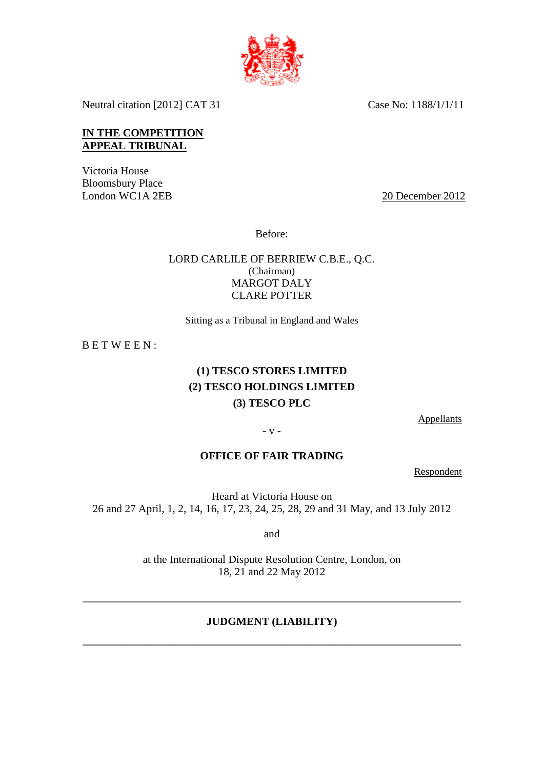

Neutral citation [2012] CAT 31 Case No: 1188/1/1/11

### **IN THE COMPETITION APPEAL TRIBUNAL**

Victoria House Bloomsbury Place<br>London WC1A 2EB

20 December 2012

Before:

### LORD CARLILE OF BERRIEW C.B.E., Q.C. (Chairman) MARGOT DALY CLARE POTTER

Sitting as a Tribunal in England and Wales

B E T W E E N :

# **(1) TESCO STORES LIMITED (2) TESCO HOLDINGS LIMITED (3) TESCO PLC**

**Appellants** 

- v -

### **OFFICE OF FAIR TRADING**

Respondent

Heard at Victoria House on 26 and 27 April, 1, 2, 14, 16, 17, 23, 24, 25, 28, 29 and 31 May, and 13 July 2012

and

at the International Dispute Resolution Centre, London, on 18, 21 and 22 May 2012

## **JUDGMENT (LIABILITY)**

**\_\_\_\_\_\_\_\_\_\_\_\_\_\_\_\_\_\_\_\_\_\_\_\_\_\_\_\_\_\_\_\_\_\_\_\_\_\_\_\_\_\_\_\_\_\_\_\_\_\_\_\_\_\_\_\_\_\_\_\_\_\_\_\_\_\_\_\_\_** 

**\_\_\_\_\_\_\_\_\_\_\_\_\_\_\_\_\_\_\_\_\_\_\_\_\_\_\_\_\_\_\_\_\_\_\_\_\_\_\_\_\_\_\_\_\_\_\_\_\_\_\_\_\_\_\_\_\_\_\_\_\_\_\_\_\_\_\_\_\_**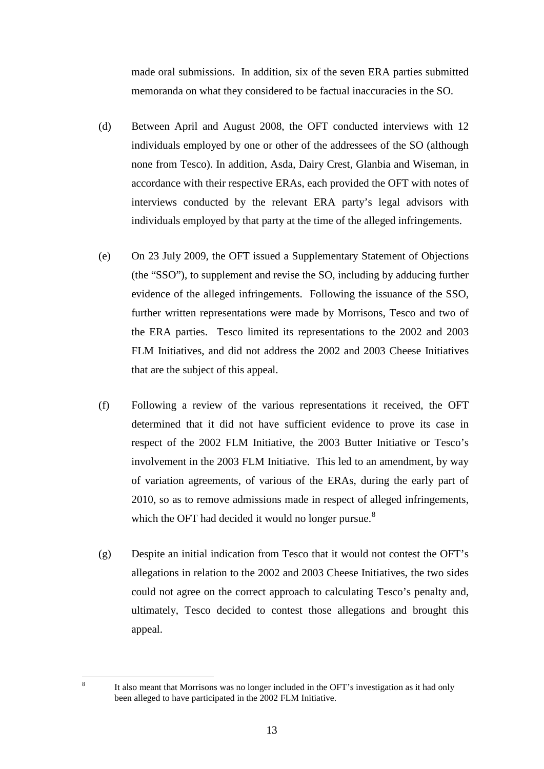made oral submissions. In addition, six of the seven ERA parties submitted memoranda on what they considered to be factual inaccuracies in the SO.

- (d) Between April and August 2008, the OFT conducted interviews with 12 individuals employed by one or other of the addressees of the SO (although none from Tesco). In addition, Asda, Dairy Crest, Glanbia and Wiseman, in accordance with their respective ERAs, each provided the OFT with notes of interviews conducted by the relevant ERA party's legal advisors with individuals employed by that party at the time of the alleged infringements.
- (e) On 23 July 2009, the OFT issued a Supplementary Statement of Objections (the "SSO"), to supplement and revise the SO, including by adducing further evidence of the alleged infringements. Following the issuance of the SSO, further written representations were made by Morrisons, Tesco and two of the ERA parties. Tesco limited its representations to the 2002 and 2003 FLM Initiatives, and did not address the 2002 and 2003 Cheese Initiatives that are the subject of this appeal.
- (f) Following a review of the various representations it received, the OFT determined that it did not have sufficient evidence to prove its case in respect of the 2002 FLM Initiative, the 2003 Butter Initiative or Tesco's involvement in the 2003 FLM Initiative. This led to an amendment, by way of variation agreements, of various of the ERAs, during the early part of 2010, so as to remove admissions made in respect of alleged infringements, which the OFT had decided it would no longer pursue. $8$
- (g) Despite an initial indication from Tesco that it would not contest the OFT's allegations in relation to the 2002 and 2003 Cheese Initiatives, the two sides could not agree on the correct approach to calculating Tesco's penalty and, ultimately, Tesco decided to contest those allegations and brought this appeal.

<span id="page-17-0"></span>8

It also meant that Morrisons was no longer included in the OFT's investigation as it had only been alleged to have participated in the 2002 FLM Initiative.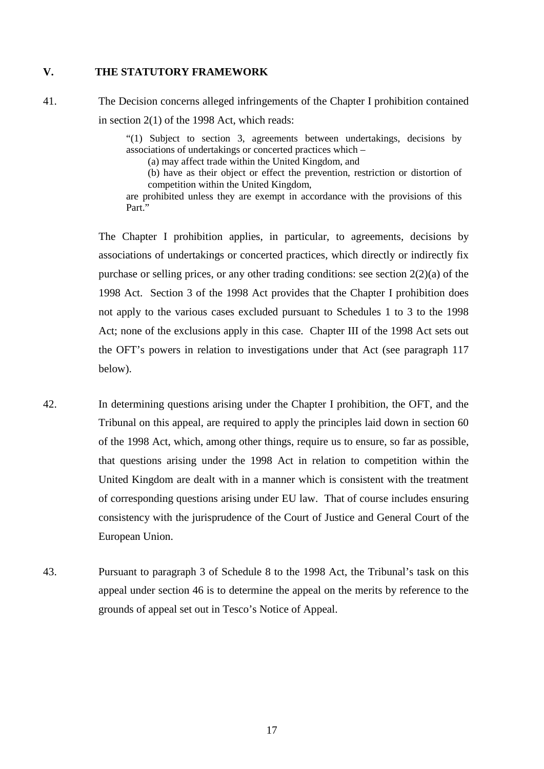#### **V. THE STATUTORY FRAMEWORK**

41. The Decision concerns alleged infringements of the Chapter I prohibition contained in section 2(1) of the 1998 Act, which reads:

> "(1) Subject to section 3, agreements between undertakings, decisions by associations of undertakings or concerted practices which –

(a) may affect trade within the United Kingdom, and

(b) have as their object or effect the prevention, restriction or distortion of competition within the United Kingdom,

are prohibited unless they are exempt in accordance with the provisions of this Part."

The Chapter I prohibition applies, in particular, to agreements, decisions by associations of undertakings or concerted practices, which directly or indirectly fix purchase or selling prices, or any other trading conditions: see section 2(2)(a) of the 1998 Act. Section 3 of the 1998 Act provides that the Chapter I prohibition does not apply to the various cases excluded pursuant to Schedules 1 to 3 to the 1998 Act; none of the exclusions apply in this case. Chapter III of the 1998 Act sets out the OFT's powers in relation to investigations under that Act (see paragraph [117](#page-49-0) below).

- 42. In determining questions arising under the Chapter I prohibition, the OFT, and the Tribunal on this appeal, are required to apply the principles laid down in section 60 of the 1998 Act, which, among other things, require us to ensure, so far as possible, that questions arising under the 1998 Act in relation to competition within the United Kingdom are dealt with in a manner which is consistent with the treatment of corresponding questions arising under EU law. That of course includes ensuring consistency with the jurisprudence of the Court of Justice and General Court of the European Union.
- 43. Pursuant to paragraph 3 of Schedule 8 to the 1998 Act, the Tribunal's task on this appeal under section 46 is to determine the appeal on the merits by reference to the grounds of appeal set out in Tesco's Notice of Appeal.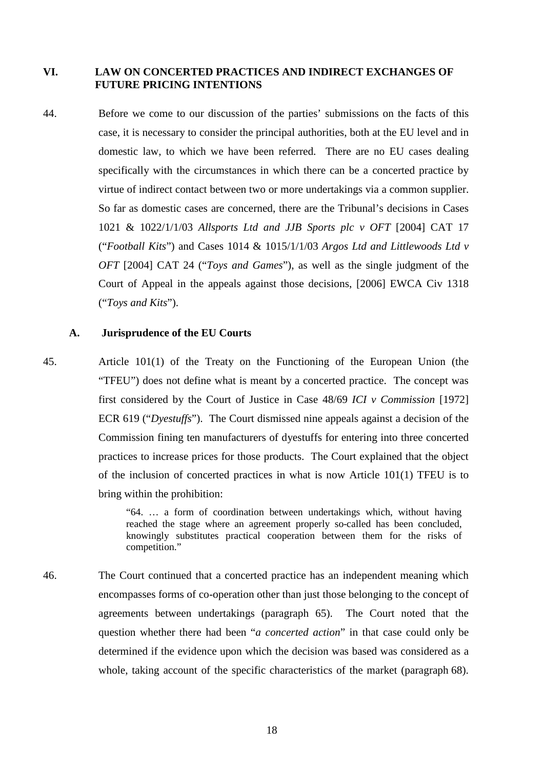#### **VI. LAW ON CONCERTED PRACTICES AND INDIRECT EXCHANGES OF FUTURE PRICING INTENTIONS**

44. Before we come to our discussion of the parties' submissions on the facts of this case, it is necessary to consider the principal authorities, both at the EU level and in domestic law, to which we have been referred. There are no EU cases dealing specifically with the circumstances in which there can be a concerted practice by virtue of indirect contact between two or more undertakings via a common supplier. So far as domestic cases are concerned, there are the Tribunal's decisions in Cases 1021 & 1022/1/1/03 *Allsports Ltd and JJB Sports plc v OFT* [2004] CAT 17 ("*Football Kits*") and Cases 1014 & 1015/1/1/03 *Argos Ltd and Littlewoods Ltd v OFT* [2004] CAT 24 ("*Toys and Games*"), as well as the single judgment of the Court of Appeal in the appeals against those decisions, [2006] EWCA Civ 1318 ("*Toys and Kits*").

#### **A. Jurisprudence of the EU Courts**

45. Article 101(1) of the Treaty on the Functioning of the European Union (the "TFEU") does not define what is meant by a concerted practice. The concept was first considered by the Court of Justice in Case 48/69 *ICI v Commission* [1972] ECR 619 ("*Dyestuffs*"). The Court dismissed nine appeals against a decision of the Commission fining ten manufacturers of dyestuffs for entering into three concerted practices to increase prices for those products. The Court explained that the object of the inclusion of concerted practices in what is now Article 101(1) TFEU is to bring within the prohibition:

> "64. … a form of coordination between undertakings which, without having reached the stage where an agreement properly so-called has been concluded, knowingly substitutes practical cooperation between them for the risks of competition."

46. The Court continued that a concerted practice has an independent meaning which encompasses forms of co-operation other than just those belonging to the concept of agreements between undertakings (paragraph 65). The Court noted that the question whether there had been "*a concerted action*" in that case could only be determined if the evidence upon which the decision was based was considered as a whole, taking account of the specific characteristics of the market (paragraph 68).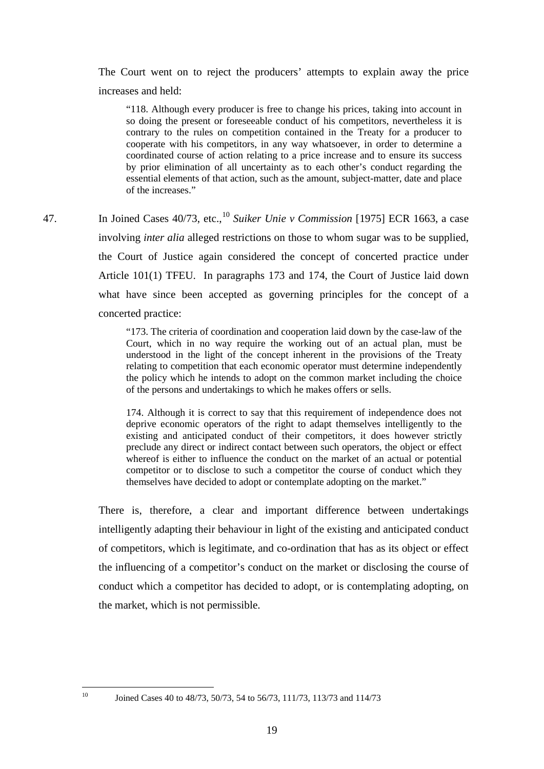The Court went on to reject the producers' attempts to explain away the price increases and held:

"118. Although every producer is free to change his prices, taking into account in so doing the present or foreseeable conduct of his competitors, nevertheless it is contrary to the rules on competition contained in the Treaty for a producer to cooperate with his competitors, in any way whatsoever, in order to determine a coordinated course of action relating to a price increase and to ensure its success by prior elimination of all uncertainty as to each other's conduct regarding the essential elements of that action, such as the amount, subject-matter, date and place of the increases."

47. In Joined Cases 40/73, etc.,<sup>[10](#page-23-0)</sup> Suiker Unie v Commission [1975] ECR 1663, a case involving *inter alia* alleged restrictions on those to whom sugar was to be supplied, the Court of Justice again considered the concept of concerted practice under Article 101(1) TFEU. In paragraphs 173 and 174, the Court of Justice laid down what have since been accepted as governing principles for the concept of a concerted practice:

> "173. The criteria of coordination and cooperation laid down by the case-law of the Court, which in no way require the working out of an actual plan, must be understood in the light of the concept inherent in the provisions of the Treaty relating to competition that each economic operator must determine independently the policy which he intends to adopt on the common market including the choice of the persons and undertakings to which he makes offers or sells.

> 174. Although it is correct to say that this requirement of independence does not deprive economic operators of the right to adapt themselves intelligently to the existing and anticipated conduct of their competitors, it does however strictly preclude any direct or indirect contact between such operators, the object or effect whereof is either to influence the conduct on the market of an actual or potential competitor or to disclose to such a competitor the course of conduct which they themselves have decided to adopt or contemplate adopting on the market."

There is, therefore, a clear and important difference between undertakings intelligently adapting their behaviour in light of the existing and anticipated conduct of competitors, which is legitimate, and co-ordination that has as its object or effect the influencing of a competitor's conduct on the market or disclosing the course of conduct which a competitor has decided to adopt, or is contemplating adopting, on the market, which is not permissible.

<span id="page-23-0"></span> $10$ 

10 Joined Cases 40 to 48/73, 50/73, 54 to 56/73, 111/73, 113/73 and 114/73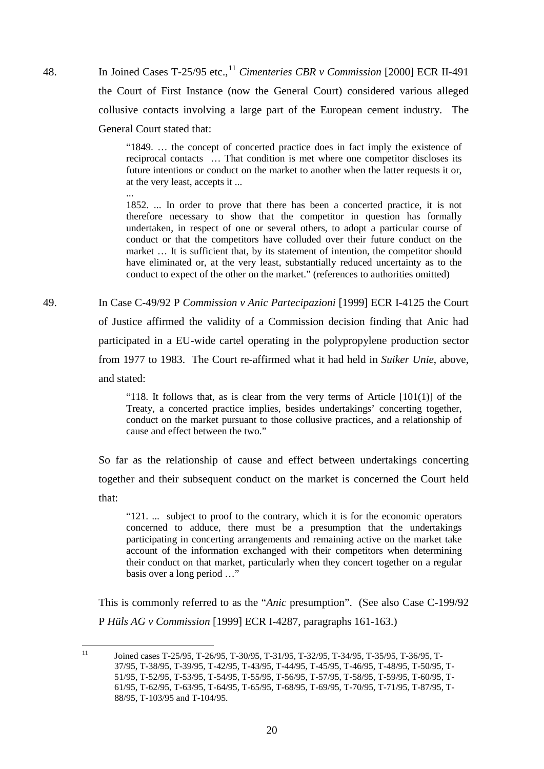48. In Joined Cases T-25/95 etc.,<sup>[11](#page-24-0)</sup> *Cimenteries CBR v Commission* [2000] ECR II-491 the Court of First Instance (now the General Court) considered various alleged collusive contacts involving a large part of the European cement industry. The General Court stated that:

> "1849. … the concept of concerted practice does in fact imply the existence of reciprocal contacts … That condition is met where one competitor discloses its future intentions or conduct on the market to another when the latter requests it or, at the very least, accepts it ...

> 1852. ... In order to prove that there has been a concerted practice, it is not therefore necessary to show that the competitor in question has formally undertaken, in respect of one or several others, to adopt a particular course of conduct or that the competitors have colluded over their future conduct on the market … It is sufficient that, by its statement of intention, the competitor should have eliminated or, at the very least, substantially reduced uncertainty as to the conduct to expect of the other on the market." (references to authorities omitted)

49. In Case C-49/92 P *Commission v Anic Partecipazioni* [1999] ECR I-4125 the Court of Justice affirmed the validity of a Commission decision finding that Anic had participated in a EU-wide cartel operating in the polypropylene production sector from 1977 to 1983. The Court re-affirmed what it had held in *Suiker Unie*, above, and stated:

> "118. It follows that, as is clear from the very terms of Article  $[101(1)]$  of the Treaty, a concerted practice implies, besides undertakings' concerting together, conduct on the market pursuant to those collusive practices, and a relationship of cause and effect between the two."

So far as the relationship of cause and effect between undertakings concerting together and their subsequent conduct on the market is concerned the Court held that:

"121. ... subject to proof to the contrary, which it is for the economic operators concerned to adduce, there must be a presumption that the undertakings participating in concerting arrangements and remaining active on the market take account of the information exchanged with their competitors when determining their conduct on that market, particularly when they concert together on a regular basis over a long period …"

This is commonly referred to as the "*Anic* presumption". (See also Case C-199/92 P *Hüls AG v Commission* [1999] ECR I-4287, paragraphs 161-163.)

...

<span id="page-24-0"></span> $11$ 11 Joined cases T-25/95, T-26/95, T-30/95, T-31/95, T-32/95, T-34/95, T-35/95, T-36/95, T-37/95, T-38/95, T-39/95, T-42/95, T-43/95, T-44/95, T-45/95, T-46/95, T-48/95, T-50/95, T-51/95, T-52/95, T-53/95, T-54/95, T-55/95, T-56/95, T-57/95, T-58/95, T-59/95, T-60/95, T-61/95, T-62/95, T-63/95, T-64/95, T-65/95, T-68/95, T-69/95, T-70/95, T-71/95, T-87/95, T-88/95, T-103/95 and T-104/95.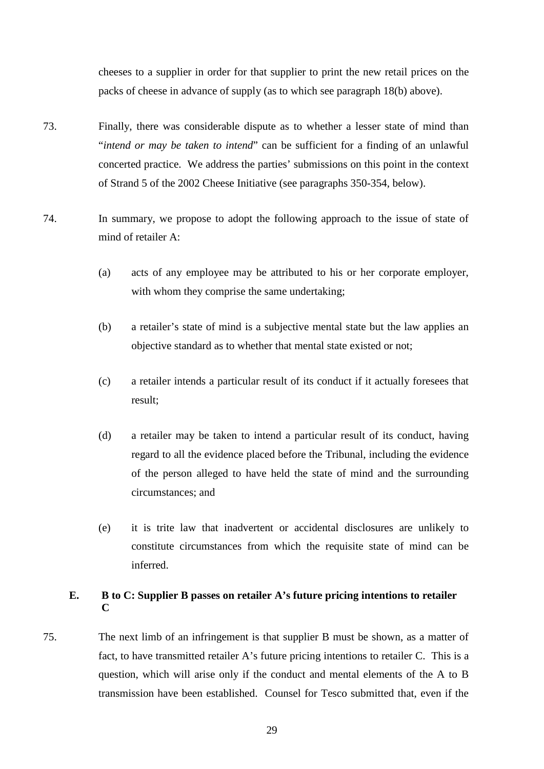cheeses to a supplier in order for that supplier to print the new retail prices on the packs of cheese in advance of supply (as to which see paragraph [18\(b\)](#page-10-0) above).

- 73. Finally, there was considerable dispute as to whether a lesser state of mind than "*intend or may be taken to intend*" can be sufficient for a finding of an unlawful concerted practice. We address the parties' submissions on this point in the context of Strand 5 of the 2002 Cheese Initiative (see paragraphs [350-](#page-137-0)[354,](#page-139-0) below).
- 74. In summary, we propose to adopt the following approach to the issue of state of mind of retailer A:
	- (a) acts of any employee may be attributed to his or her corporate employer, with whom they comprise the same undertaking;
	- (b) a retailer's state of mind is a subjective mental state but the law applies an objective standard as to whether that mental state existed or not;
	- (c) a retailer intends a particular result of its conduct if it actually foresees that result;
	- (d) a retailer may be taken to intend a particular result of its conduct, having regard to all the evidence placed before the Tribunal, including the evidence of the person alleged to have held the state of mind and the surrounding circumstances; and
	- (e) it is trite law that inadvertent or accidental disclosures are unlikely to constitute circumstances from which the requisite state of mind can be inferred.

### **E. B to C: Supplier B passes on retailer A's future pricing intentions to retailer C**

75. The next limb of an infringement is that supplier B must be shown, as a matter of fact, to have transmitted retailer A's future pricing intentions to retailer C. This is a question, which will arise only if the conduct and mental elements of the A to B transmission have been established. Counsel for Tesco submitted that, even if the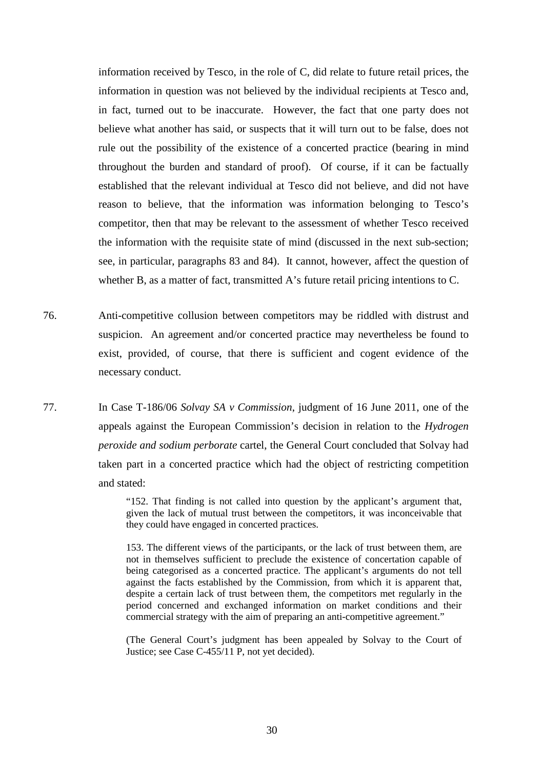information received by Tesco, in the role of C, did relate to future retail prices, the information in question was not believed by the individual recipients at Tesco and, in fact, turned out to be inaccurate. However, the fact that one party does not believe what another has said, or suspects that it will turn out to be false, does not rule out the possibility of the existence of a concerted practice (bearing in mind throughout the burden and standard of proof). Of course, if it can be factually established that the relevant individual at Tesco did not believe, and did not have reason to believe, that the information was information belonging to Tesco's competitor, then that may be relevant to the assessment of whether Tesco received the information with the requisite state of mind (discussed in the next sub-section; see, in particular, paragraphs [83](#page-36-0) and [84\)](#page-36-1). It cannot, however, affect the question of whether B, as a matter of fact, transmitted A's future retail pricing intentions to C.

- 76. Anti-competitive collusion between competitors may be riddled with distrust and suspicion. An agreement and/or concerted practice may nevertheless be found to exist, provided, of course, that there is sufficient and cogent evidence of the necessary conduct.
- 77. In Case T-186/06 *Solvay SA v Commission*, judgment of 16 June 2011, one of the appeals against the European Commission's decision in relation to the *Hydrogen peroxide and sodium perborate* cartel, the General Court concluded that Solvay had taken part in a concerted practice which had the object of restricting competition and stated:

"152. That finding is not called into question by the applicant's argument that, given the lack of mutual trust between the competitors, it was inconceivable that they could have engaged in concerted practices.

153. The different views of the participants, or the lack of trust between them, are not in themselves sufficient to preclude the existence of concertation capable of being categorised as a concerted practice. The applicant's arguments do not tell against the facts established by the Commission, from which it is apparent that, despite a certain lack of trust between them, the competitors met regularly in the period concerned and exchanged information on market conditions and their commercial strategy with the aim of preparing an anti-competitive agreement."

(The General Court's judgment has been appealed by Solvay to the Court of Justice; see Case C-455/11 P, not yet decided).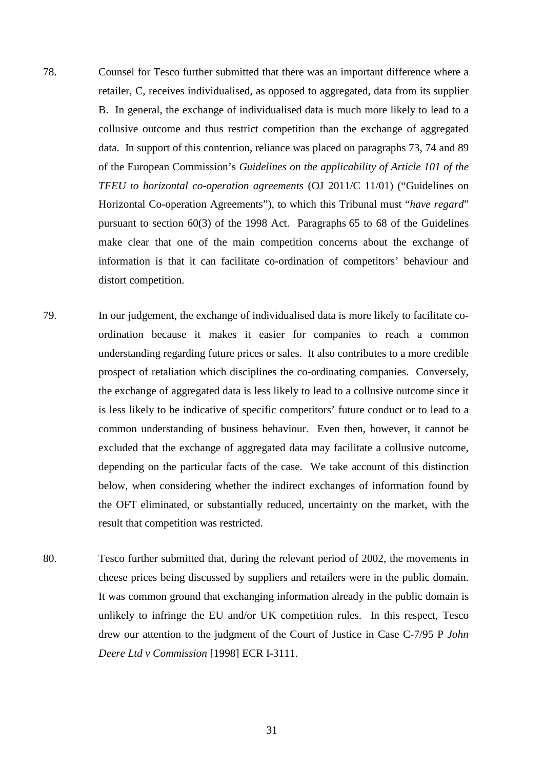78. Counsel for Tesco further submitted that there was an important difference where a retailer, C, receives individualised, as opposed to aggregated, data from its supplier B. In general, the exchange of individualised data is much more likely to lead to a collusive outcome and thus restrict competition than the exchange of aggregated data. In support of this contention, reliance was placed on paragraphs 73, 74 and 89 of the European Commission's *Guidelines on the applicability of Article 101 of the TFEU to horizontal co-operation agreements* (OJ 2011/C 11/01) ("Guidelines on Horizontal Co-operation Agreements"), to which this Tribunal must "*have regard*" pursuant to section 60(3) of the 1998 Act. Paragraphs 65 to 68 of the Guidelines make clear that one of the main competition concerns about the exchange of information is that it can facilitate co-ordination of competitors' behaviour and distort competition.

- 79. In our judgement, the exchange of individualised data is more likely to facilitate coordination because it makes it easier for companies to reach a common understanding regarding future prices or sales. It also contributes to a more credible prospect of retaliation which disciplines the co-ordinating companies. Conversely, the exchange of aggregated data is less likely to lead to a collusive outcome since it is less likely to be indicative of specific competitors' future conduct or to lead to a common understanding of business behaviour. Even then, however, it cannot be excluded that the exchange of aggregated data may facilitate a collusive outcome, depending on the particular facts of the case. We take account of this distinction below, when considering whether the indirect exchanges of information found by the OFT eliminated, or substantially reduced, uncertainty on the market, with the result that competition was restricted.
- 80. Tesco further submitted that, during the relevant period of 2002, the movements in cheese prices being discussed by suppliers and retailers were in the public domain. It was common ground that exchanging information already in the public domain is unlikely to infringe the EU and/or UK competition rules. In this respect, Tesco drew our attention to the judgment of the Court of Justice in Case C-7/95 P *John Deere Ltd v Commission* [1998] ECR I-3111.

31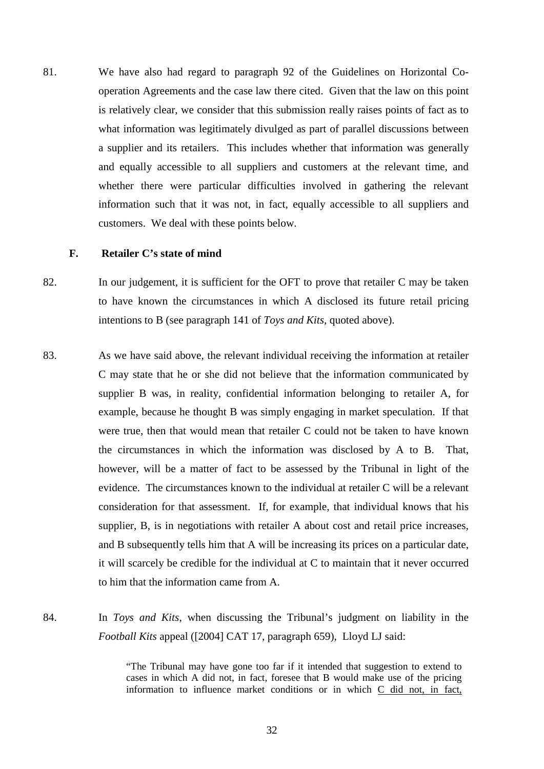81. We have also had regard to paragraph 92 of the Guidelines on Horizontal Cooperation Agreements and the case law there cited. Given that the law on this point is relatively clear, we consider that this submission really raises points of fact as to what information was legitimately divulged as part of parallel discussions between a supplier and its retailers. This includes whether that information was generally and equally accessible to all suppliers and customers at the relevant time, and whether there were particular difficulties involved in gathering the relevant information such that it was not, in fact, equally accessible to all suppliers and customers. We deal with these points below.

### **F. Retailer C's state of mind**

- 82. In our judgement, it is sufficient for the OFT to prove that retailer C may be taken to have known the circumstances in which A disclosed its future retail pricing intentions to B (see paragraph 141 of *Toys and Kits*, quoted above).
- 83. As we have said above, the relevant individual receiving the information at retailer C may state that he or she did not believe that the information communicated by supplier B was, in reality, confidential information belonging to retailer A, for example, because he thought B was simply engaging in market speculation. If that were true, then that would mean that retailer C could not be taken to have known the circumstances in which the information was disclosed by A to B. That, however, will be a matter of fact to be assessed by the Tribunal in light of the evidence. The circumstances known to the individual at retailer C will be a relevant consideration for that assessment. If, for example, that individual knows that his supplier, B, is in negotiations with retailer A about cost and retail price increases, and B subsequently tells him that A will be increasing its prices on a particular date, it will scarcely be credible for the individual at C to maintain that it never occurred to him that the information came from A.
- 84. In *Toys and Kits*, when discussing the Tribunal's judgment on liability in the *Football Kits* appeal ([2004] CAT 17, paragraph 659), Lloyd LJ said:

"The Tribunal may have gone too far if it intended that suggestion to extend to cases in which A did not, in fact, foresee that B would make use of the pricing information to influence market conditions or in which C did not, in fact,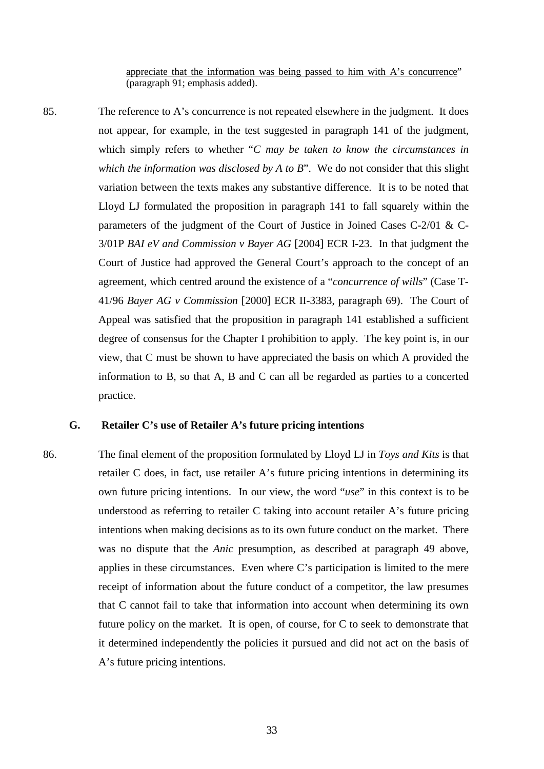appreciate that the information was being passed to him with A's concurrence" (paragraph 91; emphasis added).

85. The reference to A's concurrence is not repeated elsewhere in the judgment. It does not appear, for example, in the test suggested in paragraph 141 of the judgment, which simply refers to whether "*C may be taken to know the circumstances in which the information was disclosed by A to B*". We do not consider that this slight variation between the texts makes any substantive difference. It is to be noted that Lloyd LJ formulated the proposition in paragraph 141 to fall squarely within the parameters of the judgment of the Court of Justice in Joined Cases C-2/01 & C-3/01P *BAI eV and Commission v Bayer AG* [2004] ECR I-23. In that judgment the Court of Justice had approved the General Court's approach to the concept of an agreement, which centred around the existence of a "*concurrence of wills*" (Case T-41/96 *Bayer AG v Commission* [2000] ECR II-3383, paragraph 69). The Court of Appeal was satisfied that the proposition in paragraph 141 established a sufficient degree of consensus for the Chapter I prohibition to apply. The key point is, in our view, that C must be shown to have appreciated the basis on which A provided the information to B, so that A, B and C can all be regarded as parties to a concerted practice.

# **G. Retailer C's use of Retailer A's future pricing intentions**

86. The final element of the proposition formulated by Lloyd LJ in *Toys and Kits* is that retailer C does, in fact, use retailer A's future pricing intentions in determining its own future pricing intentions. In our view, the word "*use*" in this context is to be understood as referring to retailer C taking into account retailer A's future pricing intentions when making decisions as to its own future conduct on the market. There was no dispute that the *Anic* presumption, as described at paragraph [49](#page-24-0) above, applies in these circumstances. Even where C's participation is limited to the mere receipt of information about the future conduct of a competitor, the law presumes that C cannot fail to take that information into account when determining its own future policy on the market. It is open, of course, for C to seek to demonstrate that it determined independently the policies it pursued and did not act on the basis of A's future pricing intentions.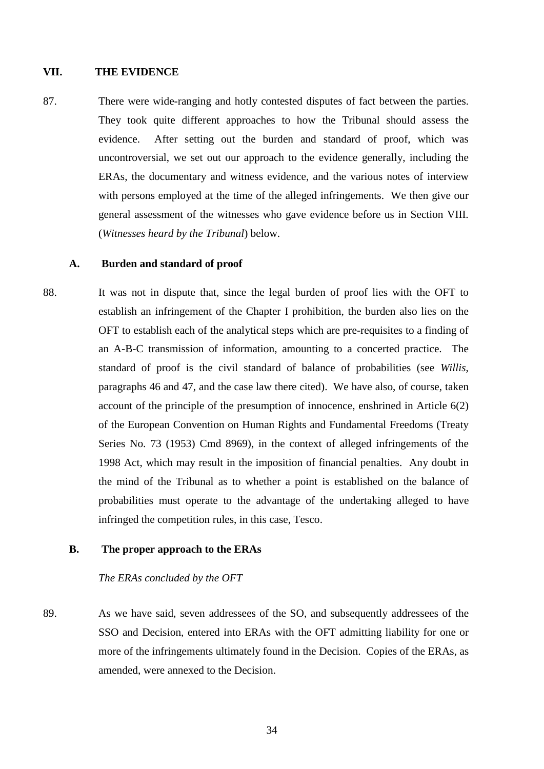### **VII. THE EVIDENCE**

87. There were wide-ranging and hotly contested disputes of fact between the parties. They took quite different approaches to how the Tribunal should assess the evidence. After setting out the burden and standard of proof, which was uncontroversial, we set out our approach to the evidence generally, including the ERAs, the documentary and witness evidence, and the various notes of interview with persons employed at the time of the alleged infringements. We then give our general assessment of the witnesses who gave evidence before us in Section VIII. (*Witnesses heard by the Tribunal*) below.

#### **A. Burden and standard of proof**

88. It was not in dispute that, since the legal burden of proof lies with the OFT to establish an infringement of the Chapter I prohibition, the burden also lies on the OFT to establish each of the analytical steps which are pre-requisites to a finding of an A-B-C transmission of information, amounting to a concerted practice. The standard of proof is the civil standard of balance of probabilities (see *Willis*, paragraphs 46 and 47, and the case law there cited). We have also, of course, taken account of the principle of the presumption of innocence, enshrined in Article 6(2) of the European Convention on Human Rights and Fundamental Freedoms (Treaty Series No. 73 (1953) Cmd 8969), in the context of alleged infringements of the 1998 Act, which may result in the imposition of financial penalties. Any doubt in the mind of the Tribunal as to whether a point is established on the balance of probabilities must operate to the advantage of the undertaking alleged to have infringed the competition rules, in this case, Tesco.

## **B. The proper approach to the ERAs**

## *The ERAs concluded by the OFT*

89. As we have said, seven addressees of the SO, and subsequently addressees of the SSO and Decision, entered into ERAs with the OFT admitting liability for one or more of the infringements ultimately found in the Decision. Copies of the ERAs, as amended, were annexed to the Decision.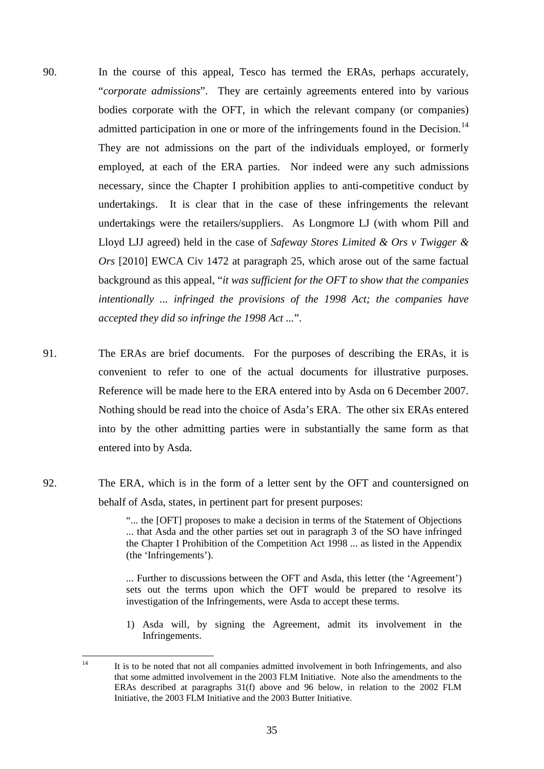- <span id="page-39-1"></span>90. In the course of this appeal, Tesco has termed the ERAs, perhaps accurately, "*corporate admissions*". They are certainly agreements entered into by various bodies corporate with the OFT, in which the relevant company (or companies) admitted participation in one or more of the infringements found in the Decision.<sup>[14](#page-39-0)</sup> They are not admissions on the part of the individuals employed, or formerly employed, at each of the ERA parties. Nor indeed were any such admissions necessary, since the Chapter I prohibition applies to anti-competitive conduct by undertakings. It is clear that in the case of these infringements the relevant undertakings were the retailers/suppliers. As Longmore LJ (with whom Pill and Lloyd LJJ agreed) held in the case of *Safeway Stores Limited & Ors v Twigger & Ors* [2010] EWCA Civ 1472 at paragraph 25, which arose out of the same factual background as this appeal, "*it was sufficient for the OFT to show that the companies intentionally ... infringed the provisions of the 1998 Act; the companies have accepted they did so infringe the 1998 Act ...*".
- 91. The ERAs are brief documents. For the purposes of describing the ERAs, it is convenient to refer to one of the actual documents for illustrative purposes. Reference will be made here to the ERA entered into by Asda on 6 December 2007. Nothing should be read into the choice of Asda's ERA. The other six ERAs entered into by the other admitting parties were in substantially the same form as that entered into by Asda.
- 92. The ERA, which is in the form of a letter sent by the OFT and countersigned on behalf of Asda, states, in pertinent part for present purposes:

"... the [OFT] proposes to make a decision in terms of the Statement of Objections ... that Asda and the other parties set out in paragraph 3 of the SO have infringed the Chapter I Prohibition of the Competition Act 1998 ... as listed in the Appendix (the 'Infringements').

... Further to discussions between the OFT and Asda, this letter (the 'Agreement') sets out the terms upon which the OFT would be prepared to resolve its investigation of the Infringements, were Asda to accept these terms.

1) Asda will, by signing the Agreement, admit its involvement in the Infringements.

<span id="page-39-0"></span> $14$ 14 It is to be noted that not all companies admitted involvement in both Infringements, and also that some admitted involvement in the 2003 FLM Initiative. Note also the amendments to the ERAs described at paragraphs [31\(f\)](#page-17-0) above and [96](#page-40-0) below, in relation to the 2002 FLM Initiative, the 2003 FLM Initiative and the 2003 Butter Initiative.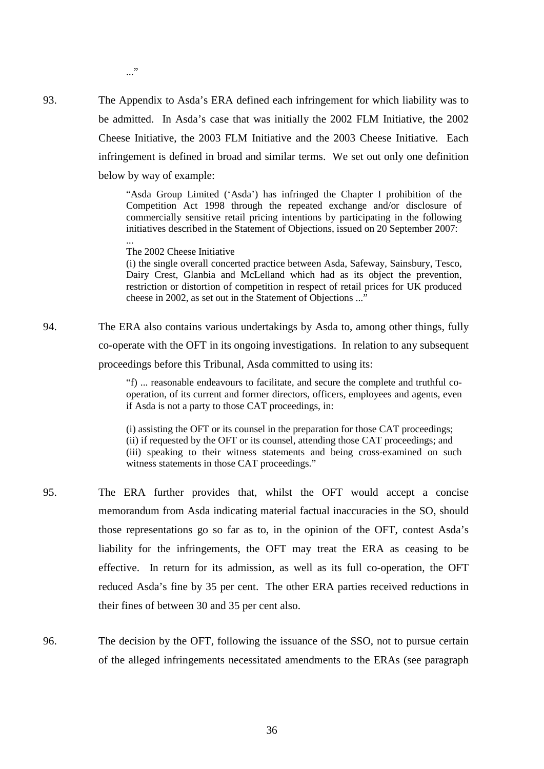..."

...

93. The Appendix to Asda's ERA defined each infringement for which liability was to be admitted. In Asda's case that was initially the 2002 FLM Initiative, the 2002 Cheese Initiative, the 2003 FLM Initiative and the 2003 Cheese Initiative. Each infringement is defined in broad and similar terms. We set out only one definition below by way of example:

> "Asda Group Limited ('Asda') has infringed the Chapter I prohibition of the Competition Act 1998 through the repeated exchange and/or disclosure of commercially sensitive retail pricing intentions by participating in the following initiatives described in the Statement of Objections, issued on 20 September 2007:

The 2002 Cheese Initiative

(i) the single overall concerted practice between Asda, Safeway, Sainsbury, Tesco, Dairy Crest, Glanbia and McLelland which had as its object the prevention, restriction or distortion of competition in respect of retail prices for UK produced cheese in 2002, as set out in the Statement of Objections ..."

94. The ERA also contains various undertakings by Asda to, among other things, fully co-operate with the OFT in its ongoing investigations. In relation to any subsequent proceedings before this Tribunal, Asda committed to using its:

> "f) ... reasonable endeavours to facilitate, and secure the complete and truthful cooperation, of its current and former directors, officers, employees and agents, even if Asda is not a party to those CAT proceedings, in:

> (i) assisting the OFT or its counsel in the preparation for those CAT proceedings; (ii) if requested by the OFT or its counsel, attending those CAT proceedings; and (iii) speaking to their witness statements and being cross-examined on such witness statements in those CAT proceedings."

- 95. The ERA further provides that, whilst the OFT would accept a concise memorandum from Asda indicating material factual inaccuracies in the SO, should those representations go so far as to, in the opinion of the OFT, contest Asda's liability for the infringements, the OFT may treat the ERA as ceasing to be effective. In return for its admission, as well as its full co-operation, the OFT reduced Asda's fine by 35 per cent. The other ERA parties received reductions in their fines of between 30 and 35 per cent also.
- <span id="page-40-0"></span>96. The decision by the OFT, following the issuance of the SSO, not to pursue certain of the alleged infringements necessitated amendments to the ERAs (see paragraph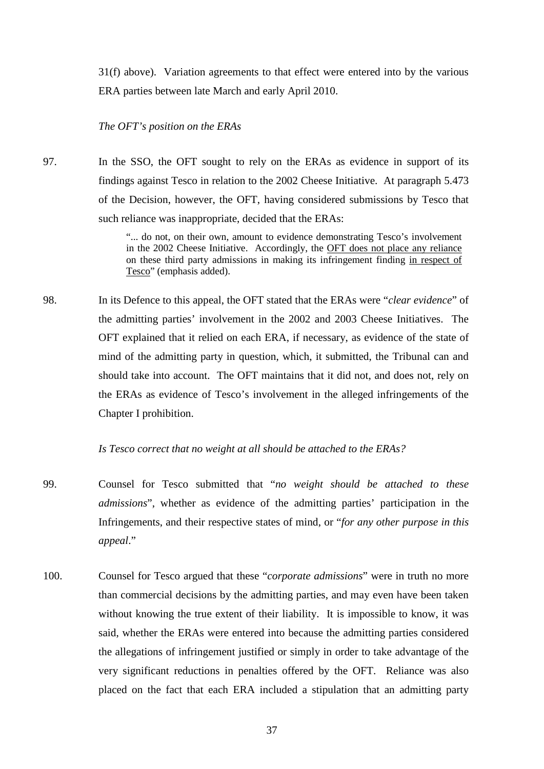[31\(f\)](#page-17-0) above). Variation agreements to that effect were entered into by the various ERA parties between late March and early April 2010.

## *The OFT's position on the ERAs*

97. In the SSO, the OFT sought to rely on the ERAs as evidence in support of its findings against Tesco in relation to the 2002 Cheese Initiative. At paragraph 5.473 of the Decision, however, the OFT, having considered submissions by Tesco that such reliance was inappropriate, decided that the ERAs:

> "... do not, on their own, amount to evidence demonstrating Tesco's involvement in the 2002 Cheese Initiative. Accordingly, the OFT does not place any reliance on these third party admissions in making its infringement finding in respect of Tesco" (emphasis added).

98. In its Defence to this appeal, the OFT stated that the ERAs were "*clear evidence*" of the admitting parties' involvement in the 2002 and 2003 Cheese Initiatives. The OFT explained that it relied on each ERA, if necessary, as evidence of the state of mind of the admitting party in question, which, it submitted, the Tribunal can and should take into account. The OFT maintains that it did not, and does not, rely on the ERAs as evidence of Tesco's involvement in the alleged infringements of the Chapter I prohibition.

## *Is Tesco correct that no weight at all should be attached to the ERAs?*

- 99. Counsel for Tesco submitted that "*no weight should be attached to these admissions*", whether as evidence of the admitting parties' participation in the Infringements, and their respective states of mind, or "*for any other purpose in this appeal*."
- 100. Counsel for Tesco argued that these "*corporate admissions*" were in truth no more than commercial decisions by the admitting parties, and may even have been taken without knowing the true extent of their liability. It is impossible to know, it was said, whether the ERAs were entered into because the admitting parties considered the allegations of infringement justified or simply in order to take advantage of the very significant reductions in penalties offered by the OFT. Reliance was also placed on the fact that each ERA included a stipulation that an admitting party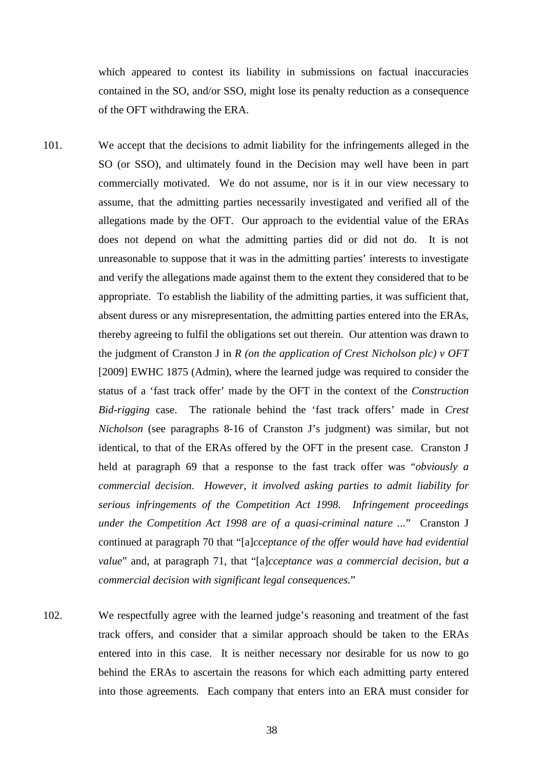which appeared to contest its liability in submissions on factual inaccuracies contained in the SO, and/or SSO, might lose its penalty reduction as a consequence of the OFT withdrawing the ERA.

- 101. We accept that the decisions to admit liability for the infringements alleged in the SO (or SSO), and ultimately found in the Decision may well have been in part commercially motivated. We do not assume, nor is it in our view necessary to assume, that the admitting parties necessarily investigated and verified all of the allegations made by the OFT. Our approach to the evidential value of the ERAs does not depend on what the admitting parties did or did not do. It is not unreasonable to suppose that it was in the admitting parties' interests to investigate and verify the allegations made against them to the extent they considered that to be appropriate. To establish the liability of the admitting parties, it was sufficient that, absent duress or any misrepresentation, the admitting parties entered into the ERAs, thereby agreeing to fulfil the obligations set out therein. Our attention was drawn to the judgment of Cranston J in *R (on the application of Crest Nicholson plc) v OFT*  [2009] EWHC 1875 (Admin), where the learned judge was required to consider the status of a 'fast track offer' made by the OFT in the context of the *Construction Bid-rigging* case. The rationale behind the 'fast track offers' made in *Crest Nicholson* (see paragraphs 8-16 of Cranston J's judgment) was similar, but not identical, to that of the ERAs offered by the OFT in the present case. Cranston J held at paragraph 69 that a response to the fast track offer was "*obviously a commercial decision*. *However, it involved asking parties to admit liability for serious infringements of the Competition Act 1998. Infringement proceedings under the Competition Act 1998 are of a quasi-criminal nature ...*" Cranston J continued at paragraph 70 that "[a]*cceptance of the offer would have had evidential value*" and, at paragraph 71, that "[a]*cceptance was a commercial decision, but a commercial decision with significant legal consequences.*"
- 102. We respectfully agree with the learned judge's reasoning and treatment of the fast track offers, and consider that a similar approach should be taken to the ERAs entered into in this case. It is neither necessary nor desirable for us now to go behind the ERAs to ascertain the reasons for which each admitting party entered into those agreements*.* Each company that enters into an ERA must consider for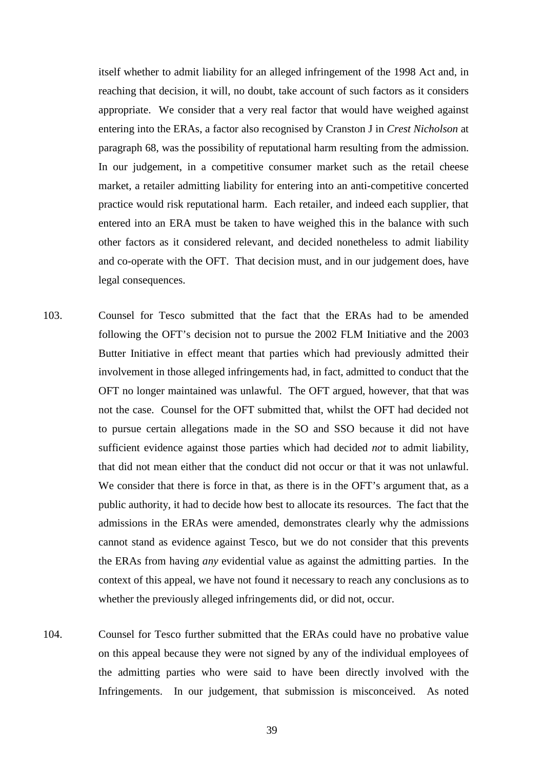itself whether to admit liability for an alleged infringement of the 1998 Act and, in reaching that decision, it will, no doubt, take account of such factors as it considers appropriate. We consider that a very real factor that would have weighed against entering into the ERAs, a factor also recognised by Cranston J in *Crest Nicholson* at paragraph 68, was the possibility of reputational harm resulting from the admission. In our judgement, in a competitive consumer market such as the retail cheese market, a retailer admitting liability for entering into an anti-competitive concerted practice would risk reputational harm. Each retailer, and indeed each supplier, that entered into an ERA must be taken to have weighed this in the balance with such other factors as it considered relevant, and decided nonetheless to admit liability and co-operate with the OFT. That decision must, and in our judgement does, have legal consequences.

- 103. Counsel for Tesco submitted that the fact that the ERAs had to be amended following the OFT's decision not to pursue the 2002 FLM Initiative and the 2003 Butter Initiative in effect meant that parties which had previously admitted their involvement in those alleged infringements had, in fact, admitted to conduct that the OFT no longer maintained was unlawful. The OFT argued, however, that that was not the case. Counsel for the OFT submitted that, whilst the OFT had decided not to pursue certain allegations made in the SO and SSO because it did not have sufficient evidence against those parties which had decided *not* to admit liability, that did not mean either that the conduct did not occur or that it was not unlawful. We consider that there is force in that, as there is in the OFT's argument that, as a public authority, it had to decide how best to allocate its resources. The fact that the admissions in the ERAs were amended, demonstrates clearly why the admissions cannot stand as evidence against Tesco, but we do not consider that this prevents the ERAs from having *any* evidential value as against the admitting parties. In the context of this appeal, we have not found it necessary to reach any conclusions as to whether the previously alleged infringements did, or did not, occur.
- 104. Counsel for Tesco further submitted that the ERAs could have no probative value on this appeal because they were not signed by any of the individual employees of the admitting parties who were said to have been directly involved with the Infringements. In our judgement, that submission is misconceived. As noted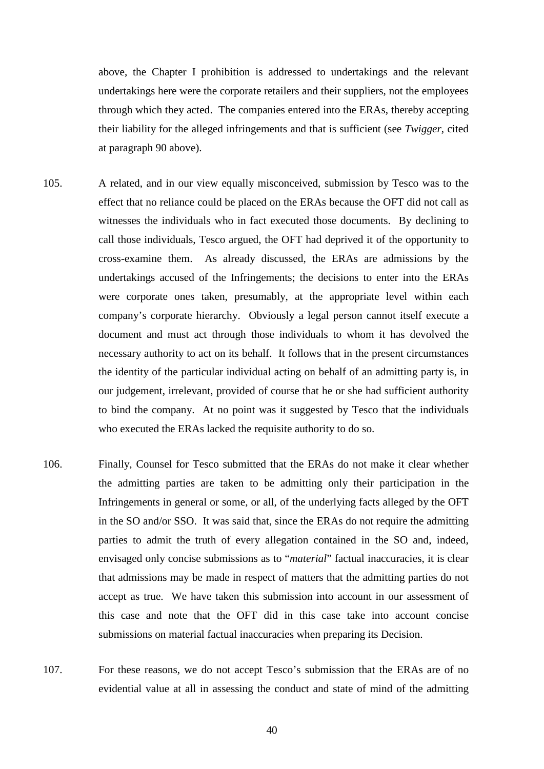above, the Chapter I prohibition is addressed to undertakings and the relevant undertakings here were the corporate retailers and their suppliers, not the employees through which they acted. The companies entered into the ERAs, thereby accepting their liability for the alleged infringements and that is sufficient (see *Twigger*, cited at paragraph [90](#page-39-1) above).

- 105. A related, and in our view equally misconceived, submission by Tesco was to the effect that no reliance could be placed on the ERAs because the OFT did not call as witnesses the individuals who in fact executed those documents. By declining to call those individuals, Tesco argued, the OFT had deprived it of the opportunity to cross-examine them. As already discussed, the ERAs are admissions by the undertakings accused of the Infringements; the decisions to enter into the ERAs were corporate ones taken, presumably, at the appropriate level within each company's corporate hierarchy. Obviously a legal person cannot itself execute a document and must act through those individuals to whom it has devolved the necessary authority to act on its behalf. It follows that in the present circumstances the identity of the particular individual acting on behalf of an admitting party is, in our judgement, irrelevant, provided of course that he or she had sufficient authority to bind the company. At no point was it suggested by Tesco that the individuals who executed the ERAs lacked the requisite authority to do so.
- 106. Finally, Counsel for Tesco submitted that the ERAs do not make it clear whether the admitting parties are taken to be admitting only their participation in the Infringements in general or some, or all, of the underlying facts alleged by the OFT in the SO and/or SSO. It was said that, since the ERAs do not require the admitting parties to admit the truth of every allegation contained in the SO and, indeed, envisaged only concise submissions as to "*material*" factual inaccuracies, it is clear that admissions may be made in respect of matters that the admitting parties do not accept as true. We have taken this submission into account in our assessment of this case and note that the OFT did in this case take into account concise submissions on material factual inaccuracies when preparing its Decision.
- 107. For these reasons, we do not accept Tesco's submission that the ERAs are of no evidential value at all in assessing the conduct and state of mind of the admitting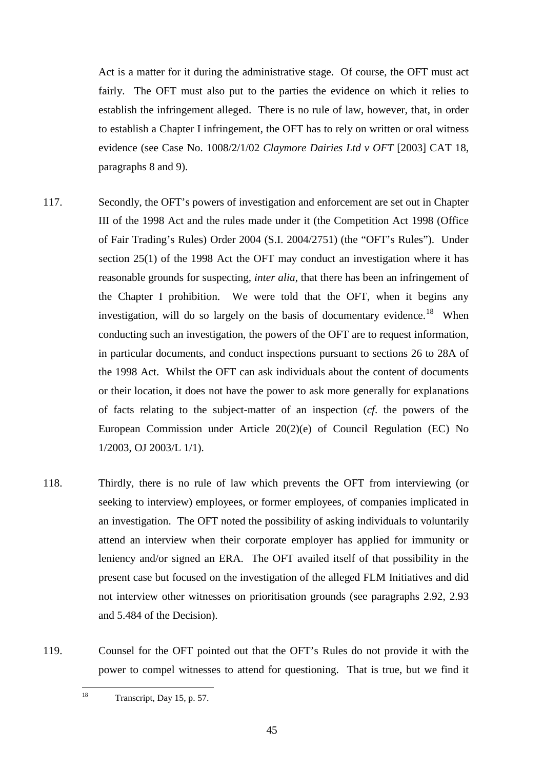Act is a matter for it during the administrative stage. Of course, the OFT must act fairly. The OFT must also put to the parties the evidence on which it relies to establish the infringement alleged. There is no rule of law, however, that, in order to establish a Chapter I infringement, the OFT has to rely on written or oral witness evidence (see Case No. 1008/2/1/02 *Claymore Dairies Ltd v OFT* [2003] CAT 18, paragraphs 8 and 9).

- 117. Secondly, the OFT's powers of investigation and enforcement are set out in Chapter III of the 1998 Act and the rules made under it (the Competition Act 1998 (Office of Fair Trading's Rules) Order 2004 (S.I. 2004/2751) (the "OFT's Rules"). Under section 25(1) of the 1998 Act the OFT may conduct an investigation where it has reasonable grounds for suspecting, *inter alia*, that there has been an infringement of the Chapter I prohibition. We were told that the OFT, when it begins any investigation, will do so largely on the basis of documentary evidence.<sup>18</sup> When conducting such an investigation, the powers of the OFT are to request information, in particular documents, and conduct inspections pursuant to sections 26 to 28A of the 1998 Act. Whilst the OFT can ask individuals about the content of documents or their location, it does not have the power to ask more generally for explanations of facts relating to the subject-matter of an inspection (*cf*. the powers of the European Commission under Article 20(2)(e) of Council Regulation (EC) No 1/2003, OJ 2003/L 1/1).
- 118. Thirdly, there is no rule of law which prevents the OFT from interviewing (or seeking to interview) employees, or former employees, of companies implicated in an investigation. The OFT noted the possibility of asking individuals to voluntarily attend an interview when their corporate employer has applied for immunity or leniency and/or signed an ERA. The OFT availed itself of that possibility in the present case but focused on the investigation of the alleged FLM Initiatives and did not interview other witnesses on prioritisation grounds (see paragraphs 2.92, 2.93 and 5.484 of the Decision).
- <span id="page-49-0"></span>119. Counsel for the OFT pointed out that the OFT's Rules do not provide it with the power to compel witnesses to attend for questioning. That is true, but we find it

<sup>18</sup> Transcript, Day 15, p. 57.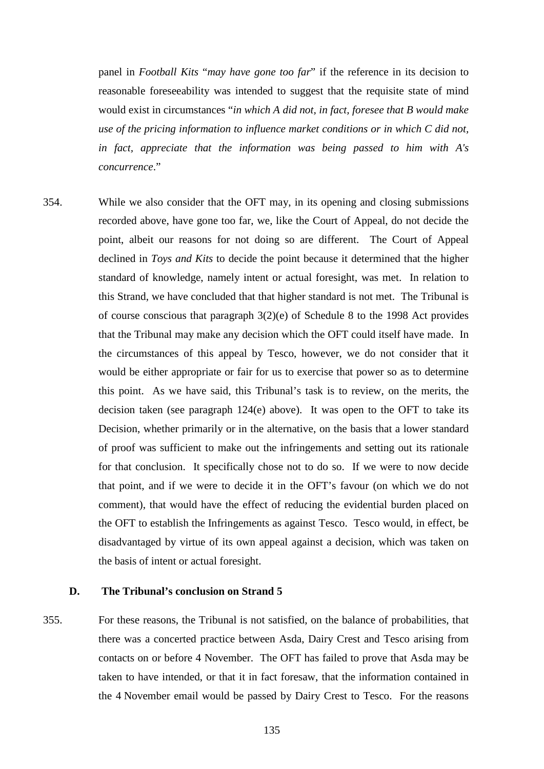panel in *Football Kits* "*may have gone too far*" if the reference in its decision to reasonable foreseeability was intended to suggest that the requisite state of mind would exist in circumstances "*in which A did not, in fact, foresee that B would make use of the pricing information to influence market conditions or in which C did not, in fact, appreciate that the information was being passed to him with A's concurrence*."

354. While we also consider that the OFT may, in its opening and closing submissions recorded above, have gone too far, we, like the Court of Appeal, do not decide the point, albeit our reasons for not doing so are different. The Court of Appeal declined in *Toys and Kits* to decide the point because it determined that the higher standard of knowledge, namely intent or actual foresight, was met. In relation to this Strand, we have concluded that that higher standard is not met. The Tribunal is of course conscious that paragraph 3(2)(e) of Schedule 8 to the 1998 Act provides that the Tribunal may make any decision which the OFT could itself have made. In the circumstances of this appeal by Tesco, however, we do not consider that it would be either appropriate or fair for us to exercise that power so as to determine this point. As we have said, this Tribunal's task is to review, on the merits, the decision taken (see paragraph [124\(e\)](#page-52-0) above). It was open to the OFT to take its Decision, whether primarily or in the alternative, on the basis that a lower standard of proof was sufficient to make out the infringements and setting out its rationale for that conclusion. It specifically chose not to do so. If we were to now decide that point, and if we were to decide it in the OFT's favour (on which we do not comment), that would have the effect of reducing the evidential burden placed on the OFT to establish the Infringements as against Tesco. Tesco would, in effect, be disadvantaged by virtue of its own appeal against a decision, which was taken on the basis of intent or actual foresight.

## **D. The Tribunal's conclusion on Strand 5**

355. For these reasons, the Tribunal is not satisfied, on the balance of probabilities, that there was a concerted practice between Asda, Dairy Crest and Tesco arising from contacts on or before 4 November. The OFT has failed to prove that Asda may be taken to have intended, or that it in fact foresaw, that the information contained in the 4 November email would be passed by Dairy Crest to Tesco. For the reasons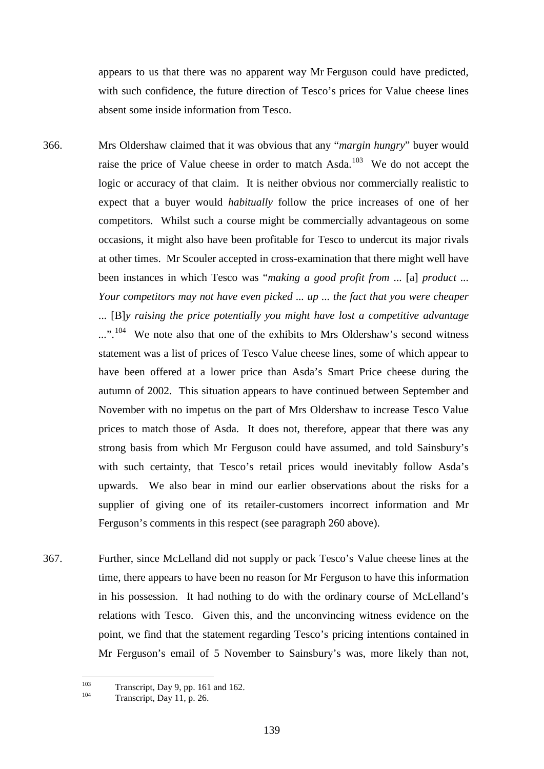appears to us that there was no apparent way Mr Ferguson could have predicted, with such confidence, the future direction of Tesco's prices for Value cheese lines absent some inside information from Tesco.

366. Mrs Oldershaw claimed that it was obvious that any "*margin hungry*" buyer would raise the price of Value cheese in order to match  $\text{Asda}$ <sup>103</sup> We do not accept the logic or accuracy of that claim. It is neither obvious nor commercially realistic to expect that a buyer would *habitually* follow the price increases of one of her competitors. Whilst such a course might be commercially advantageous on some occasions, it might also have been profitable for Tesco to undercut its major rivals at other times. Mr Scouler accepted in cross-examination that there might well have been instances in which Tesco was "*making a good profit from* ... [a] *product ... Your competitors may not have even picked ... up ... the fact that you were cheaper* ... [B]*y raising the price potentially you might have lost a competitive advantage*  ...".<sup>[104](#page-143-1)</sup> We note also that one of the exhibits to Mrs Oldershaw's second witness statement was a list of prices of Tesco Value cheese lines, some of which appear to have been offered at a lower price than Asda's Smart Price cheese during the autumn of 2002. This situation appears to have continued between September and November with no impetus on the part of Mrs Oldershaw to increase Tesco Value prices to match those of Asda. It does not, therefore, appear that there was any strong basis from which Mr Ferguson could have assumed, and told Sainsbury's with such certainty, that Tesco's retail prices would inevitably follow Asda's upwards. We also bear in mind our earlier observations about the risks for a supplier of giving one of its retailer-customers incorrect information and Mr Ferguson's comments in this respect (see paragraph [260](#page-102-0) above).

367. Further, since McLelland did not supply or pack Tesco's Value cheese lines at the time, there appears to have been no reason for Mr Ferguson to have this information in his possession. It had nothing to do with the ordinary course of McLelland's relations with Tesco. Given this, and the unconvincing witness evidence on the point, we find that the statement regarding Tesco's pricing intentions contained in Mr Ferguson's email of 5 November to Sainsbury's was, more likely than not,

<span id="page-143-1"></span><span id="page-143-0"></span><sup>&</sup>lt;sup>103</sup> Transcript, Day 9, pp. 161 and 162.<br>Transcript, Day 11, p. 26.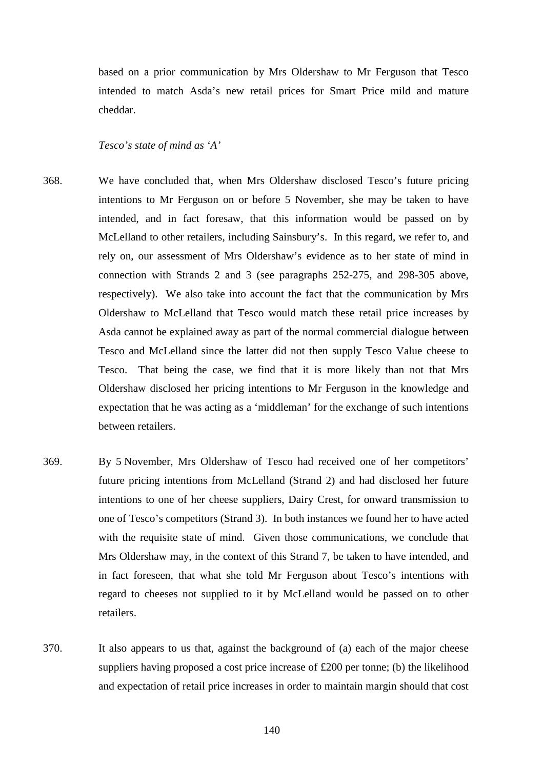based on a prior communication by Mrs Oldershaw to Mr Ferguson that Tesco intended to match Asda's new retail prices for Smart Price mild and mature cheddar.

# *Tesco's state of mind as 'A'*

- 368. We have concluded that, when Mrs Oldershaw disclosed Tesco's future pricing intentions to Mr Ferguson on or before 5 November, she may be taken to have intended, and in fact foresaw, that this information would be passed on by McLelland to other retailers, including Sainsbury's. In this regard, we refer to, and rely on, our assessment of Mrs Oldershaw's evidence as to her state of mind in connection with Strands 2 and 3 (see paragraphs [252](#page-98-0)[-275,](#page-109-0) and [298-](#page-118-0)[305](#page-121-0) above, respectively). We also take into account the fact that the communication by Mrs Oldershaw to McLelland that Tesco would match these retail price increases by Asda cannot be explained away as part of the normal commercial dialogue between Tesco and McLelland since the latter did not then supply Tesco Value cheese to Tesco. That being the case, we find that it is more likely than not that Mrs Oldershaw disclosed her pricing intentions to Mr Ferguson in the knowledge and expectation that he was acting as a 'middleman' for the exchange of such intentions between retailers.
- 369. By 5 November, Mrs Oldershaw of Tesco had received one of her competitors' future pricing intentions from McLelland (Strand 2) and had disclosed her future intentions to one of her cheese suppliers, Dairy Crest, for onward transmission to one of Tesco's competitors (Strand 3). In both instances we found her to have acted with the requisite state of mind. Given those communications, we conclude that Mrs Oldershaw may, in the context of this Strand 7, be taken to have intended, and in fact foreseen, that what she told Mr Ferguson about Tesco's intentions with regard to cheeses not supplied to it by McLelland would be passed on to other retailers.
- 370. It also appears to us that, against the background of (a) each of the major cheese suppliers having proposed a cost price increase of £200 per tonne; (b) the likelihood and expectation of retail price increases in order to maintain margin should that cost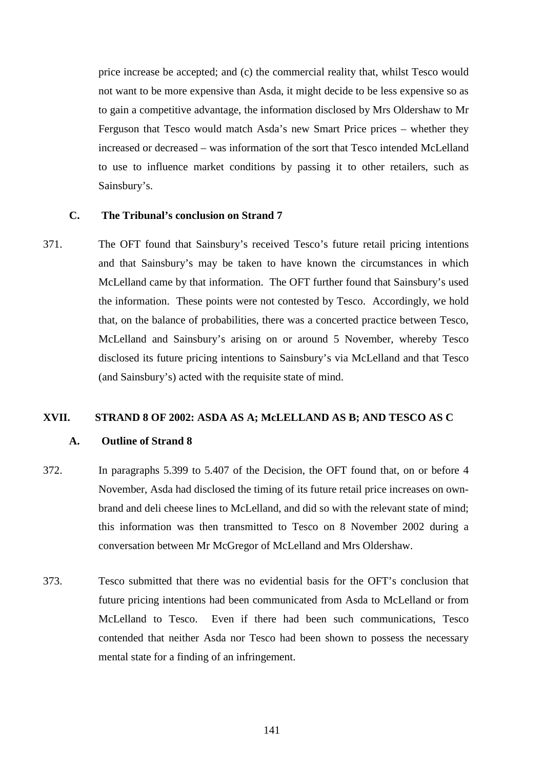price increase be accepted; and (c) the commercial reality that, whilst Tesco would not want to be more expensive than Asda, it might decide to be less expensive so as to gain a competitive advantage, the information disclosed by Mrs Oldershaw to Mr Ferguson that Tesco would match Asda's new Smart Price prices – whether they increased or decreased – was information of the sort that Tesco intended McLelland to use to influence market conditions by passing it to other retailers, such as Sainsbury's.

# **C. The Tribunal's conclusion on Strand 7**

371. The OFT found that Sainsbury's received Tesco's future retail pricing intentions and that Sainsbury's may be taken to have known the circumstances in which McLelland came by that information. The OFT further found that Sainsbury's used the information. These points were not contested by Tesco. Accordingly, we hold that, on the balance of probabilities, there was a concerted practice between Tesco, McLelland and Sainsbury's arising on or around 5 November, whereby Tesco disclosed its future pricing intentions to Sainsbury's via McLelland and that Tesco (and Sainsbury's) acted with the requisite state of mind.

## **XVII. STRAND 8 OF 2002: ASDA AS A; McLELLAND AS B; AND TESCO AS C**

#### **A. Outline of Strand 8**

- 372. In paragraphs 5.399 to 5.407 of the Decision, the OFT found that, on or before 4 November, Asda had disclosed the timing of its future retail price increases on ownbrand and deli cheese lines to McLelland, and did so with the relevant state of mind; this information was then transmitted to Tesco on 8 November 2002 during a conversation between Mr McGregor of McLelland and Mrs Oldershaw.
- 373. Tesco submitted that there was no evidential basis for the OFT's conclusion that future pricing intentions had been communicated from Asda to McLelland or from McLelland to Tesco. Even if there had been such communications, Tesco contended that neither Asda nor Tesco had been shown to possess the necessary mental state for a finding of an infringement.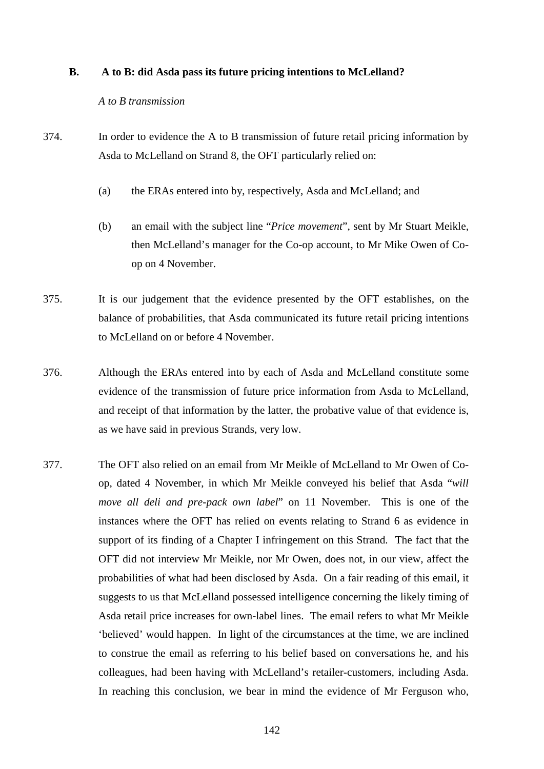### **B. A to B: did Asda pass its future pricing intentions to McLelland?**

### *A to B transmission*

- 374. In order to evidence the A to B transmission of future retail pricing information by Asda to McLelland on Strand 8, the OFT particularly relied on:
	- (a) the ERAs entered into by, respectively, Asda and McLelland; and
	- (b) an email with the subject line "*Price movement*", sent by Mr Stuart Meikle, then McLelland's manager for the Co-op account, to Mr Mike Owen of Coop on 4 November.
- 375. It is our judgement that the evidence presented by the OFT establishes, on the balance of probabilities, that Asda communicated its future retail pricing intentions to McLelland on or before 4 November.
- 376. Although the ERAs entered into by each of Asda and McLelland constitute some evidence of the transmission of future price information from Asda to McLelland, and receipt of that information by the latter, the probative value of that evidence is, as we have said in previous Strands, very low.
- 377. The OFT also relied on an email from Mr Meikle of McLelland to Mr Owen of Coop, dated 4 November, in which Mr Meikle conveyed his belief that Asda "*will move all deli and pre-pack own label*" on 11 November. This is one of the instances where the OFT has relied on events relating to Strand 6 as evidence in support of its finding of a Chapter I infringement on this Strand. The fact that the OFT did not interview Mr Meikle, nor Mr Owen, does not, in our view, affect the probabilities of what had been disclosed by Asda. On a fair reading of this email, it suggests to us that McLelland possessed intelligence concerning the likely timing of Asda retail price increases for own-label lines. The email refers to what Mr Meikle 'believed' would happen. In light of the circumstances at the time, we are inclined to construe the email as referring to his belief based on conversations he, and his colleagues, had been having with McLelland's retailer-customers, including Asda. In reaching this conclusion, we bear in mind the evidence of Mr Ferguson who,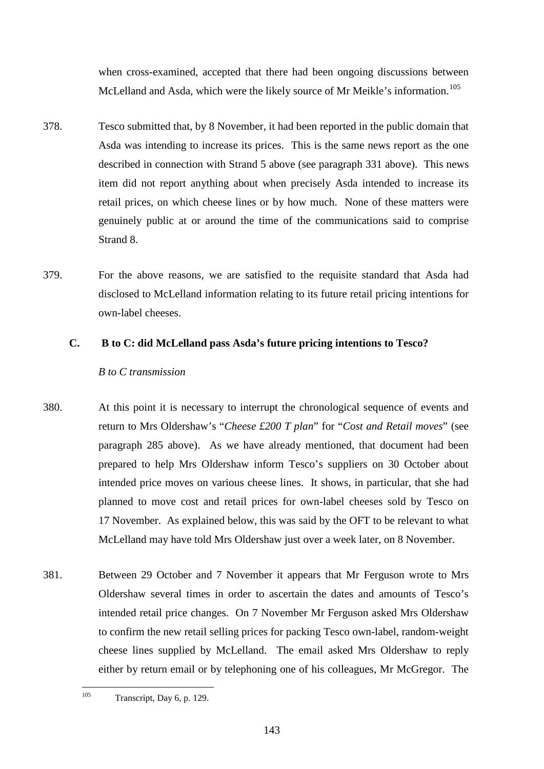when cross-examined, accepted that there had been ongoing discussions between McLelland and Asda, which were the likely source of Mr Meikle's information.<sup>[105](#page-147-0)</sup>

- 378. Tesco submitted that, by 8 November, it had been reported in the public domain that Asda was intending to increase its prices. This is the same news report as the one described in connection with Strand 5 above (see paragraph [331](#page-131-0) above). This news item did not report anything about when precisely Asda intended to increase its retail prices, on which cheese lines or by how much. None of these matters were genuinely public at or around the time of the communications said to comprise Strand 8.
- 379. For the above reasons, we are satisfied to the requisite standard that Asda had disclosed to McLelland information relating to its future retail pricing intentions for own-label cheeses.

# **C. B to C: did McLelland pass Asda's future pricing intentions to Tesco?**

# *B to C transmission*

- 380. At this point it is necessary to interrupt the chronological sequence of events and return to Mrs Oldershaw's "*Cheese £200 T plan*" for "*Cost and Retail moves*" (see paragraph [285](#page-112-0) above). As we have already mentioned, that document had been prepared to help Mrs Oldershaw inform Tesco's suppliers on 30 October about intended price moves on various cheese lines. It shows, in particular, that she had planned to move cost and retail prices for own-label cheeses sold by Tesco on 17 November. As explained below, this was said by the OFT to be relevant to what McLelland may have told Mrs Oldershaw just over a week later, on 8 November.
- 381. Between 29 October and 7 November it appears that Mr Ferguson wrote to Mrs Oldershaw several times in order to ascertain the dates and amounts of Tesco's intended retail price changes. On 7 November Mr Ferguson asked Mrs Oldershaw to confirm the new retail selling prices for packing Tesco own-label, random-weight cheese lines supplied by McLelland. The email asked Mrs Oldershaw to reply either by return email or by telephoning one of his colleagues, Mr McGregor. The

<span id="page-147-0"></span><sup>&</sup>lt;sup>105</sup> Transcript, Day 6, p. 129.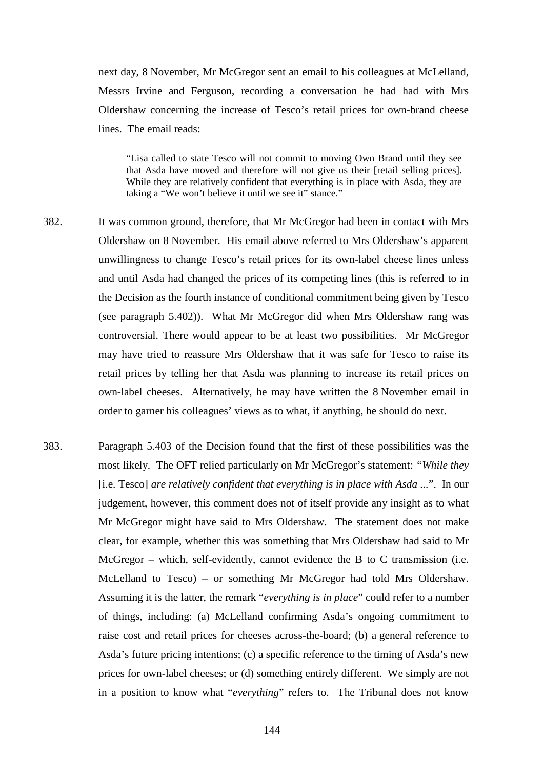next day, 8 November, Mr McGregor sent an email to his colleagues at McLelland, Messrs Irvine and Ferguson, recording a conversation he had had with Mrs Oldershaw concerning the increase of Tesco's retail prices for own-brand cheese lines. The email reads:

"Lisa called to state Tesco will not commit to moving Own Brand until they see that Asda have moved and therefore will not give us their [retail selling prices]. While they are relatively confident that everything is in place with Asda, they are taking a "We won't believe it until we see it" stance."

- <span id="page-148-0"></span>382. It was common ground, therefore, that Mr McGregor had been in contact with Mrs Oldershaw on 8 November. His email above referred to Mrs Oldershaw's apparent unwillingness to change Tesco's retail prices for its own-label cheese lines unless and until Asda had changed the prices of its competing lines (this is referred to in the Decision as the fourth instance of conditional commitment being given by Tesco (see paragraph 5.402)). What Mr McGregor did when Mrs Oldershaw rang was controversial. There would appear to be at least two possibilities. Mr McGregor may have tried to reassure Mrs Oldershaw that it was safe for Tesco to raise its retail prices by telling her that Asda was planning to increase its retail prices on own-label cheeses. Alternatively, he may have written the 8 November email in order to garner his colleagues' views as to what, if anything, he should do next.
- 383. Paragraph 5.403 of the Decision found that the first of these possibilities was the most likely. The OFT relied particularly on Mr McGregor's statement: *"While they*  [i.e. Tesco] *are relatively confident that everything is in place with Asda ...*". In our judgement, however, this comment does not of itself provide any insight as to what Mr McGregor might have said to Mrs Oldershaw. The statement does not make clear, for example, whether this was something that Mrs Oldershaw had said to Mr McGregor – which, self-evidently, cannot evidence the B to C transmission (i.e. McLelland to Tesco) – or something Mr McGregor had told Mrs Oldershaw. Assuming it is the latter, the remark "*everything is in place*" could refer to a number of things, including: (a) McLelland confirming Asda's ongoing commitment to raise cost and retail prices for cheeses across-the-board; (b) a general reference to Asda's future pricing intentions; (c) a specific reference to the timing of Asda's new prices for own-label cheeses; or (d) something entirely different. We simply are not in a position to know what "*everything*" refers to. The Tribunal does not know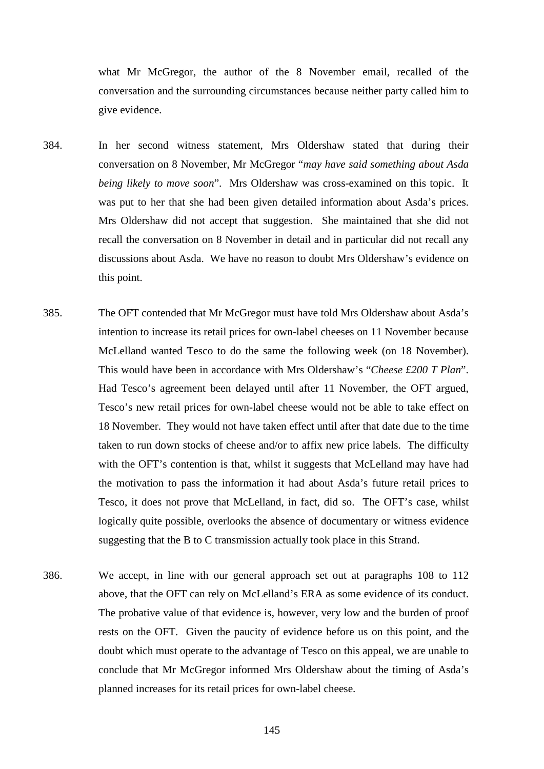what Mr McGregor, the author of the 8 November email, recalled of the conversation and the surrounding circumstances because neither party called him to give evidence.

- <span id="page-149-0"></span>384. In her second witness statement, Mrs Oldershaw stated that during their conversation on 8 November, Mr McGregor "*may have said something about Asda being likely to move soon*". Mrs Oldershaw was cross-examined on this topic. It was put to her that she had been given detailed information about Asda's prices. Mrs Oldershaw did not accept that suggestion. She maintained that she did not recall the conversation on 8 November in detail and in particular did not recall any discussions about Asda. We have no reason to doubt Mrs Oldershaw's evidence on this point.
- 385. The OFT contended that Mr McGregor must have told Mrs Oldershaw about Asda's intention to increase its retail prices for own-label cheeses on 11 November because McLelland wanted Tesco to do the same the following week (on 18 November). This would have been in accordance with Mrs Oldershaw's "*Cheese £200 T Plan*". Had Tesco's agreement been delayed until after 11 November, the OFT argued, Tesco's new retail prices for own-label cheese would not be able to take effect on 18 November. They would not have taken effect until after that date due to the time taken to run down stocks of cheese and/or to affix new price labels. The difficulty with the OFT's contention is that, whilst it suggests that McLelland may have had the motivation to pass the information it had about Asda's future retail prices to Tesco, it does not prove that McLelland, in fact, did so. The OFT's case, whilst logically quite possible, overlooks the absence of documentary or witness evidence suggesting that the B to C transmission actually took place in this Strand.
- 386. We accept, in line with our general approach set out at paragraphs [108](#page-45-0) to [112](#page-47-0) above, that the OFT can rely on McLelland's ERA as some evidence of its conduct. The probative value of that evidence is, however, very low and the burden of proof rests on the OFT. Given the paucity of evidence before us on this point, and the doubt which must operate to the advantage of Tesco on this appeal, we are unable to conclude that Mr McGregor informed Mrs Oldershaw about the timing of Asda's planned increases for its retail prices for own-label cheese.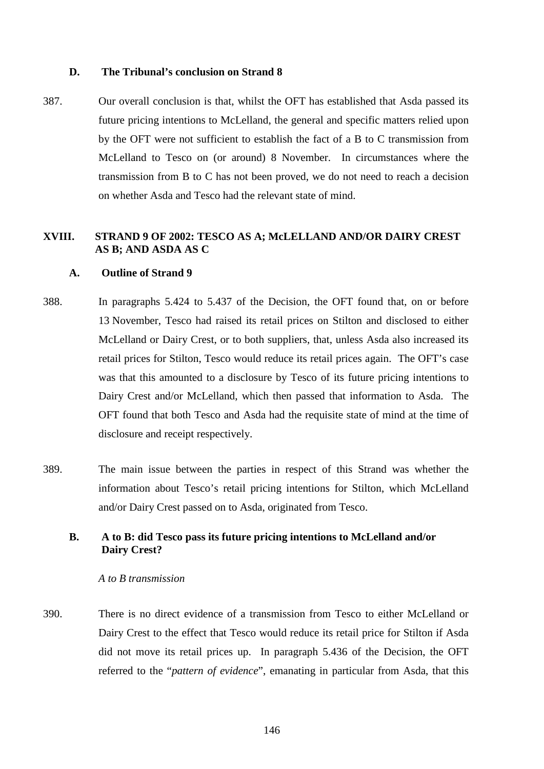### **D. The Tribunal's conclusion on Strand 8**

387. Our overall conclusion is that, whilst the OFT has established that Asda passed its future pricing intentions to McLelland, the general and specific matters relied upon by the OFT were not sufficient to establish the fact of a B to C transmission from McLelland to Tesco on (or around) 8 November. In circumstances where the transmission from B to C has not been proved, we do not need to reach a decision on whether Asda and Tesco had the relevant state of mind.

# **XVIII. STRAND 9 OF 2002: TESCO AS A; McLELLAND AND/OR DAIRY CREST AS B; AND ASDA AS C**

# **A. Outline of Strand 9**

- 388. In paragraphs 5.424 to 5.437 of the Decision, the OFT found that, on or before 13 November, Tesco had raised its retail prices on Stilton and disclosed to either McLelland or Dairy Crest, or to both suppliers, that, unless Asda also increased its retail prices for Stilton, Tesco would reduce its retail prices again. The OFT's case was that this amounted to a disclosure by Tesco of its future pricing intentions to Dairy Crest and/or McLelland, which then passed that information to Asda. The OFT found that both Tesco and Asda had the requisite state of mind at the time of disclosure and receipt respectively.
- 389. The main issue between the parties in respect of this Strand was whether the information about Tesco's retail pricing intentions for Stilton, which McLelland and/or Dairy Crest passed on to Asda, originated from Tesco.

# **B. A to B: did Tesco pass its future pricing intentions to McLelland and/or Dairy Crest?**

## *A to B transmission*

390. There is no direct evidence of a transmission from Tesco to either McLelland or Dairy Crest to the effect that Tesco would reduce its retail price for Stilton if Asda did not move its retail prices up. In paragraph 5.436 of the Decision, the OFT referred to the "*pattern of evidence*", emanating in particular from Asda, that this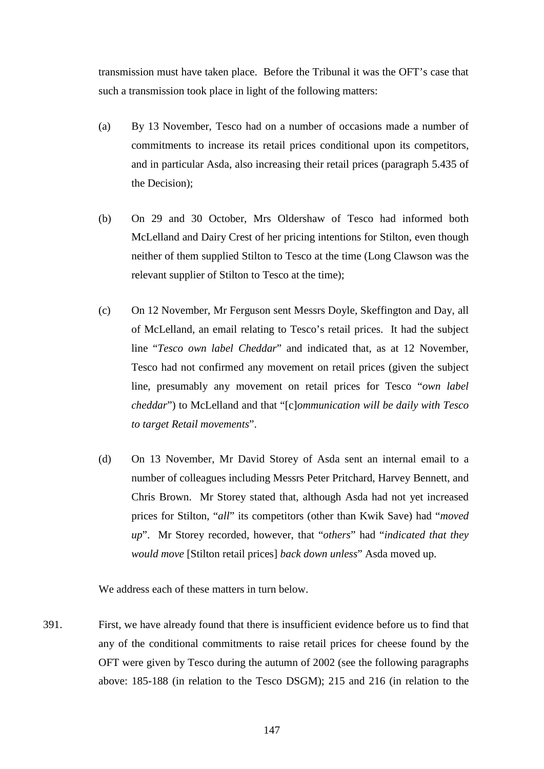transmission must have taken place. Before the Tribunal it was the OFT's case that such a transmission took place in light of the following matters:

- (a) By 13 November, Tesco had on a number of occasions made a number of commitments to increase its retail prices conditional upon its competitors, and in particular Asda, also increasing their retail prices (paragraph 5.435 of the Decision);
- (b) On 29 and 30 October, Mrs Oldershaw of Tesco had informed both McLelland and Dairy Crest of her pricing intentions for Stilton, even though neither of them supplied Stilton to Tesco at the time (Long Clawson was the relevant supplier of Stilton to Tesco at the time);
- (c) On 12 November, Mr Ferguson sent Messrs Doyle, Skeffington and Day, all of McLelland, an email relating to Tesco's retail prices. It had the subject line "*Tesco own label Cheddar*" and indicated that, as at 12 November, Tesco had not confirmed any movement on retail prices (given the subject line, presumably any movement on retail prices for Tesco "*own label cheddar*") to McLelland and that "[c]*ommunication will be daily with Tesco to target Retail movements*".
- (d) On 13 November, Mr David Storey of Asda sent an internal email to a number of colleagues including Messrs Peter Pritchard, Harvey Bennett, and Chris Brown. Mr Storey stated that, although Asda had not yet increased prices for Stilton, "*all*" its competitors (other than Kwik Save) had "*moved up*". Mr Storey recorded, however, that "*others*" had "*indicated that they would move* [Stilton retail prices] *back down unless*" Asda moved up.

We address each of these matters in turn below.

391. First, we have already found that there is insufficient evidence before us to find that any of the conditional commitments to raise retail prices for cheese found by the OFT were given by Tesco during the autumn of 2002 (see the following paragraphs above: [185](#page-72-0)[-188](#page-73-0) (in relation to the Tesco DSGM); [215](#page-83-0) and [216](#page-84-0) (in relation to the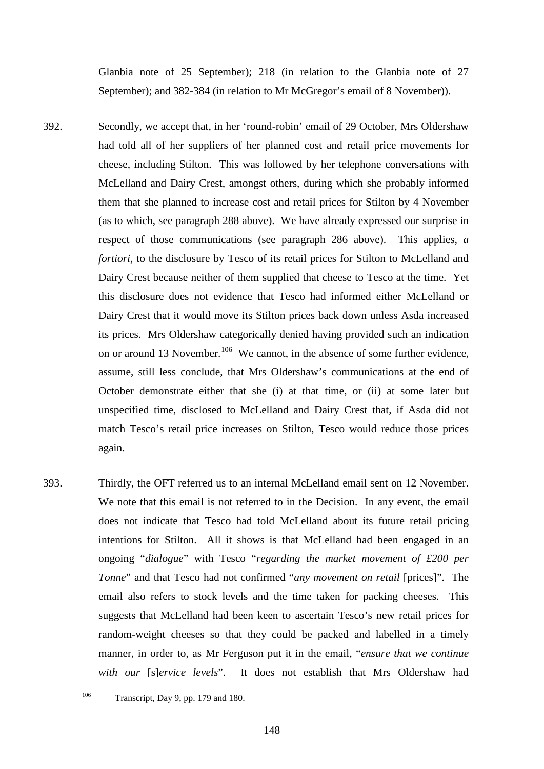Glanbia note of 25 September); [218](#page-84-1) (in relation to the Glanbia note of 27 September); and [382-](#page-148-0)[384](#page-149-0) (in relation to Mr McGregor's email of 8 November)).

- 392. Secondly, we accept that, in her 'round-robin' email of 29 October, Mrs Oldershaw had told all of her suppliers of her planned cost and retail price movements for cheese, including Stilton. This was followed by her telephone conversations with McLelland and Dairy Crest, amongst others, during which she probably informed them that she planned to increase cost and retail prices for Stilton by 4 November (as to which, see paragraph [288](#page-114-0) above). We have already expressed our surprise in respect of those communications (see paragraph [286](#page-113-0) above). This applies, *a fortiori*, to the disclosure by Tesco of its retail prices for Stilton to McLelland and Dairy Crest because neither of them supplied that cheese to Tesco at the time. Yet this disclosure does not evidence that Tesco had informed either McLelland or Dairy Crest that it would move its Stilton prices back down unless Asda increased its prices. Mrs Oldershaw categorically denied having provided such an indication on or around 13 November.<sup>[106](#page-152-0)</sup> We cannot, in the absence of some further evidence, assume, still less conclude, that Mrs Oldershaw's communications at the end of October demonstrate either that she (i) at that time, or (ii) at some later but unspecified time, disclosed to McLelland and Dairy Crest that, if Asda did not match Tesco's retail price increases on Stilton, Tesco would reduce those prices again.
- 393. Thirdly, the OFT referred us to an internal McLelland email sent on 12 November. We note that this email is not referred to in the Decision. In any event, the email does not indicate that Tesco had told McLelland about its future retail pricing intentions for Stilton. All it shows is that McLelland had been engaged in an ongoing "*dialogue*" with Tesco "*regarding the market movement of £200 per Tonne*" and that Tesco had not confirmed "*any movement on retail* [prices]". The email also refers to stock levels and the time taken for packing cheeses. This suggests that McLelland had been keen to ascertain Tesco's new retail prices for random-weight cheeses so that they could be packed and labelled in a timely manner, in order to, as Mr Ferguson put it in the email, "*ensure that we continue with our* [s]*ervice levels*". It does not establish that Mrs Oldershaw had

<span id="page-152-0"></span><sup>&</sup>lt;sup>106</sup> Transcript, Day 9, pp. 179 and 180.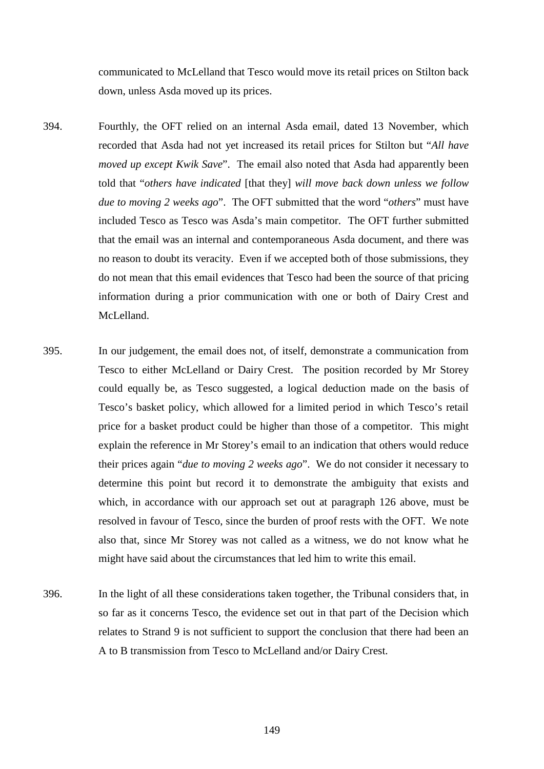communicated to McLelland that Tesco would move its retail prices on Stilton back down, unless Asda moved up its prices.

- 394. Fourthly, the OFT relied on an internal Asda email, dated 13 November, which recorded that Asda had not yet increased its retail prices for Stilton but "*All have moved up except Kwik Save*". The email also noted that Asda had apparently been told that "*others have indicated* [that they] *will move back down unless we follow due to moving 2 weeks ago*". The OFT submitted that the word "*others*" must have included Tesco as Tesco was Asda's main competitor. The OFT further submitted that the email was an internal and contemporaneous Asda document, and there was no reason to doubt its veracity. Even if we accepted both of those submissions, they do not mean that this email evidences that Tesco had been the source of that pricing information during a prior communication with one or both of Dairy Crest and McLelland.
- 395. In our judgement, the email does not, of itself, demonstrate a communication from Tesco to either McLelland or Dairy Crest. The position recorded by Mr Storey could equally be, as Tesco suggested, a logical deduction made on the basis of Tesco's basket policy, which allowed for a limited period in which Tesco's retail price for a basket product could be higher than those of a competitor. This might explain the reference in Mr Storey's email to an indication that others would reduce their prices again "*due to moving 2 weeks ago*". We do not consider it necessary to determine this point but record it to demonstrate the ambiguity that exists and which, in accordance with our approach set out at paragraph [126](#page-53-0) above, must be resolved in favour of Tesco, since the burden of proof rests with the OFT. We note also that, since Mr Storey was not called as a witness, we do not know what he might have said about the circumstances that led him to write this email.
- 396. In the light of all these considerations taken together, the Tribunal considers that, in so far as it concerns Tesco, the evidence set out in that part of the Decision which relates to Strand 9 is not sufficient to support the conclusion that there had been an A to B transmission from Tesco to McLelland and/or Dairy Crest.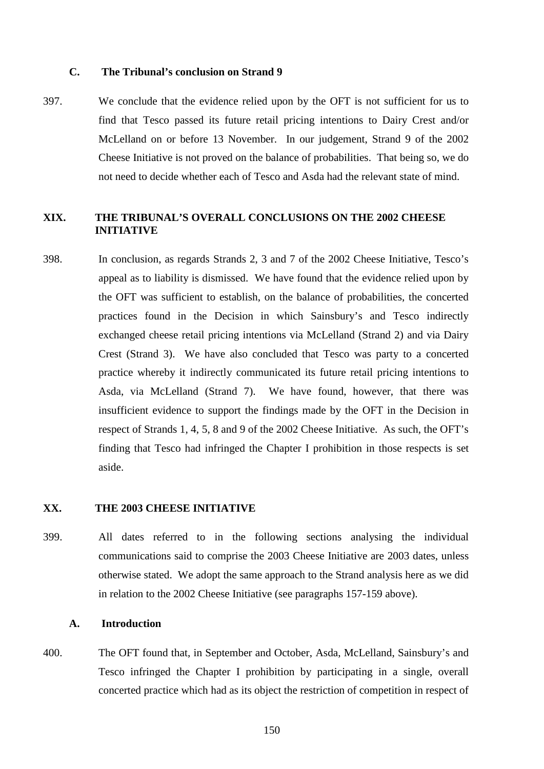## **C. The Tribunal's conclusion on Strand 9**

397. We conclude that the evidence relied upon by the OFT is not sufficient for us to find that Tesco passed its future retail pricing intentions to Dairy Crest and/or McLelland on or before 13 November. In our judgement, Strand 9 of the 2002 Cheese Initiative is not proved on the balance of probabilities. That being so, we do not need to decide whether each of Tesco and Asda had the relevant state of mind.

# **XIX. THE TRIBUNAL'S OVERALL CONCLUSIONS ON THE 2002 CHEESE INITIATIVE**

398. In conclusion, as regards Strands 2, 3 and 7 of the 2002 Cheese Initiative, Tesco's appeal as to liability is dismissed. We have found that the evidence relied upon by the OFT was sufficient to establish, on the balance of probabilities, the concerted practices found in the Decision in which Sainsbury's and Tesco indirectly exchanged cheese retail pricing intentions via McLelland (Strand 2) and via Dairy Crest (Strand 3). We have also concluded that Tesco was party to a concerted practice whereby it indirectly communicated its future retail pricing intentions to Asda, via McLelland (Strand 7). We have found, however, that there was insufficient evidence to support the findings made by the OFT in the Decision in respect of Strands 1, 4, 5, 8 and 9 of the 2002 Cheese Initiative. As such, the OFT's finding that Tesco had infringed the Chapter I prohibition in those respects is set aside.

## **XX. THE 2003 CHEESE INITIATIVE**

399. All dates referred to in the following sections analysing the individual communications said to comprise the 2003 Cheese Initiative are 2003 dates, unless otherwise stated. We adopt the same approach to the Strand analysis here as we did in relation to the 2002 Cheese Initiative (see paragraphs [157-](#page-63-0)[159](#page-64-0) above).

### **A. Introduction**

400. The OFT found that, in September and October, Asda, McLelland, Sainsbury's and Tesco infringed the Chapter I prohibition by participating in a single, overall concerted practice which had as its object the restriction of competition in respect of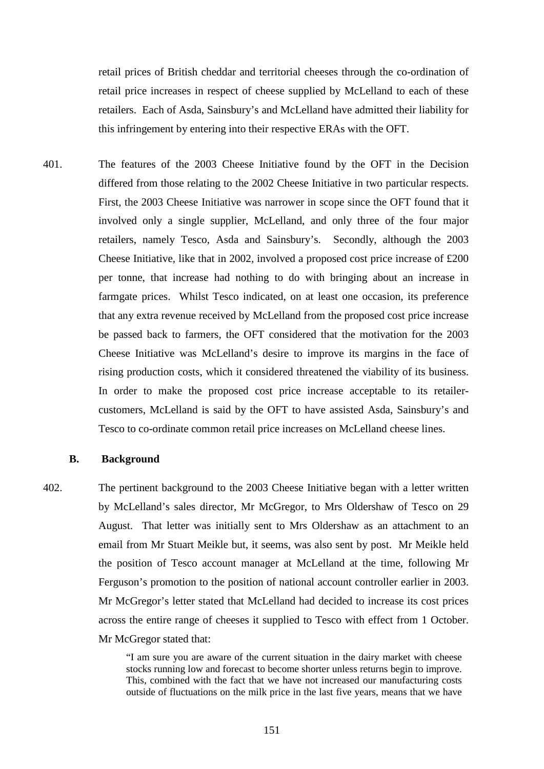retail prices of British cheddar and territorial cheeses through the co-ordination of retail price increases in respect of cheese supplied by McLelland to each of these retailers. Each of Asda, Sainsbury's and McLelland have admitted their liability for this infringement by entering into their respective ERAs with the OFT.

401. The features of the 2003 Cheese Initiative found by the OFT in the Decision differed from those relating to the 2002 Cheese Initiative in two particular respects. First, the 2003 Cheese Initiative was narrower in scope since the OFT found that it involved only a single supplier, McLelland, and only three of the four major retailers, namely Tesco, Asda and Sainsbury's. Secondly, although the 2003 Cheese Initiative, like that in 2002, involved a proposed cost price increase of £200 per tonne, that increase had nothing to do with bringing about an increase in farmgate prices. Whilst Tesco indicated, on at least one occasion, its preference that any extra revenue received by McLelland from the proposed cost price increase be passed back to farmers, the OFT considered that the motivation for the 2003 Cheese Initiative was McLelland's desire to improve its margins in the face of rising production costs, which it considered threatened the viability of its business. In order to make the proposed cost price increase acceptable to its retailercustomers, McLelland is said by the OFT to have assisted Asda, Sainsbury's and Tesco to co-ordinate common retail price increases on McLelland cheese lines.

#### **B. Background**

402. The pertinent background to the 2003 Cheese Initiative began with a letter written by McLelland's sales director, Mr McGregor, to Mrs Oldershaw of Tesco on 29 August. That letter was initially sent to Mrs Oldershaw as an attachment to an email from Mr Stuart Meikle but, it seems, was also sent by post. Mr Meikle held the position of Tesco account manager at McLelland at the time, following Mr Ferguson's promotion to the position of national account controller earlier in 2003. Mr McGregor's letter stated that McLelland had decided to increase its cost prices across the entire range of cheeses it supplied to Tesco with effect from 1 October. Mr McGregor stated that:

> "I am sure you are aware of the current situation in the dairy market with cheese stocks running low and forecast to become shorter unless returns begin to improve. This, combined with the fact that we have not increased our manufacturing costs outside of fluctuations on the milk price in the last five years, means that we have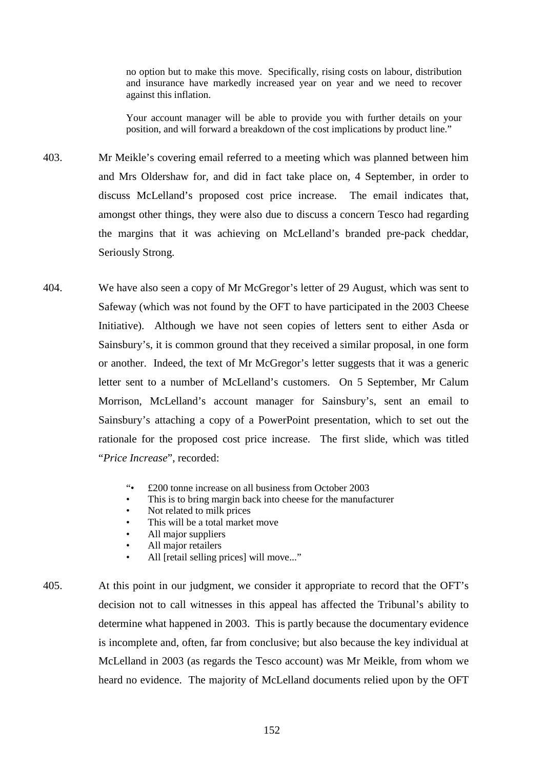no option but to make this move. Specifically, rising costs on labour, distribution and insurance have markedly increased year on year and we need to recover against this inflation.

Your account manager will be able to provide you with further details on your position, and will forward a breakdown of the cost implications by product line."

- 403. Mr Meikle's covering email referred to a meeting which was planned between him and Mrs Oldershaw for, and did in fact take place on, 4 September, in order to discuss McLelland's proposed cost price increase. The email indicates that, amongst other things, they were also due to discuss a concern Tesco had regarding the margins that it was achieving on McLelland's branded pre-pack cheddar, Seriously Strong.
- <span id="page-156-0"></span>404. We have also seen a copy of Mr McGregor's letter of 29 August, which was sent to Safeway (which was not found by the OFT to have participated in the 2003 Cheese Initiative). Although we have not seen copies of letters sent to either Asda or Sainsbury's, it is common ground that they received a similar proposal, in one form or another. Indeed, the text of Mr McGregor's letter suggests that it was a generic letter sent to a number of McLelland's customers. On 5 September, Mr Calum Morrison, McLelland's account manager for Sainsbury's, sent an email to Sainsbury's attaching a copy of a PowerPoint presentation, which to set out the rationale for the proposed cost price increase. The first slide, which was titled "*Price Increase*", recorded:
	- "• £200 tonne increase on all business from October 2003
	- This is to bring margin back into cheese for the manufacturer
	- Not related to milk prices
	- This will be a total market move
	- All major suppliers
	- All major retailers
	- All [retail selling prices] will move..."
- 405. At this point in our judgment, we consider it appropriate to record that the OFT's decision not to call witnesses in this appeal has affected the Tribunal's ability to determine what happened in 2003. This is partly because the documentary evidence is incomplete and, often, far from conclusive; but also because the key individual at McLelland in 2003 (as regards the Tesco account) was Mr Meikle, from whom we heard no evidence. The majority of McLelland documents relied upon by the OFT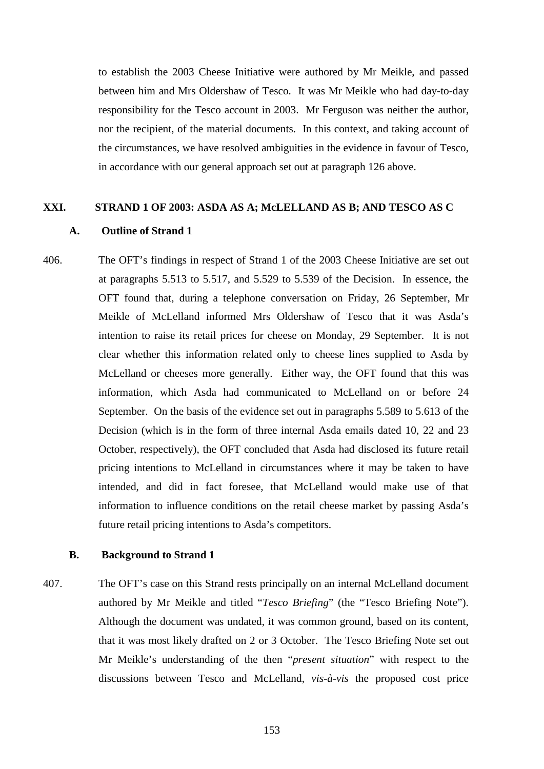to establish the 2003 Cheese Initiative were authored by Mr Meikle, and passed between him and Mrs Oldershaw of Tesco. It was Mr Meikle who had day-to-day responsibility for the Tesco account in 2003. Mr Ferguson was neither the author, nor the recipient, of the material documents. In this context, and taking account of the circumstances, we have resolved ambiguities in the evidence in favour of Tesco, in accordance with our general approach set out at paragraph [126](#page-53-0) above.

## **XXI. STRAND 1 OF 2003: ASDA AS A; McLELLAND AS B; AND TESCO AS C**

### **A. Outline of Strand 1**

406. The OFT's findings in respect of Strand 1 of the 2003 Cheese Initiative are set out at paragraphs 5.513 to 5.517, and 5.529 to 5.539 of the Decision. In essence, the OFT found that, during a telephone conversation on Friday, 26 September, Mr Meikle of McLelland informed Mrs Oldershaw of Tesco that it was Asda's intention to raise its retail prices for cheese on Monday, 29 September. It is not clear whether this information related only to cheese lines supplied to Asda by McLelland or cheeses more generally. Either way, the OFT found that this was information, which Asda had communicated to McLelland on or before 24 September. On the basis of the evidence set out in paragraphs 5.589 to 5.613 of the Decision (which is in the form of three internal Asda emails dated 10, 22 and 23 October, respectively), the OFT concluded that Asda had disclosed its future retail pricing intentions to McLelland in circumstances where it may be taken to have intended, and did in fact foresee, that McLelland would make use of that information to influence conditions on the retail cheese market by passing Asda's future retail pricing intentions to Asda's competitors.

# **B. Background to Strand 1**

407. The OFT's case on this Strand rests principally on an internal McLelland document authored by Mr Meikle and titled "*Tesco Briefing*" (the "Tesco Briefing Note"). Although the document was undated, it was common ground, based on its content, that it was most likely drafted on 2 or 3 October. The Tesco Briefing Note set out Mr Meikle's understanding of the then "*present situation*" with respect to the discussions between Tesco and McLelland, *vis-à-vis* the proposed cost price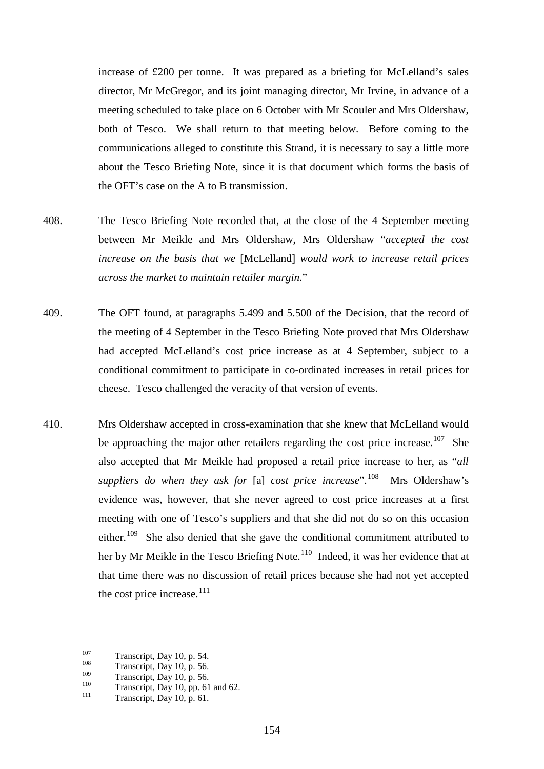increase of £200 per tonne. It was prepared as a briefing for McLelland's sales director, Mr McGregor, and its joint managing director, Mr Irvine, in advance of a meeting scheduled to take place on 6 October with Mr Scouler and Mrs Oldershaw, both of Tesco. We shall return to that meeting below. Before coming to the communications alleged to constitute this Strand, it is necessary to say a little more about the Tesco Briefing Note, since it is that document which forms the basis of the OFT's case on the A to B transmission.

- 408. The Tesco Briefing Note recorded that, at the close of the 4 September meeting between Mr Meikle and Mrs Oldershaw, Mrs Oldershaw "*accepted the cost increase on the basis that we* [McLelland] *would work to increase retail prices across the market to maintain retailer margin.*"
- 409. The OFT found, at paragraphs 5.499 and 5.500 of the Decision, that the record of the meeting of 4 September in the Tesco Briefing Note proved that Mrs Oldershaw had accepted McLelland's cost price increase as at 4 September, subject to a conditional commitment to participate in co-ordinated increases in retail prices for cheese. Tesco challenged the veracity of that version of events.
- 410. Mrs Oldershaw accepted in cross-examination that she knew that McLelland would be approaching the major other retailers regarding the cost price increase.<sup>107</sup> She also accepted that Mr Meikle had proposed a retail price increase to her, as "*all suppliers do when they ask for* [a] *cost price increase*".[108](#page-158-1) Mrs Oldershaw's evidence was, however, that she never agreed to cost price increases at a first meeting with one of Tesco's suppliers and that she did not do so on this occasion either.<sup>109</sup> She also denied that she gave the conditional commitment attributed to her by Mr Meikle in the Tesco Briefing Note.<sup>110</sup> Indeed, it was her evidence that at that time there was no discussion of retail prices because she had not yet accepted the cost price increase.<sup>[111](#page-158-4)</sup>

<span id="page-158-0"></span><sup>&</sup>lt;sup>107</sup> Transcript, Day 10, p. 54.<br>Transcript, Day 10, p. 56.<br>Transcript, Day 10, p. 56.

<span id="page-158-3"></span><span id="page-158-2"></span><span id="page-158-1"></span><sup>&</sup>lt;sup>109</sup> Transcript, Day 10, p. 56.<br>
<sup>110</sup> Transcript, Day 10, pp. 61 and 62.<br>
Transcript, Day 10, p. 61.

<span id="page-158-4"></span>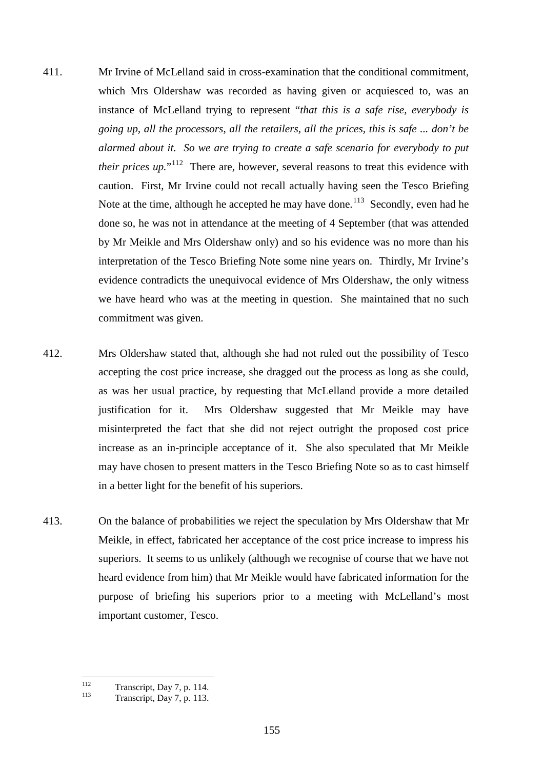- 411. Mr Irvine of McLelland said in cross-examination that the conditional commitment, which Mrs Oldershaw was recorded as having given or acquiesced to, was an instance of McLelland trying to represent "*that this is a safe rise, everybody is going up, all the processors, all the retailers, all the prices, this is safe ... don't be alarmed about it. So we are trying to create a safe scenario for everybody to put their prices up.*"<sup>[112](#page-159-0)</sup> There are, however, several reasons to treat this evidence with caution. First, Mr Irvine could not recall actually having seen the Tesco Briefing Note at the time, although he accepted he may have done.<sup>113</sup> Secondly, even had he done so, he was not in attendance at the meeting of 4 September (that was attended by Mr Meikle and Mrs Oldershaw only) and so his evidence was no more than his interpretation of the Tesco Briefing Note some nine years on. Thirdly, Mr Irvine's evidence contradicts the unequivocal evidence of Mrs Oldershaw, the only witness we have heard who was at the meeting in question. She maintained that no such commitment was given.
- 412. Mrs Oldershaw stated that, although she had not ruled out the possibility of Tesco accepting the cost price increase, she dragged out the process as long as she could, as was her usual practice, by requesting that McLelland provide a more detailed justification for it. Mrs Oldershaw suggested that Mr Meikle may have misinterpreted the fact that she did not reject outright the proposed cost price increase as an in-principle acceptance of it. She also speculated that Mr Meikle may have chosen to present matters in the Tesco Briefing Note so as to cast himself in a better light for the benefit of his superiors.
- 413. On the balance of probabilities we reject the speculation by Mrs Oldershaw that Mr Meikle, in effect, fabricated her acceptance of the cost price increase to impress his superiors. It seems to us unlikely (although we recognise of course that we have not heard evidence from him) that Mr Meikle would have fabricated information for the purpose of briefing his superiors prior to a meeting with McLelland's most important customer, Tesco.

<span id="page-159-0"></span><sup>&</sup>lt;sup>112</sup> Transcript, Day 7, p. 114.<br>Transcript, Day 7, p. 113.

<span id="page-159-1"></span>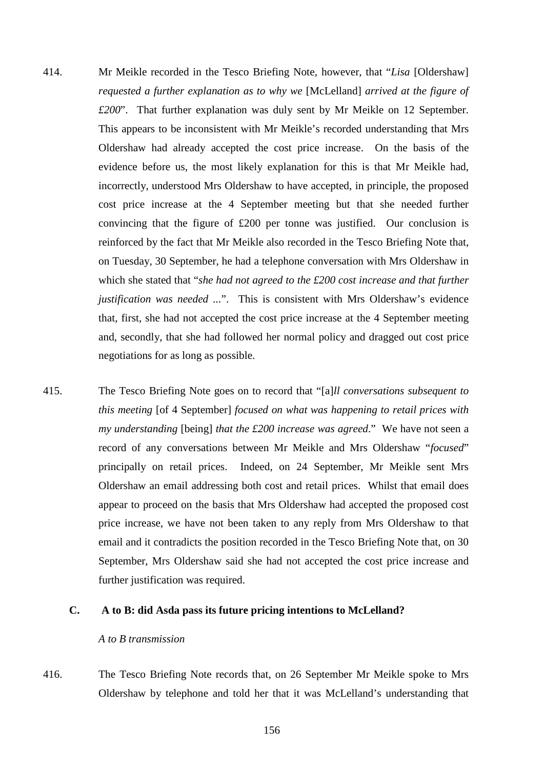- 414. Mr Meikle recorded in the Tesco Briefing Note, however, that "*Lisa* [Oldershaw] *requested a further explanation as to why we* [McLelland] *arrived at the figure of £200*". That further explanation was duly sent by Mr Meikle on 12 September. This appears to be inconsistent with Mr Meikle's recorded understanding that Mrs Oldershaw had already accepted the cost price increase. On the basis of the evidence before us, the most likely explanation for this is that Mr Meikle had, incorrectly, understood Mrs Oldershaw to have accepted, in principle, the proposed cost price increase at the 4 September meeting but that she needed further convincing that the figure of £200 per tonne was justified. Our conclusion is reinforced by the fact that Mr Meikle also recorded in the Tesco Briefing Note that, on Tuesday, 30 September, he had a telephone conversation with Mrs Oldershaw in which she stated that "*she had not agreed to the £200 cost increase and that further justification was needed ...*". This is consistent with Mrs Oldershaw's evidence that, first, she had not accepted the cost price increase at the 4 September meeting and, secondly, that she had followed her normal policy and dragged out cost price negotiations for as long as possible.
- 415. The Tesco Briefing Note goes on to record that "[a]*ll conversations subsequent to this meeting* [of 4 September] *focused on what was happening to retail prices with my understanding* [being] *that the £200 increase was agreed*." We have not seen a record of any conversations between Mr Meikle and Mrs Oldershaw "*focused*" principally on retail prices. Indeed, on 24 September, Mr Meikle sent Mrs Oldershaw an email addressing both cost and retail prices. Whilst that email does appear to proceed on the basis that Mrs Oldershaw had accepted the proposed cost price increase, we have not been taken to any reply from Mrs Oldershaw to that email and it contradicts the position recorded in the Tesco Briefing Note that, on 30 September, Mrs Oldershaw said she had not accepted the cost price increase and further justification was required.

## **C. A to B: did Asda pass its future pricing intentions to McLelland?**

## *A to B transmission*

416. The Tesco Briefing Note records that, on 26 September Mr Meikle spoke to Mrs Oldershaw by telephone and told her that it was McLelland's understanding that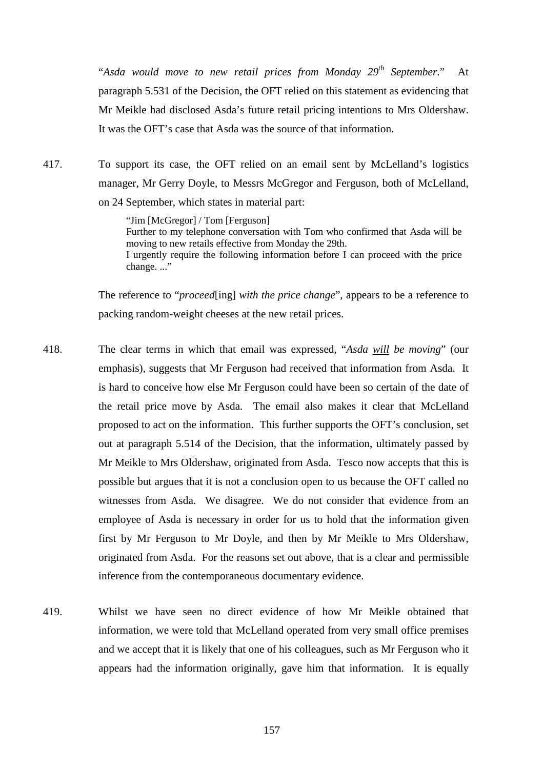"*Asda would move to new retail prices from Monday 29th September*." At paragraph 5.531 of the Decision, the OFT relied on this statement as evidencing that Mr Meikle had disclosed Asda's future retail pricing intentions to Mrs Oldershaw. It was the OFT's case that Asda was the source of that information.

417. To support its case, the OFT relied on an email sent by McLelland's logistics manager, Mr Gerry Doyle, to Messrs McGregor and Ferguson, both of McLelland, on 24 September, which states in material part:

> "Jim [McGregor] / Tom [Ferguson] Further to my telephone conversation with Tom who confirmed that Asda will be moving to new retails effective from Monday the 29th. I urgently require the following information before I can proceed with the price change..."

The reference to "*proceed*[ing] *with the price change*", appears to be a reference to packing random-weight cheeses at the new retail prices.

- 418. The clear terms in which that email was expressed, "*Asda will be moving*" (our emphasis), suggests that Mr Ferguson had received that information from Asda. It is hard to conceive how else Mr Ferguson could have been so certain of the date of the retail price move by Asda. The email also makes it clear that McLelland proposed to act on the information. This further supports the OFT's conclusion, set out at paragraph 5.514 of the Decision, that the information, ultimately passed by Mr Meikle to Mrs Oldershaw, originated from Asda. Tesco now accepts that this is possible but argues that it is not a conclusion open to us because the OFT called no witnesses from Asda. We disagree. We do not consider that evidence from an employee of Asda is necessary in order for us to hold that the information given first by Mr Ferguson to Mr Doyle, and then by Mr Meikle to Mrs Oldershaw, originated from Asda. For the reasons set out above, that is a clear and permissible inference from the contemporaneous documentary evidence.
- 419. Whilst we have seen no direct evidence of how Mr Meikle obtained that information, we were told that McLelland operated from very small office premises and we accept that it is likely that one of his colleagues, such as Mr Ferguson who it appears had the information originally, gave him that information. It is equally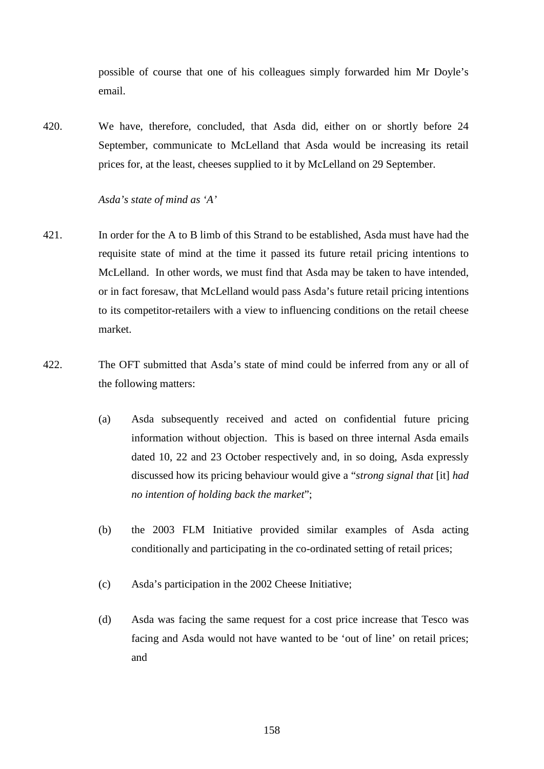possible of course that one of his colleagues simply forwarded him Mr Doyle's email.

420. We have, therefore, concluded, that Asda did, either on or shortly before 24 September, communicate to McLelland that Asda would be increasing its retail prices for, at the least, cheeses supplied to it by McLelland on 29 September.

# *Asda's state of mind as 'A'*

- 421. In order for the A to B limb of this Strand to be established, Asda must have had the requisite state of mind at the time it passed its future retail pricing intentions to McLelland. In other words, we must find that Asda may be taken to have intended, or in fact foresaw, that McLelland would pass Asda's future retail pricing intentions to its competitor-retailers with a view to influencing conditions on the retail cheese market.
- <span id="page-162-0"></span>422. The OFT submitted that Asda's state of mind could be inferred from any or all of the following matters:
	- (a) Asda subsequently received and acted on confidential future pricing information without objection. This is based on three internal Asda emails dated 10, 22 and 23 October respectively and, in so doing, Asda expressly discussed how its pricing behaviour would give a "*strong signal that* [it] *had no intention of holding back the market*";
	- (b) the 2003 FLM Initiative provided similar examples of Asda acting conditionally and participating in the co-ordinated setting of retail prices;
	- (c) Asda's participation in the 2002 Cheese Initiative;
	- (d) Asda was facing the same request for a cost price increase that Tesco was facing and Asda would not have wanted to be 'out of line' on retail prices; and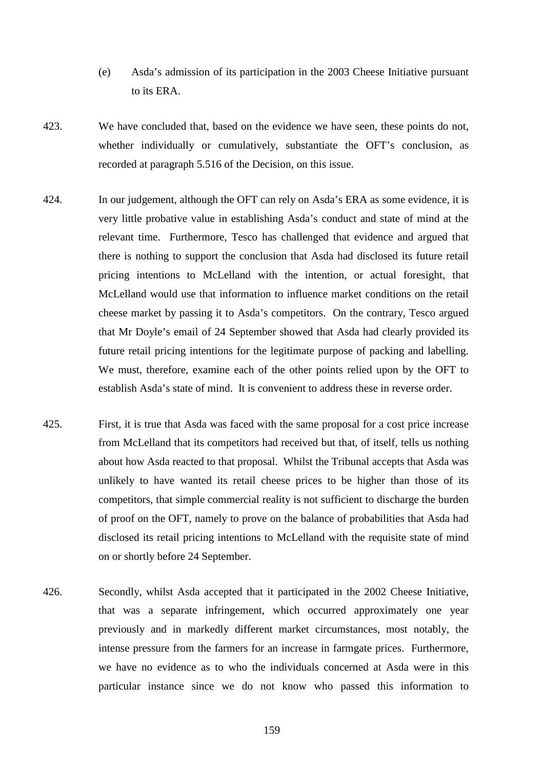- (e) Asda's admission of its participation in the 2003 Cheese Initiative pursuant to its ERA.
- 423. We have concluded that, based on the evidence we have seen, these points do not, whether individually or cumulatively, substantiate the OFT's conclusion, as recorded at paragraph 5.516 of the Decision, on this issue.
- 424. In our judgement, although the OFT can rely on Asda's ERA as some evidence, it is very little probative value in establishing Asda's conduct and state of mind at the relevant time. Furthermore, Tesco has challenged that evidence and argued that there is nothing to support the conclusion that Asda had disclosed its future retail pricing intentions to McLelland with the intention, or actual foresight, that McLelland would use that information to influence market conditions on the retail cheese market by passing it to Asda's competitors. On the contrary, Tesco argued that Mr Doyle's email of 24 September showed that Asda had clearly provided its future retail pricing intentions for the legitimate purpose of packing and labelling. We must, therefore, examine each of the other points relied upon by the OFT to establish Asda's state of mind. It is convenient to address these in reverse order.
- 425. First, it is true that Asda was faced with the same proposal for a cost price increase from McLelland that its competitors had received but that, of itself, tells us nothing about how Asda reacted to that proposal. Whilst the Tribunal accepts that Asda was unlikely to have wanted its retail cheese prices to be higher than those of its competitors, that simple commercial reality is not sufficient to discharge the burden of proof on the OFT, namely to prove on the balance of probabilities that Asda had disclosed its retail pricing intentions to McLelland with the requisite state of mind on or shortly before 24 September.
- <span id="page-163-0"></span>426. Secondly, whilst Asda accepted that it participated in the 2002 Cheese Initiative, that was a separate infringement, which occurred approximately one year previously and in markedly different market circumstances, most notably, the intense pressure from the farmers for an increase in farmgate prices. Furthermore, we have no evidence as to who the individuals concerned at Asda were in this particular instance since we do not know who passed this information to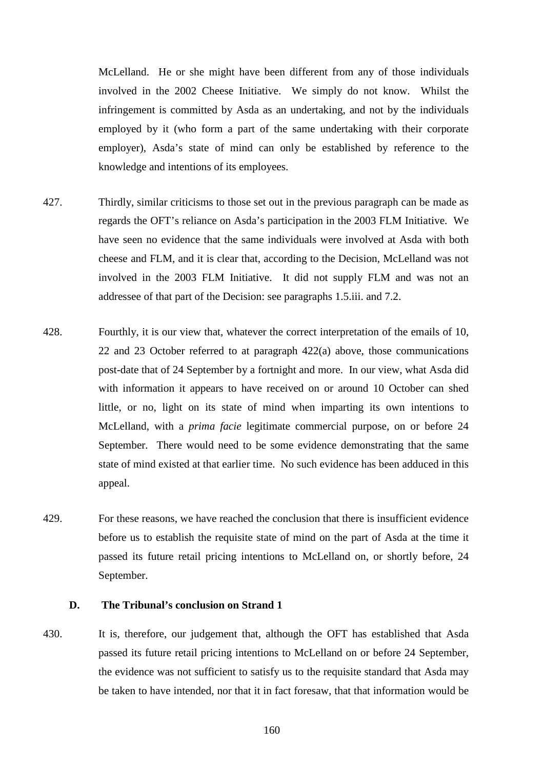McLelland. He or she might have been different from any of those individuals involved in the 2002 Cheese Initiative. We simply do not know. Whilst the infringement is committed by Asda as an undertaking, and not by the individuals employed by it (who form a part of the same undertaking with their corporate employer), Asda's state of mind can only be established by reference to the knowledge and intentions of its employees.

- 427. Thirdly, similar criticisms to those set out in the previous paragraph can be made as regards the OFT's reliance on Asda's participation in the 2003 FLM Initiative. We have seen no evidence that the same individuals were involved at Asda with both cheese and FLM, and it is clear that, according to the Decision, McLelland was not involved in the 2003 FLM Initiative. It did not supply FLM and was not an addressee of that part of the Decision: see paragraphs 1.5.iii. and 7.2.
- 428. Fourthly, it is our view that, whatever the correct interpretation of the emails of 10, 22 and 23 October referred to at paragraph [422\(a\)](#page-162-0) above, those communications post-date that of 24 September by a fortnight and more. In our view, what Asda did with information it appears to have received on or around 10 October can shed little, or no, light on its state of mind when imparting its own intentions to McLelland, with a *prima facie* legitimate commercial purpose, on or before 24 September. There would need to be some evidence demonstrating that the same state of mind existed at that earlier time. No such evidence has been adduced in this appeal.
- 429. For these reasons, we have reached the conclusion that there is insufficient evidence before us to establish the requisite state of mind on the part of Asda at the time it passed its future retail pricing intentions to McLelland on, or shortly before, 24 September.

#### **D. The Tribunal's conclusion on Strand 1**

430. It is, therefore, our judgement that, although the OFT has established that Asda passed its future retail pricing intentions to McLelland on or before 24 September, the evidence was not sufficient to satisfy us to the requisite standard that Asda may be taken to have intended, nor that it in fact foresaw, that that information would be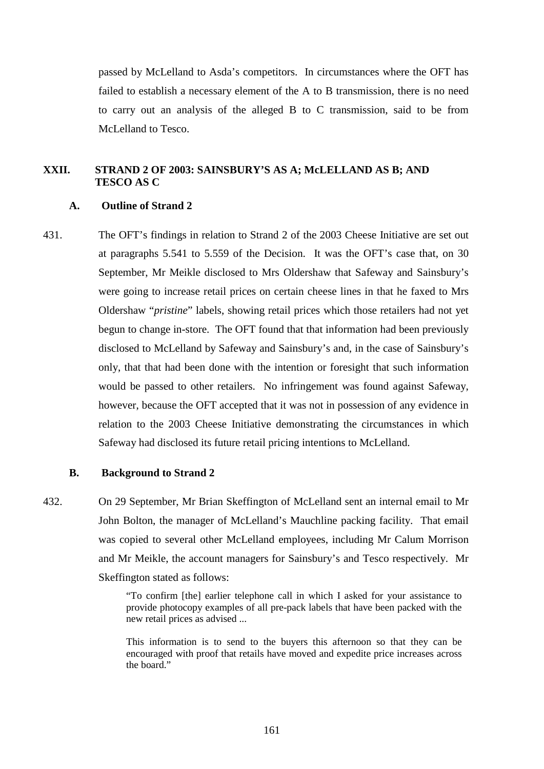passed by McLelland to Asda's competitors. In circumstances where the OFT has failed to establish a necessary element of the A to B transmission, there is no need to carry out an analysis of the alleged B to C transmission, said to be from McLelland to Tesco.

# **XXII. STRAND 2 OF 2003: SAINSBURY'S AS A; McLELLAND AS B; AND TESCO AS C**

## **A. Outline of Strand 2**

431. The OFT's findings in relation to Strand 2 of the 2003 Cheese Initiative are set out at paragraphs 5.541 to 5.559 of the Decision. It was the OFT's case that, on 30 September, Mr Meikle disclosed to Mrs Oldershaw that Safeway and Sainsbury's were going to increase retail prices on certain cheese lines in that he faxed to Mrs Oldershaw "*pristine*" labels, showing retail prices which those retailers had not yet begun to change in-store. The OFT found that that information had been previously disclosed to McLelland by Safeway and Sainsbury's and, in the case of Sainsbury's only, that that had been done with the intention or foresight that such information would be passed to other retailers. No infringement was found against Safeway, however, because the OFT accepted that it was not in possession of any evidence in relation to the 2003 Cheese Initiative demonstrating the circumstances in which Safeway had disclosed its future retail pricing intentions to McLelland.

### **B. Background to Strand 2**

432. On 29 September, Mr Brian Skeffington of McLelland sent an internal email to Mr John Bolton, the manager of McLelland's Mauchline packing facility. That email was copied to several other McLelland employees, including Mr Calum Morrison and Mr Meikle, the account managers for Sainsbury's and Tesco respectively. Mr Skeffington stated as follows:

> "To confirm [the] earlier telephone call in which I asked for your assistance to provide photocopy examples of all pre-pack labels that have been packed with the new retail prices as advised ...

> This information is to send to the buyers this afternoon so that they can be encouraged with proof that retails have moved and expedite price increases across the board."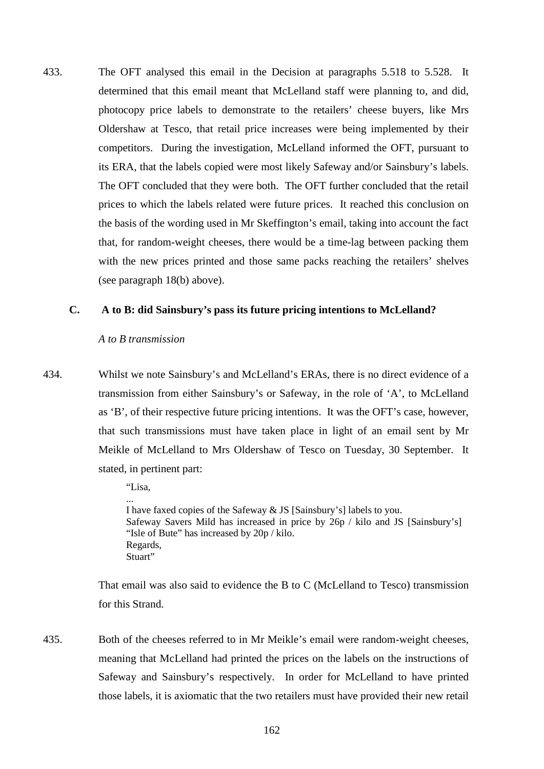433. The OFT analysed this email in the Decision at paragraphs 5.518 to 5.528. It determined that this email meant that McLelland staff were planning to, and did, photocopy price labels to demonstrate to the retailers' cheese buyers, like Mrs Oldershaw at Tesco, that retail price increases were being implemented by their competitors. During the investigation, McLelland informed the OFT, pursuant to its ERA, that the labels copied were most likely Safeway and/or Sainsbury's labels. The OFT concluded that they were both. The OFT further concluded that the retail prices to which the labels related were future prices. It reached this conclusion on the basis of the wording used in Mr Skeffington's email, taking into account the fact that, for random-weight cheeses, there would be a time-lag between packing them with the new prices printed and those same packs reaching the retailers' shelves (see paragraph [18\(b\)](#page-10-0) above).

#### **C. A to B: did Sainsbury's pass its future pricing intentions to McLelland?**

#### *A to B transmission*

434. Whilst we note Sainsbury's and McLelland's ERAs, there is no direct evidence of a transmission from either Sainsbury's or Safeway, in the role of 'A', to McLelland as 'B', of their respective future pricing intentions. It was the OFT's case, however, that such transmissions must have taken place in light of an email sent by Mr Meikle of McLelland to Mrs Oldershaw of Tesco on Tuesday, 30 September. It stated, in pertinent part:

"Lisa,

... I have faxed copies of the Safeway & JS [Sainsbury's] labels to you. Safeway Savers Mild has increased in price by 26p / kilo and JS [Sainsbury's] "Isle of Bute" has increased by 20p / kilo. Regards, Stuart"

That email was also said to evidence the B to C (McLelland to Tesco) transmission for this Strand.

435. Both of the cheeses referred to in Mr Meikle's email were random-weight cheeses, meaning that McLelland had printed the prices on the labels on the instructions of Safeway and Sainsbury's respectively. In order for McLelland to have printed those labels, it is axiomatic that the two retailers must have provided their new retail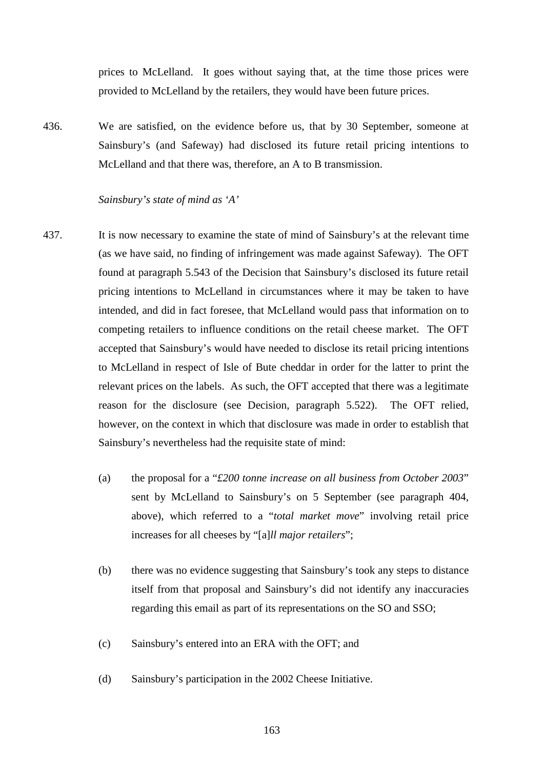prices to McLelland. It goes without saying that, at the time those prices were provided to McLelland by the retailers, they would have been future prices.

436. We are satisfied, on the evidence before us, that by 30 September, someone at Sainsbury's (and Safeway) had disclosed its future retail pricing intentions to McLelland and that there was, therefore, an A to B transmission.

### <span id="page-167-0"></span>*Sainsbury's state of mind as 'A'*

- 437. It is now necessary to examine the state of mind of Sainsbury's at the relevant time (as we have said, no finding of infringement was made against Safeway). The OFT found at paragraph 5.543 of the Decision that Sainsbury's disclosed its future retail pricing intentions to McLelland in circumstances where it may be taken to have intended, and did in fact foresee, that McLelland would pass that information on to competing retailers to influence conditions on the retail cheese market. The OFT accepted that Sainsbury's would have needed to disclose its retail pricing intentions to McLelland in respect of Isle of Bute cheddar in order for the latter to print the relevant prices on the labels. As such, the OFT accepted that there was a legitimate reason for the disclosure (see Decision, paragraph 5.522). The OFT relied, however, on the context in which that disclosure was made in order to establish that Sainsbury's nevertheless had the requisite state of mind:
	- (a) the proposal for a "*£200 tonne increase on all business from October 2003*" sent by McLelland to Sainsbury's on 5 September (see paragraph [404,](#page-156-0) above), which referred to a "*total market move*" involving retail price increases for all cheeses by "[a]*ll major retailers*";
	- (b) there was no evidence suggesting that Sainsbury's took any steps to distance itself from that proposal and Sainsbury's did not identify any inaccuracies regarding this email as part of its representations on the SO and SSO;
	- (c) Sainsbury's entered into an ERA with the OFT; and
	- (d) Sainsbury's participation in the 2002 Cheese Initiative.
		- 163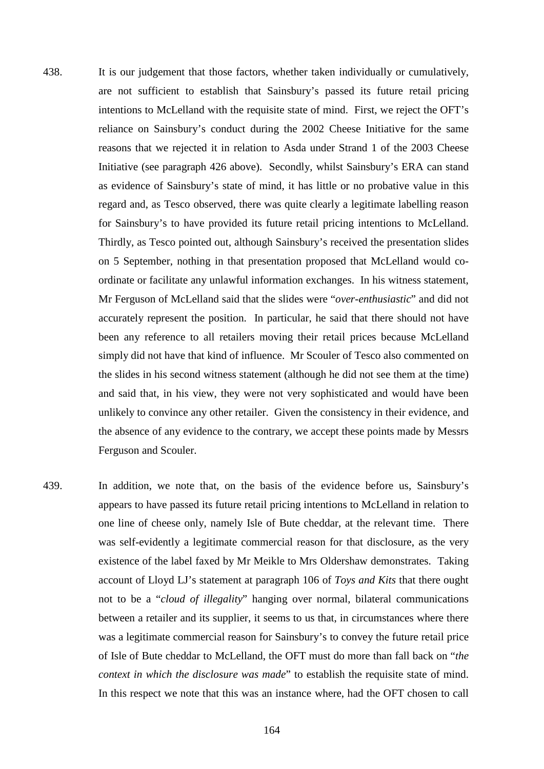- <span id="page-168-0"></span>438. It is our judgement that those factors, whether taken individually or cumulatively, are not sufficient to establish that Sainsbury's passed its future retail pricing intentions to McLelland with the requisite state of mind. First, we reject the OFT's reliance on Sainsbury's conduct during the 2002 Cheese Initiative for the same reasons that we rejected it in relation to Asda under Strand 1 of the 2003 Cheese Initiative (see paragraph [426](#page-163-0) above). Secondly, whilst Sainsbury's ERA can stand as evidence of Sainsbury's state of mind, it has little or no probative value in this regard and, as Tesco observed, there was quite clearly a legitimate labelling reason for Sainsbury's to have provided its future retail pricing intentions to McLelland. Thirdly, as Tesco pointed out, although Sainsbury's received the presentation slides on 5 September, nothing in that presentation proposed that McLelland would coordinate or facilitate any unlawful information exchanges. In his witness statement, Mr Ferguson of McLelland said that the slides were "*over-enthusiastic*" and did not accurately represent the position. In particular, he said that there should not have been any reference to all retailers moving their retail prices because McLelland simply did not have that kind of influence. Mr Scouler of Tesco also commented on the slides in his second witness statement (although he did not see them at the time) and said that, in his view, they were not very sophisticated and would have been unlikely to convince any other retailer. Given the consistency in their evidence, and the absence of any evidence to the contrary, we accept these points made by Messrs Ferguson and Scouler.
- 439. In addition, we note that, on the basis of the evidence before us, Sainsbury's appears to have passed its future retail pricing intentions to McLelland in relation to one line of cheese only, namely Isle of Bute cheddar, at the relevant time. There was self-evidently a legitimate commercial reason for that disclosure, as the very existence of the label faxed by Mr Meikle to Mrs Oldershaw demonstrates. Taking account of Lloyd LJ's statement at paragraph 106 of *Toys and Kits* that there ought not to be a "*cloud of illegality*" hanging over normal, bilateral communications between a retailer and its supplier, it seems to us that, in circumstances where there was a legitimate commercial reason for Sainsbury's to convey the future retail price of Isle of Bute cheddar to McLelland, the OFT must do more than fall back on "*the context in which the disclosure was made*" to establish the requisite state of mind. In this respect we note that this was an instance where, had the OFT chosen to call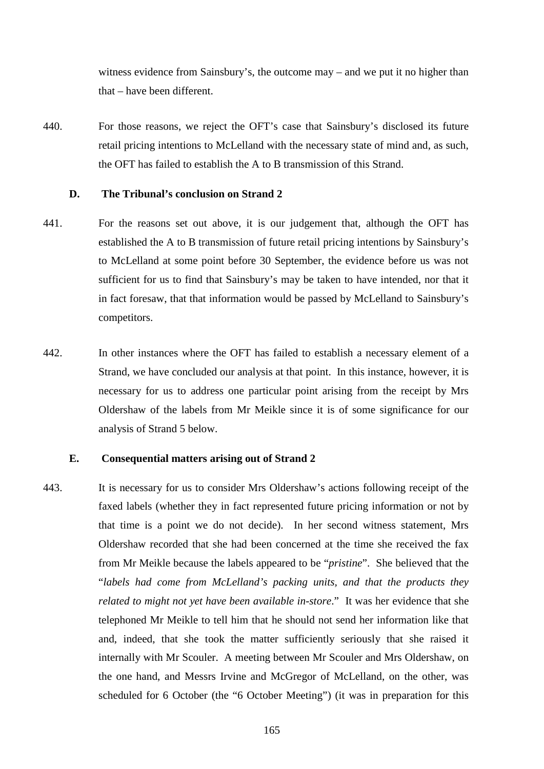<span id="page-169-0"></span>witness evidence from Sainsbury's, the outcome may – and we put it no higher than that – have been different.

440. For those reasons, we reject the OFT's case that Sainsbury's disclosed its future retail pricing intentions to McLelland with the necessary state of mind and, as such, the OFT has failed to establish the A to B transmission of this Strand.

### **D. The Tribunal's conclusion on Strand 2**

- 441. For the reasons set out above, it is our judgement that, although the OFT has established the A to B transmission of future retail pricing intentions by Sainsbury's to McLelland at some point before 30 September, the evidence before us was not sufficient for us to find that Sainsbury's may be taken to have intended, nor that it in fact foresaw, that that information would be passed by McLelland to Sainsbury's competitors.
- 442. In other instances where the OFT has failed to establish a necessary element of a Strand, we have concluded our analysis at that point. In this instance, however, it is necessary for us to address one particular point arising from the receipt by Mrs Oldershaw of the labels from Mr Meikle since it is of some significance for our analysis of Strand 5 below.

# **E. Consequential matters arising out of Strand 2**

443. It is necessary for us to consider Mrs Oldershaw's actions following receipt of the faxed labels (whether they in fact represented future pricing information or not by that time is a point we do not decide). In her second witness statement, Mrs Oldershaw recorded that she had been concerned at the time she received the fax from Mr Meikle because the labels appeared to be "*pristine*". She believed that the "*labels had come from McLelland's packing units, and that the products they related to might not yet have been available in-store*." It was her evidence that she telephoned Mr Meikle to tell him that he should not send her information like that and, indeed, that she took the matter sufficiently seriously that she raised it internally with Mr Scouler. A meeting between Mr Scouler and Mrs Oldershaw, on the one hand, and Messrs Irvine and McGregor of McLelland, on the other, was scheduled for 6 October (the "6 October Meeting") (it was in preparation for this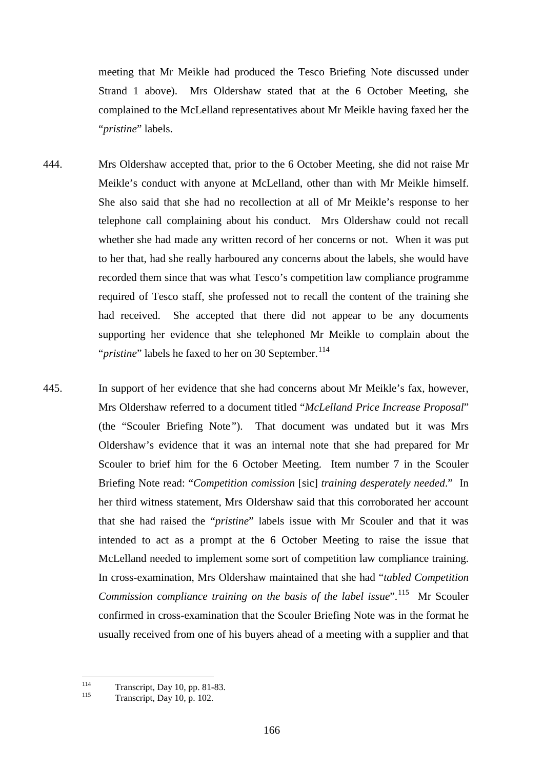meeting that Mr Meikle had produced the Tesco Briefing Note discussed under Strand 1 above). Mrs Oldershaw stated that at the 6 October Meeting, she complained to the McLelland representatives about Mr Meikle having faxed her the "*pristine*" labels.

- 444. Mrs Oldershaw accepted that, prior to the 6 October Meeting, she did not raise Mr Meikle's conduct with anyone at McLelland, other than with Mr Meikle himself. She also said that she had no recollection at all of Mr Meikle's response to her telephone call complaining about his conduct. Mrs Oldershaw could not recall whether she had made any written record of her concerns or not. When it was put to her that, had she really harboured any concerns about the labels, she would have recorded them since that was what Tesco's competition law compliance programme required of Tesco staff, she professed not to recall the content of the training she had received. She accepted that there did not appear to be any documents supporting her evidence that she telephoned Mr Meikle to complain about the "*pristine*" labels he faxed to her on 30 September.<sup>114</sup>
- 445. In support of her evidence that she had concerns about Mr Meikle's fax, however, Mrs Oldershaw referred to a document titled "*McLelland Price Increase Proposal*" (the "Scouler Briefing Note*"*). That document was undated but it was Mrs Oldershaw's evidence that it was an internal note that she had prepared for Mr Scouler to brief him for the 6 October Meeting. Item number 7 in the Scouler Briefing Note read: "*Competition comission* [sic] *training desperately needed*." In her third witness statement, Mrs Oldershaw said that this corroborated her account that she had raised the "*pristine*" labels issue with Mr Scouler and that it was intended to act as a prompt at the 6 October Meeting to raise the issue that McLelland needed to implement some sort of competition law compliance training. In cross-examination, Mrs Oldershaw maintained that she had "*tabled Competition Commission compliance training on the basis of the label issue*".<sup>115</sup> Mr Scouler confirmed in cross-examination that the Scouler Briefing Note was in the format he usually received from one of his buyers ahead of a meeting with a supplier and that

<span id="page-170-1"></span><span id="page-170-0"></span><sup>114</sup> Transcript, Day 10, pp. 81-83.<br>Transcript, Day 10, p. 102.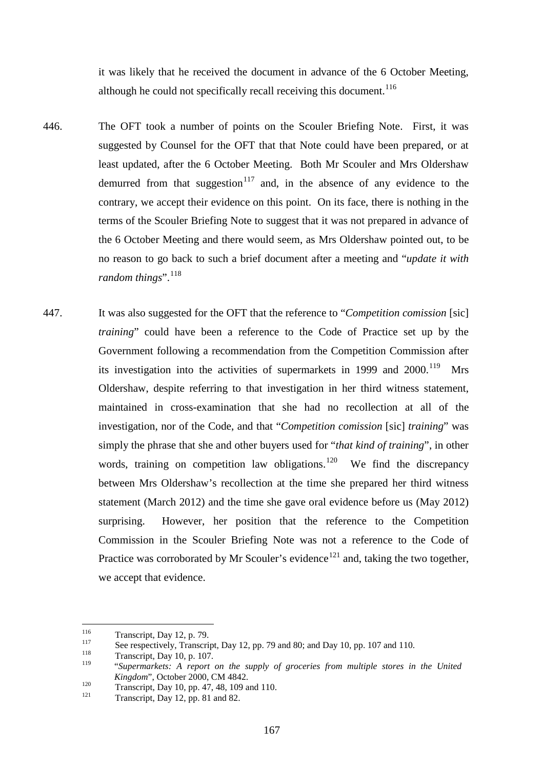it was likely that he received the document in advance of the 6 October Meeting, although he could not specifically recall receiving this document.<sup>[116](#page-171-0)</sup>

- 446. The OFT took a number of points on the Scouler Briefing Note. First, it was suggested by Counsel for the OFT that that Note could have been prepared, or at least updated, after the 6 October Meeting. Both Mr Scouler and Mrs Oldershaw demurred from that suggestion<sup>[117](#page-171-1)</sup> and, in the absence of any evidence to the contrary, we accept their evidence on this point. On its face, there is nothing in the terms of the Scouler Briefing Note to suggest that it was not prepared in advance of the 6 October Meeting and there would seem, as Mrs Oldershaw pointed out, to be no reason to go back to such a brief document after a meeting and "*update it with*  random things".<sup>118</sup>
- 447. It was also suggested for the OFT that the reference to "*Competition comission* [sic] *training*" could have been a reference to the Code of Practice set up by the Government following a recommendation from the Competition Commission after its investigation into the activities of supermarkets in 1999 and  $2000$ .<sup>[119](#page-171-3)</sup> Mrs Oldershaw, despite referring to that investigation in her third witness statement, maintained in cross-examination that she had no recollection at all of the investigation, nor of the Code, and that "*Competition comission* [sic] *training*" was simply the phrase that she and other buyers used for "*that kind of training*", in other words, training on competition law obligations.<sup>[120](#page-171-4)</sup> We find the discrepancy between Mrs Oldershaw's recollection at the time she prepared her third witness statement (March 2012) and the time she gave oral evidence before us (May 2012) surprising. However, her position that the reference to the Competition Commission in the Scouler Briefing Note was not a reference to the Code of Practice was corroborated by Mr Scouler's evidence<sup>[121](#page-171-5)</sup> and, taking the two together, we accept that evidence.

<span id="page-171-1"></span>

<span id="page-171-0"></span>Transcript, Day 12, p. 79.<br>
See respectively, Transcript, Day 12, pp. 79 and 80; and Day 10, pp. 107 and 110.<br>
Transcript, Day 10, p. 107.<br>
<sup>119</sup> "Supermanketate A, papert, an the sumply of appearing from *multiple* atoms

<span id="page-171-3"></span><span id="page-171-2"></span><sup>119</sup> "*Supermarkets: A report on the supply of groceries from multiple stores in the United Kingdom*", October 2000, CM 4842.<br>
Transcript, Day 10, pp. 47, 48, 109 and 110.<br>
Transcript, Day 12, pp. 81 and 82.

<span id="page-171-4"></span>

<span id="page-171-5"></span>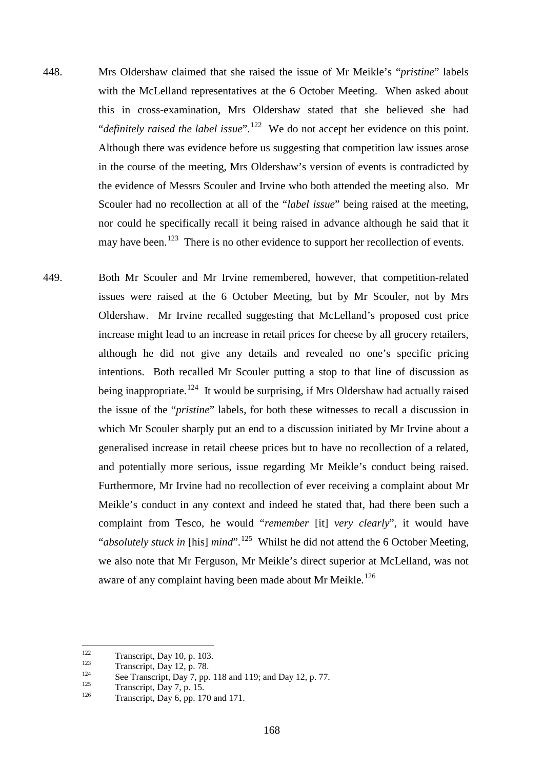- 448. Mrs Oldershaw claimed that she raised the issue of Mr Meikle's "*pristine*" labels with the McLelland representatives at the 6 October Meeting. When asked about this in cross-examination, Mrs Oldershaw stated that she believed she had "*definitely raised the label issue*".<sup>122</sup> We do not accept her evidence on this point. Although there was evidence before us suggesting that competition law issues arose in the course of the meeting, Mrs Oldershaw's version of events is contradicted by the evidence of Messrs Scouler and Irvine who both attended the meeting also. Mr Scouler had no recollection at all of the "*label issue*" being raised at the meeting, nor could he specifically recall it being raised in advance although he said that it may have been.<sup>123</sup> There is no other evidence to support her recollection of events.
- 449. Both Mr Scouler and Mr Irvine remembered, however, that competition-related issues were raised at the 6 October Meeting, but by Mr Scouler, not by Mrs Oldershaw. Mr Irvine recalled suggesting that McLelland's proposed cost price increase might lead to an increase in retail prices for cheese by all grocery retailers, although he did not give any details and revealed no one's specific pricing intentions. Both recalled Mr Scouler putting a stop to that line of discussion as being inappropriate.<sup>[124](#page-172-2)</sup> It would be surprising, if Mrs Oldershaw had actually raised the issue of the "*pristine*" labels, for both these witnesses to recall a discussion in which Mr Scouler sharply put an end to a discussion initiated by Mr Irvine about a generalised increase in retail cheese prices but to have no recollection of a related, and potentially more serious, issue regarding Mr Meikle's conduct being raised. Furthermore, Mr Irvine had no recollection of ever receiving a complaint about Mr Meikle's conduct in any context and indeed he stated that, had there been such a complaint from Tesco, he would "*remember* [it] *very clearly*", it would have "*absolutely stuck in* [his] *mind*".<sup>[125](#page-172-3)</sup> Whilst he did not attend the 6 October Meeting, we also note that Mr Ferguson, Mr Meikle's direct superior at McLelland, was not aware of any complaint having been made about Mr Meikle.<sup>[126](#page-172-4)</sup>

<span id="page-172-1"></span>

<span id="page-172-0"></span><sup>122</sup> Transcript, Day 10, p. 103.<br>
123 Transcript, Day 12, p. 78.<br>
124 See Transcript, Day 7, pp. 118 and 119; and Day 12, p. 77.<br>
125 Transcript, Day 7, p. 15.<br>
126 Transcript, Day 6, pp. 170 and 171.

<span id="page-172-3"></span><span id="page-172-2"></span>

<span id="page-172-4"></span>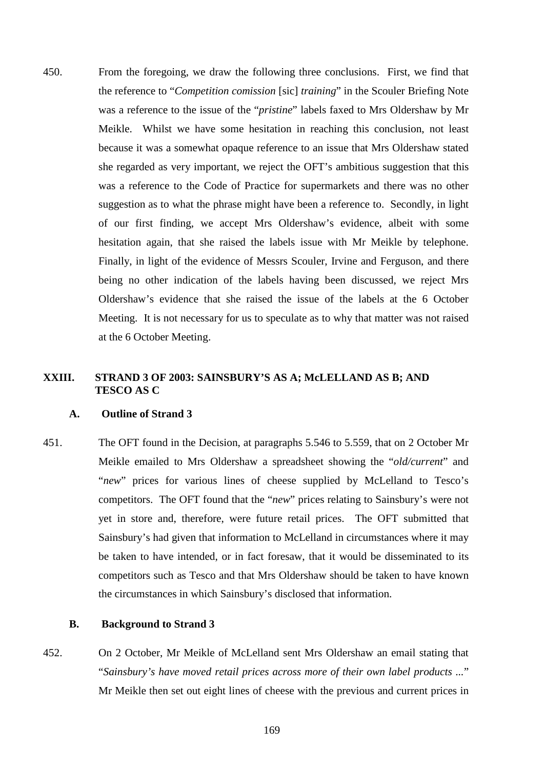450. From the foregoing, we draw the following three conclusions. First, we find that the reference to "*Competition comission* [sic] *training*" in the Scouler Briefing Note was a reference to the issue of the "*pristine*" labels faxed to Mrs Oldershaw by Mr Meikle. Whilst we have some hesitation in reaching this conclusion, not least because it was a somewhat opaque reference to an issue that Mrs Oldershaw stated she regarded as very important, we reject the OFT's ambitious suggestion that this was a reference to the Code of Practice for supermarkets and there was no other suggestion as to what the phrase might have been a reference to. Secondly, in light of our first finding, we accept Mrs Oldershaw's evidence, albeit with some hesitation again, that she raised the labels issue with Mr Meikle by telephone. Finally, in light of the evidence of Messrs Scouler, Irvine and Ferguson, and there being no other indication of the labels having been discussed, we reject Mrs Oldershaw's evidence that she raised the issue of the labels at the 6 October Meeting. It is not necessary for us to speculate as to why that matter was not raised at the 6 October Meeting.

# **XXIII. STRAND 3 OF 2003: SAINSBURY'S AS A; McLELLAND AS B; AND TESCO AS C**

# **A. Outline of Strand 3**

451. The OFT found in the Decision, at paragraphs 5.546 to 5.559, that on 2 October Mr Meikle emailed to Mrs Oldershaw a spreadsheet showing the "*old/current*" and "*new*" prices for various lines of cheese supplied by McLelland to Tesco's competitors. The OFT found that the "*new*" prices relating to Sainsbury's were not yet in store and, therefore, were future retail prices. The OFT submitted that Sainsbury's had given that information to McLelland in circumstances where it may be taken to have intended, or in fact foresaw, that it would be disseminated to its competitors such as Tesco and that Mrs Oldershaw should be taken to have known the circumstances in which Sainsbury's disclosed that information.

## **B. Background to Strand 3**

452. On 2 October, Mr Meikle of McLelland sent Mrs Oldershaw an email stating that "*Sainsbury's have moved retail prices across more of their own label products ...*" Mr Meikle then set out eight lines of cheese with the previous and current prices in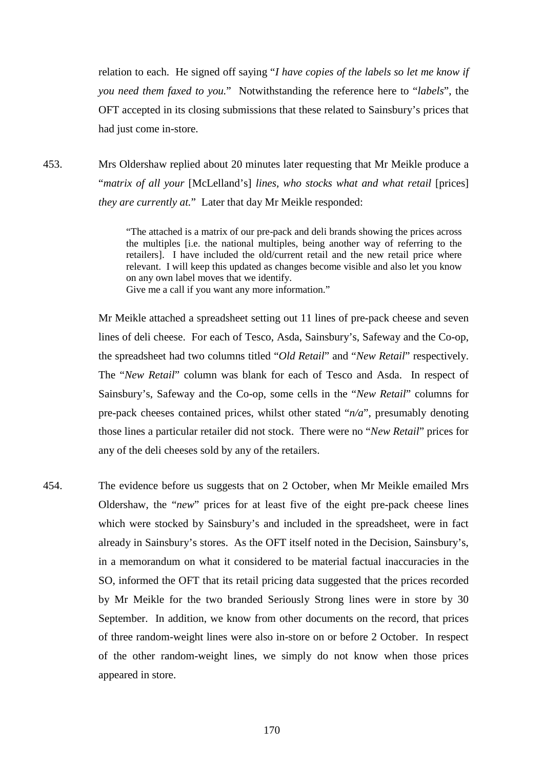relation to each. He signed off saying "*I have copies of the labels so let me know if you need them faxed to you.*" Notwithstanding the reference here to "*labels*", the OFT accepted in its closing submissions that these related to Sainsbury's prices that had just come in-store.

<span id="page-174-0"></span>453. Mrs Oldershaw replied about 20 minutes later requesting that Mr Meikle produce a "*matrix of all your* [McLelland's] *lines, who stocks what and what retail* [prices] *they are currently at.*" Later that day Mr Meikle responded:

> "The attached is a matrix of our pre-pack and deli brands showing the prices across the multiples [i.e. the national multiples, being another way of referring to the retailers]. I have included the old/current retail and the new retail price where relevant. I will keep this updated as changes become visible and also let you know on any own label moves that we identify.

Give me a call if you want any more information."

Mr Meikle attached a spreadsheet setting out 11 lines of pre-pack cheese and seven lines of deli cheese. For each of Tesco, Asda, Sainsbury's, Safeway and the Co-op, the spreadsheet had two columns titled "*Old Retail*" and "*New Retail*" respectively. The "*New Retail*" column was blank for each of Tesco and Asda. In respect of Sainsbury's, Safeway and the Co-op, some cells in the "*New Retail*" columns for pre-pack cheeses contained prices, whilst other stated "*n/a*", presumably denoting those lines a particular retailer did not stock. There were no "*New Retail*" prices for any of the deli cheeses sold by any of the retailers.

454. The evidence before us suggests that on 2 October, when Mr Meikle emailed Mrs Oldershaw, the "*new*" prices for at least five of the eight pre-pack cheese lines which were stocked by Sainsbury's and included in the spreadsheet, were in fact already in Sainsbury's stores. As the OFT itself noted in the Decision, Sainsbury's, in a memorandum on what it considered to be material factual inaccuracies in the SO, informed the OFT that its retail pricing data suggested that the prices recorded by Mr Meikle for the two branded Seriously Strong lines were in store by 30 September. In addition, we know from other documents on the record, that prices of three random-weight lines were also in-store on or before 2 October. In respect of the other random-weight lines, we simply do not know when those prices appeared in store.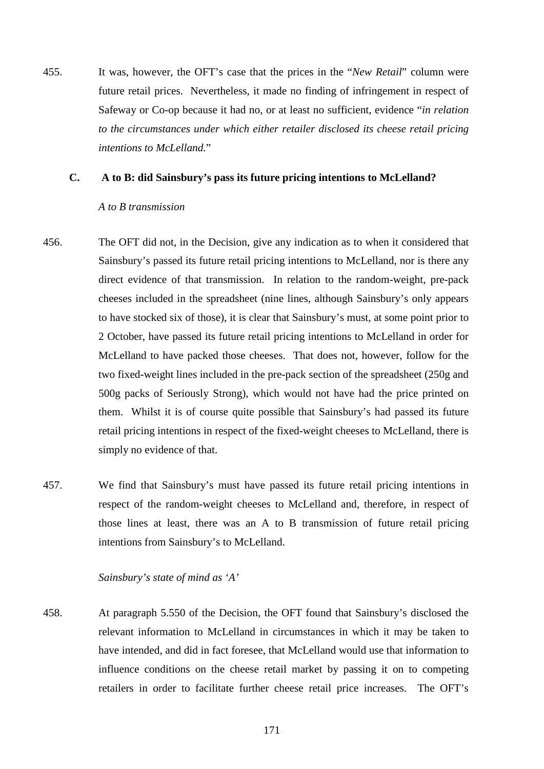455. It was, however, the OFT's case that the prices in the "*New Retail*" column were future retail prices. Nevertheless, it made no finding of infringement in respect of Safeway or Co-op because it had no, or at least no sufficient, evidence "*in relation to the circumstances under which either retailer disclosed its cheese retail pricing intentions to McLelland.*"

## **C. A to B: did Sainsbury's pass its future pricing intentions to McLelland?**

#### *A to B transmission*

- 456. The OFT did not, in the Decision, give any indication as to when it considered that Sainsbury's passed its future retail pricing intentions to McLelland, nor is there any direct evidence of that transmission. In relation to the random-weight, pre-pack cheeses included in the spreadsheet (nine lines, although Sainsbury's only appears to have stocked six of those), it is clear that Sainsbury's must, at some point prior to 2 October, have passed its future retail pricing intentions to McLelland in order for McLelland to have packed those cheeses. That does not, however, follow for the two fixed-weight lines included in the pre-pack section of the spreadsheet (250g and 500g packs of Seriously Strong), which would not have had the price printed on them. Whilst it is of course quite possible that Sainsbury's had passed its future retail pricing intentions in respect of the fixed-weight cheeses to McLelland, there is simply no evidence of that.
- 457. We find that Sainsbury's must have passed its future retail pricing intentions in respect of the random-weight cheeses to McLelland and, therefore, in respect of those lines at least, there was an A to B transmission of future retail pricing intentions from Sainsbury's to McLelland.

# *Sainsbury's state of mind as 'A'*

458. At paragraph 5.550 of the Decision, the OFT found that Sainsbury's disclosed the relevant information to McLelland in circumstances in which it may be taken to have intended, and did in fact foresee, that McLelland would use that information to influence conditions on the cheese retail market by passing it on to competing retailers in order to facilitate further cheese retail price increases. The OFT's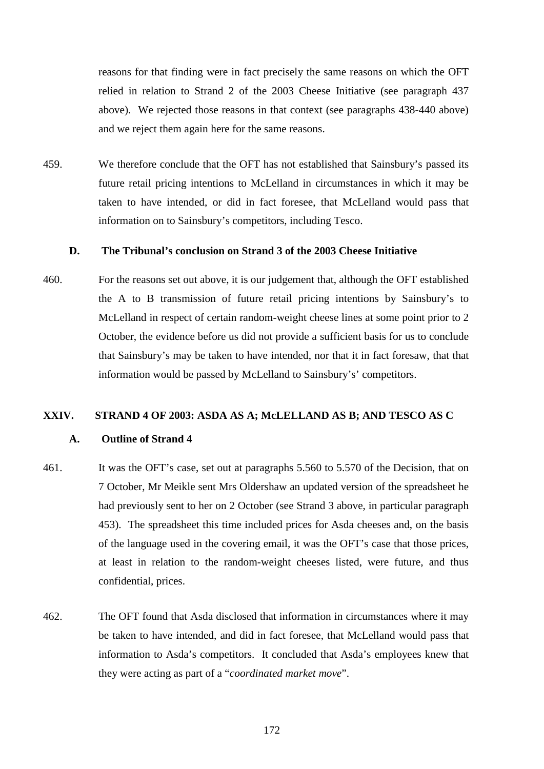reasons for that finding were in fact precisely the same reasons on which the OFT relied in relation to Strand 2 of the 2003 Cheese Initiative (see paragraph [437](#page-167-0) above). We rejected those reasons in that context (see paragraphs [438-](#page-168-0)[440](#page-169-0) above) and we reject them again here for the same reasons.

459. We therefore conclude that the OFT has not established that Sainsbury's passed its future retail pricing intentions to McLelland in circumstances in which it may be taken to have intended, or did in fact foresee, that McLelland would pass that information on to Sainsbury's competitors, including Tesco.

## **D. The Tribunal's conclusion on Strand 3 of the 2003 Cheese Initiative**

460. For the reasons set out above, it is our judgement that, although the OFT established the A to B transmission of future retail pricing intentions by Sainsbury's to McLelland in respect of certain random-weight cheese lines at some point prior to 2 October, the evidence before us did not provide a sufficient basis for us to conclude that Sainsbury's may be taken to have intended, nor that it in fact foresaw, that that information would be passed by McLelland to Sainsbury's' competitors.

## **XXIV. STRAND 4 OF 2003: ASDA AS A; McLELLAND AS B; AND TESCO AS C**

#### **A. Outline of Strand 4**

- 461. It was the OFT's case, set out at paragraphs 5.560 to 5.570 of the Decision, that on 7 October, Mr Meikle sent Mrs Oldershaw an updated version of the spreadsheet he had previously sent to her on 2 October (see Strand 3 above, in particular paragraph [453\)](#page-174-0). The spreadsheet this time included prices for Asda cheeses and, on the basis of the language used in the covering email, it was the OFT's case that those prices, at least in relation to the random-weight cheeses listed, were future, and thus confidential, prices.
- 462. The OFT found that Asda disclosed that information in circumstances where it may be taken to have intended, and did in fact foresee, that McLelland would pass that information to Asda's competitors. It concluded that Asda's employees knew that they were acting as part of a "*coordinated market move*".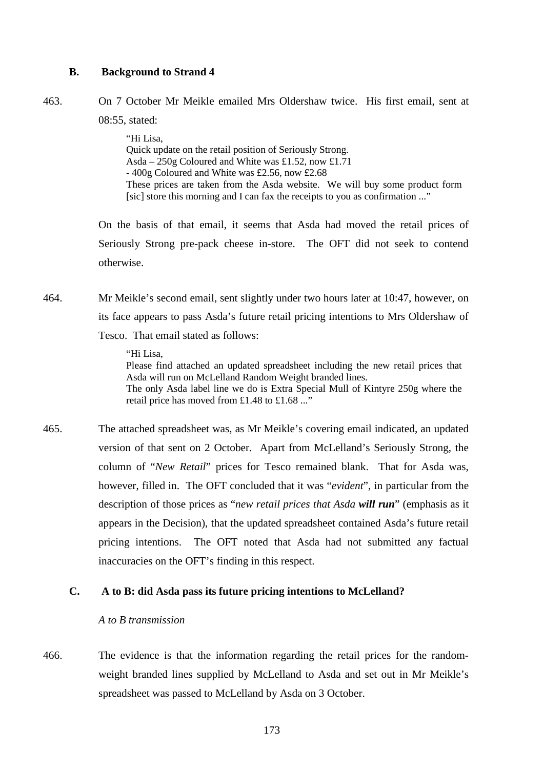## **B. Background to Strand 4**

463. On 7 October Mr Meikle emailed Mrs Oldershaw twice. His first email, sent at

08:55, stated:

"Hi Lisa, Quick update on the retail position of Seriously Strong. Asda – 250g Coloured and White was £1.52, now £1.71 - 400g Coloured and White was £2.56, now £2.68 These prices are taken from the Asda website. We will buy some product form [sic] store this morning and I can fax the receipts to you as confirmation ..."

On the basis of that email, it seems that Asda had moved the retail prices of Seriously Strong pre-pack cheese in-store. The OFT did not seek to contend otherwise.

464. Mr Meikle's second email, sent slightly under two hours later at 10:47, however, on its face appears to pass Asda's future retail pricing intentions to Mrs Oldershaw of Tesco. That email stated as follows:

"Hi Lisa,

Please find attached an updated spreadsheet including the new retail prices that Asda will run on McLelland Random Weight branded lines. The only Asda label line we do is Extra Special Mull of Kintyre 250g where the retail price has moved from £1.48 to £1.68 ..."

465. The attached spreadsheet was, as Mr Meikle's covering email indicated, an updated version of that sent on 2 October. Apart from McLelland's Seriously Strong, the column of "*New Retail*" prices for Tesco remained blank. That for Asda was, however, filled in. The OFT concluded that it was "*evident*", in particular from the description of those prices as "*new retail prices that Asda will run*" (emphasis as it appears in the Decision), that the updated spreadsheet contained Asda's future retail pricing intentions. The OFT noted that Asda had not submitted any factual inaccuracies on the OFT's finding in this respect.

## **C. A to B: did Asda pass its future pricing intentions to McLelland?**

#### *A to B transmission*

466. The evidence is that the information regarding the retail prices for the randomweight branded lines supplied by McLelland to Asda and set out in Mr Meikle's spreadsheet was passed to McLelland by Asda on 3 October.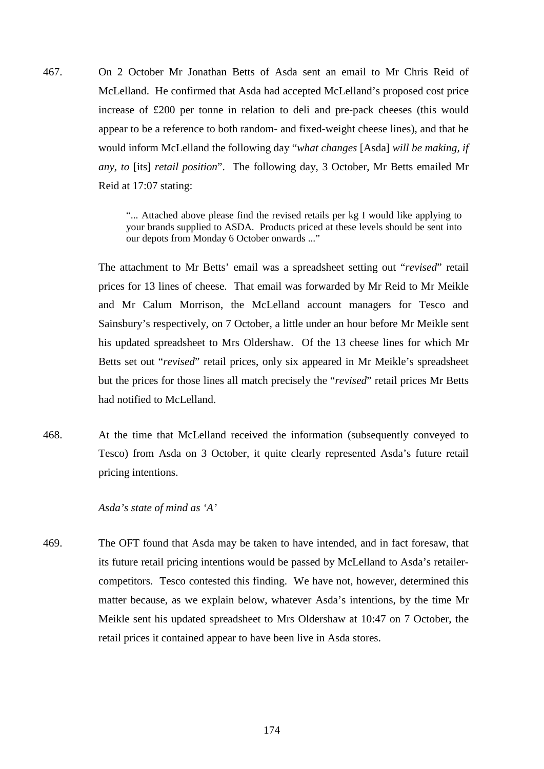467. On 2 October Mr Jonathan Betts of Asda sent an email to Mr Chris Reid of McLelland. He confirmed that Asda had accepted McLelland's proposed cost price increase of £200 per tonne in relation to deli and pre-pack cheeses (this would appear to be a reference to both random- and fixed-weight cheese lines), and that he would inform McLelland the following day "*what changes* [Asda] *will be making, if any, to* [its] *retail position*". The following day, 3 October, Mr Betts emailed Mr Reid at 17:07 stating:

> "... Attached above please find the revised retails per kg I would like applying to your brands supplied to ASDA. Products priced at these levels should be sent into our depots from Monday 6 October onwards ..."

The attachment to Mr Betts' email was a spreadsheet setting out "*revised*" retail prices for 13 lines of cheese. That email was forwarded by Mr Reid to Mr Meikle and Mr Calum Morrison, the McLelland account managers for Tesco and Sainsbury's respectively, on 7 October, a little under an hour before Mr Meikle sent his updated spreadsheet to Mrs Oldershaw. Of the 13 cheese lines for which Mr Betts set out "*revised*" retail prices, only six appeared in Mr Meikle's spreadsheet but the prices for those lines all match precisely the "*revised*" retail prices Mr Betts had notified to McLelland.

468. At the time that McLelland received the information (subsequently conveyed to Tesco) from Asda on 3 October, it quite clearly represented Asda's future retail pricing intentions.

*Asda's state of mind as 'A'*

469. The OFT found that Asda may be taken to have intended, and in fact foresaw, that its future retail pricing intentions would be passed by McLelland to Asda's retailercompetitors. Tesco contested this finding. We have not, however, determined this matter because, as we explain below, whatever Asda's intentions, by the time Mr Meikle sent his updated spreadsheet to Mrs Oldershaw at 10:47 on 7 October, the retail prices it contained appear to have been live in Asda stores.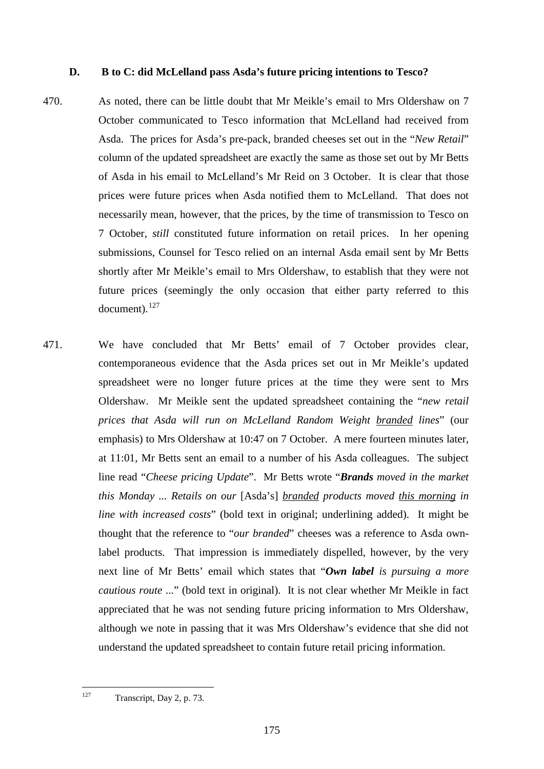## **D. B to C: did McLelland pass Asda's future pricing intentions to Tesco?**

- 470. As noted, there can be little doubt that Mr Meikle's email to Mrs Oldershaw on 7 October communicated to Tesco information that McLelland had received from Asda. The prices for Asda's pre-pack, branded cheeses set out in the "*New Retail*" column of the updated spreadsheet are exactly the same as those set out by Mr Betts of Asda in his email to McLelland's Mr Reid on 3 October. It is clear that those prices were future prices when Asda notified them to McLelland. That does not necessarily mean, however, that the prices, by the time of transmission to Tesco on 7 October, *still* constituted future information on retail prices. In her opening submissions, Counsel for Tesco relied on an internal Asda email sent by Mr Betts shortly after Mr Meikle's email to Mrs Oldershaw, to establish that they were not future prices (seemingly the only occasion that either party referred to this document). [127](#page-179-0)
- 471. We have concluded that Mr Betts' email of 7 October provides clear, contemporaneous evidence that the Asda prices set out in Mr Meikle's updated spreadsheet were no longer future prices at the time they were sent to Mrs Oldershaw. Mr Meikle sent the updated spreadsheet containing the "*new retail prices that Asda will run on McLelland Random Weight branded lines*" (our emphasis) to Mrs Oldershaw at 10:47 on 7 October. A mere fourteen minutes later, at 11:01, Mr Betts sent an email to a number of his Asda colleagues. The subject line read "*Cheese pricing Update*". Mr Betts wrote "*Brands moved in the market this Monday ... Retails on our* [Asda's] *branded products moved this morning in line with increased costs*" (bold text in original; underlining added). It might be thought that the reference to "*our branded*" cheeses was a reference to Asda ownlabel products. That impression is immediately dispelled, however, by the very next line of Mr Betts' email which states that "*Own label is pursuing a more cautious route* ..." (bold text in original). It is not clear whether Mr Meikle in fact appreciated that he was not sending future pricing information to Mrs Oldershaw, although we note in passing that it was Mrs Oldershaw's evidence that she did not understand the updated spreadsheet to contain future retail pricing information.

<span id="page-179-0"></span><sup>127</sup> Transcript, Day 2, p. 73.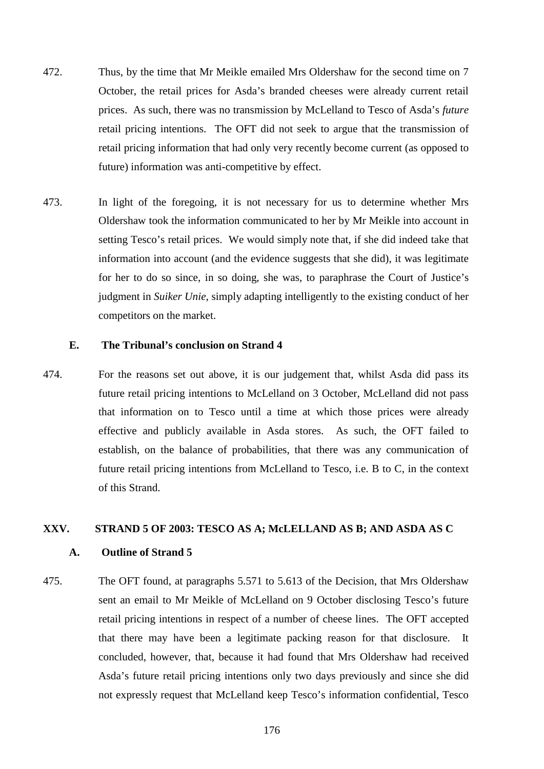- 472. Thus, by the time that Mr Meikle emailed Mrs Oldershaw for the second time on 7 October, the retail prices for Asda's branded cheeses were already current retail prices. As such, there was no transmission by McLelland to Tesco of Asda's *future* retail pricing intentions. The OFT did not seek to argue that the transmission of retail pricing information that had only very recently become current (as opposed to future) information was anti-competitive by effect.
- <span id="page-180-0"></span>473. In light of the foregoing, it is not necessary for us to determine whether Mrs Oldershaw took the information communicated to her by Mr Meikle into account in setting Tesco's retail prices. We would simply note that, if she did indeed take that information into account (and the evidence suggests that she did), it was legitimate for her to do so since, in so doing, she was, to paraphrase the Court of Justice's judgment in *Suiker Unie*, simply adapting intelligently to the existing conduct of her competitors on the market.

#### **E. The Tribunal's conclusion on Strand 4**

474. For the reasons set out above, it is our judgement that, whilst Asda did pass its future retail pricing intentions to McLelland on 3 October, McLelland did not pass that information on to Tesco until a time at which those prices were already effective and publicly available in Asda stores. As such, the OFT failed to establish, on the balance of probabilities, that there was any communication of future retail pricing intentions from McLelland to Tesco, i.e. B to C, in the context of this Strand.

#### **XXV. STRAND 5 OF 2003: TESCO AS A; McLELLAND AS B; AND ASDA AS C**

#### **A. Outline of Strand 5**

475. The OFT found, at paragraphs 5.571 to 5.613 of the Decision, that Mrs Oldershaw sent an email to Mr Meikle of McLelland on 9 October disclosing Tesco's future retail pricing intentions in respect of a number of cheese lines. The OFT accepted that there may have been a legitimate packing reason for that disclosure. It concluded, however, that, because it had found that Mrs Oldershaw had received Asda's future retail pricing intentions only two days previously and since she did not expressly request that McLelland keep Tesco's information confidential, Tesco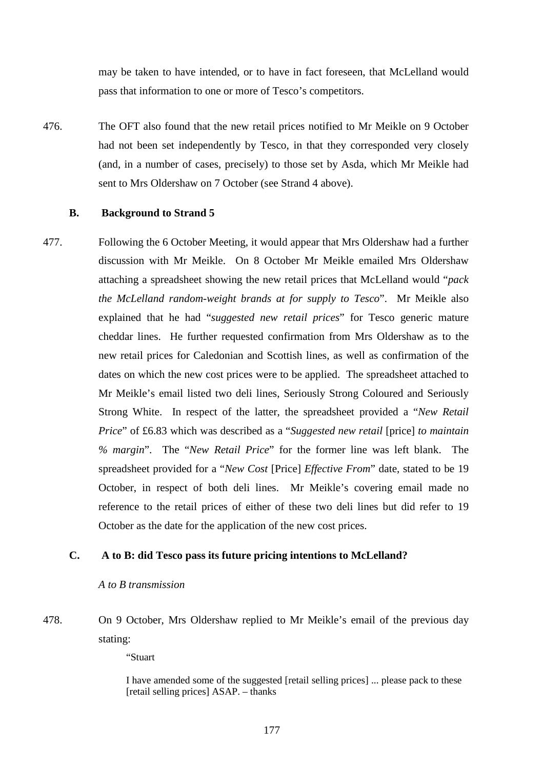may be taken to have intended, or to have in fact foreseen, that McLelland would pass that information to one or more of Tesco's competitors.

476. The OFT also found that the new retail prices notified to Mr Meikle on 9 October had not been set independently by Tesco, in that they corresponded very closely (and, in a number of cases, precisely) to those set by Asda, which Mr Meikle had sent to Mrs Oldershaw on 7 October (see Strand 4 above).

#### **B. Background to Strand 5**

477. Following the 6 October Meeting, it would appear that Mrs Oldershaw had a further discussion with Mr Meikle. On 8 October Mr Meikle emailed Mrs Oldershaw attaching a spreadsheet showing the new retail prices that McLelland would "*pack the McLelland random-weight brands at for supply to Tesco*". Mr Meikle also explained that he had "*suggested new retail prices*" for Tesco generic mature cheddar lines. He further requested confirmation from Mrs Oldershaw as to the new retail prices for Caledonian and Scottish lines, as well as confirmation of the dates on which the new cost prices were to be applied. The spreadsheet attached to Mr Meikle's email listed two deli lines, Seriously Strong Coloured and Seriously Strong White. In respect of the latter, the spreadsheet provided a "*New Retail Price*" of £6.83 which was described as a "*Suggested new retail* [price] *to maintain % margin*". The "*New Retail Price*" for the former line was left blank. The spreadsheet provided for a "*New Cost* [Price] *Effective From*" date, stated to be 19 October, in respect of both deli lines. Mr Meikle's covering email made no reference to the retail prices of either of these two deli lines but did refer to 19 October as the date for the application of the new cost prices.

### **C. A to B: did Tesco pass its future pricing intentions to McLelland?**

#### *A to B transmission*

# 478. On 9 October, Mrs Oldershaw replied to Mr Meikle's email of the previous day stating:

"Stuart

I have amended some of the suggested [retail selling prices] ... please pack to these [retail selling prices] ASAP. – thanks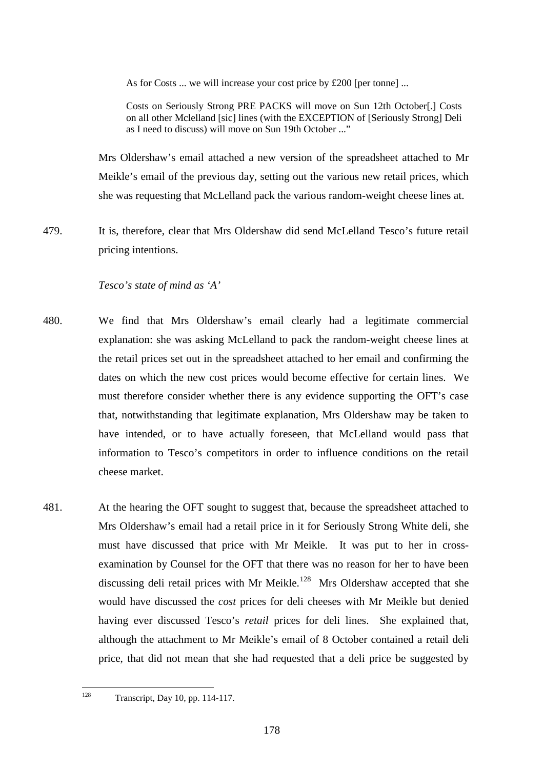As for Costs ... we will increase your cost price by £200 [per tonne] ...

Costs on Seriously Strong PRE PACKS will move on Sun 12th October[.] Costs on all other Mclelland [sic] lines (with the EXCEPTION of [Seriously Strong] Deli as I need to discuss) will move on Sun 19th October ..."

Mrs Oldershaw's email attached a new version of the spreadsheet attached to Mr Meikle's email of the previous day, setting out the various new retail prices, which she was requesting that McLelland pack the various random-weight cheese lines at.

479. It is, therefore, clear that Mrs Oldershaw did send McLelland Tesco's future retail pricing intentions.

### *Tesco's state of mind as 'A'*

- 480. We find that Mrs Oldershaw's email clearly had a legitimate commercial explanation: she was asking McLelland to pack the random-weight cheese lines at the retail prices set out in the spreadsheet attached to her email and confirming the dates on which the new cost prices would become effective for certain lines. We must therefore consider whether there is any evidence supporting the OFT's case that, notwithstanding that legitimate explanation, Mrs Oldershaw may be taken to have intended, or to have actually foreseen, that McLelland would pass that information to Tesco's competitors in order to influence conditions on the retail cheese market.
- 481. At the hearing the OFT sought to suggest that, because the spreadsheet attached to Mrs Oldershaw's email had a retail price in it for Seriously Strong White deli, she must have discussed that price with Mr Meikle. It was put to her in crossexamination by Counsel for the OFT that there was no reason for her to have been discussing deli retail prices with Mr Meikle.<sup>128</sup> Mrs Oldershaw accepted that she would have discussed the *cost* prices for deli cheeses with Mr Meikle but denied having ever discussed Tesco's *retail* prices for deli lines. She explained that, although the attachment to Mr Meikle's email of 8 October contained a retail deli price, that did not mean that she had requested that a deli price be suggested by

<span id="page-182-0"></span><sup>128</sup> Transcript, Day 10, pp. 114-117.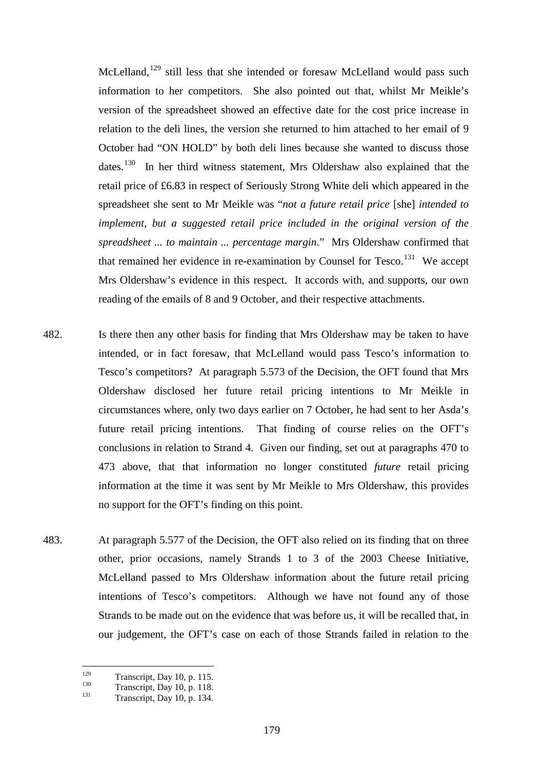McLelland, $129$  still less that she intended or foresaw McLelland would pass such information to her competitors. She also pointed out that, whilst Mr Meikle's version of the spreadsheet showed an effective date for the cost price increase in relation to the deli lines, the version she returned to him attached to her email of 9 October had "ON HOLD" by both deli lines because she wanted to discuss those dates.<sup>[130](#page-183-1)</sup> In her third witness statement, Mrs Oldershaw also explained that the retail price of £6.83 in respect of Seriously Strong White deli which appeared in the spreadsheet she sent to Mr Meikle was "*not a future retail price* [she] *intended to implement, but a suggested retail price included in the original version of the spreadsheet ... to maintain ... percentage margin*." Mrs Oldershaw confirmed that that remained her evidence in re-examination by Counsel for Tesco.<sup>131</sup> We accept Mrs Oldershaw's evidence in this respect. It accords with, and supports, our own reading of the emails of 8 and 9 October, and their respective attachments.

- 482. Is there then any other basis for finding that Mrs Oldershaw may be taken to have intended, or in fact foresaw, that McLelland would pass Tesco's information to Tesco's competitors? At paragraph 5.573 of the Decision, the OFT found that Mrs Oldershaw disclosed her future retail pricing intentions to Mr Meikle in circumstances where, only two days earlier on 7 October, he had sent to her Asda's future retail pricing intentions. That finding of course relies on the OFT's conclusions in relation to Strand 4. Given our finding, set out at paragraphs [470](#page-179-0) to [473](#page-180-0) above, that that information no longer constituted *future* retail pricing information at the time it was sent by Mr Meikle to Mrs Oldershaw, this provides no support for the OFT's finding on this point.
- 483. At paragraph 5.577 of the Decision, the OFT also relied on its finding that on three other, prior occasions, namely Strands 1 to 3 of the 2003 Cheese Initiative, McLelland passed to Mrs Oldershaw information about the future retail pricing intentions of Tesco's competitors. Although we have not found any of those Strands to be made out on the evidence that was before us, it will be recalled that, in our judgement, the OFT's case on each of those Strands failed in relation to the

<span id="page-183-1"></span>

<span id="page-183-2"></span>

<span id="page-183-0"></span><sup>&</sup>lt;sup>129</sup> Transcript, Day 10, p. 115.<br>
<sup>130</sup> Transcript, Day 10, p. 118.<br>
Transcript, Day 10, p. 134.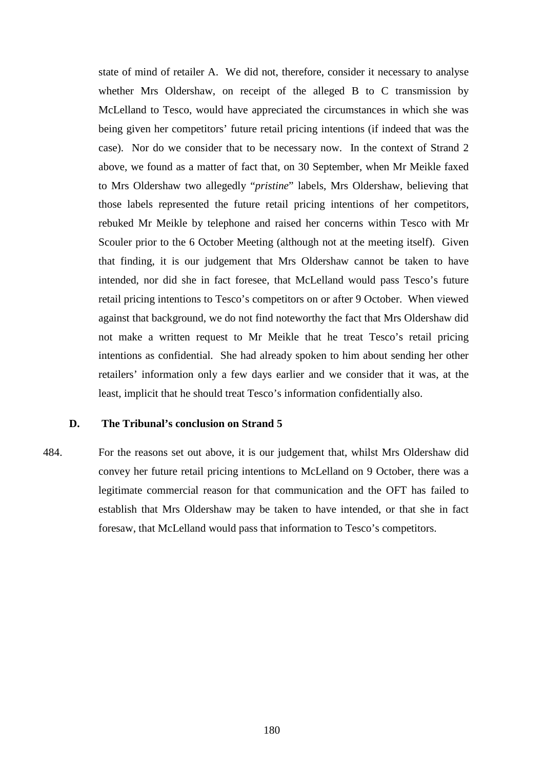state of mind of retailer A. We did not, therefore, consider it necessary to analyse whether Mrs Oldershaw, on receipt of the alleged B to C transmission by McLelland to Tesco, would have appreciated the circumstances in which she was being given her competitors' future retail pricing intentions (if indeed that was the case). Nor do we consider that to be necessary now. In the context of Strand 2 above, we found as a matter of fact that, on 30 September, when Mr Meikle faxed to Mrs Oldershaw two allegedly "*pristine*" labels, Mrs Oldershaw, believing that those labels represented the future retail pricing intentions of her competitors, rebuked Mr Meikle by telephone and raised her concerns within Tesco with Mr Scouler prior to the 6 October Meeting (although not at the meeting itself). Given that finding, it is our judgement that Mrs Oldershaw cannot be taken to have intended, nor did she in fact foresee, that McLelland would pass Tesco's future retail pricing intentions to Tesco's competitors on or after 9 October. When viewed against that background, we do not find noteworthy the fact that Mrs Oldershaw did not make a written request to Mr Meikle that he treat Tesco's retail pricing intentions as confidential. She had already spoken to him about sending her other retailers' information only a few days earlier and we consider that it was, at the least, implicit that he should treat Tesco's information confidentially also.

#### **D. The Tribunal's conclusion on Strand 5**

484. For the reasons set out above, it is our judgement that, whilst Mrs Oldershaw did convey her future retail pricing intentions to McLelland on 9 October, there was a legitimate commercial reason for that communication and the OFT has failed to establish that Mrs Oldershaw may be taken to have intended, or that she in fact foresaw, that McLelland would pass that information to Tesco's competitors.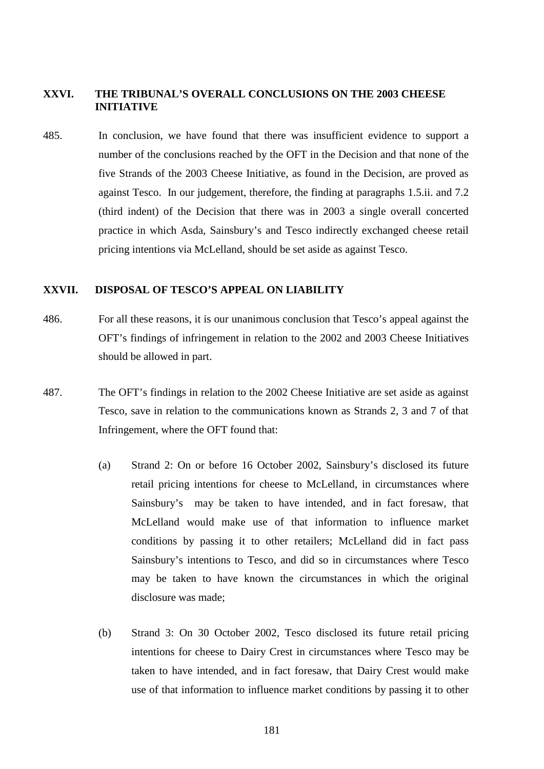#### **XXVI. THE TRIBUNAL'S OVERALL CONCLUSIONS ON THE 2003 CHEESE INITIATIVE**

485. In conclusion, we have found that there was insufficient evidence to support a number of the conclusions reached by the OFT in the Decision and that none of the five Strands of the 2003 Cheese Initiative, as found in the Decision, are proved as against Tesco. In our judgement, therefore, the finding at paragraphs 1.5.ii. and 7.2 (third indent) of the Decision that there was in 2003 a single overall concerted practice in which Asda, Sainsbury's and Tesco indirectly exchanged cheese retail pricing intentions via McLelland, should be set aside as against Tesco.

#### **XXVII. DISPOSAL OF TESCO'S APPEAL ON LIABILITY**

- 486. For all these reasons, it is our unanimous conclusion that Tesco's appeal against the OFT's findings of infringement in relation to the 2002 and 2003 Cheese Initiatives should be allowed in part.
- <span id="page-185-0"></span>487. The OFT's findings in relation to the 2002 Cheese Initiative are set aside as against Tesco, save in relation to the communications known as Strands 2, 3 and 7 of that Infringement, where the OFT found that:
	- (a) Strand 2: On or before 16 October 2002, Sainsbury's disclosed its future retail pricing intentions for cheese to McLelland, in circumstances where Sainsbury's may be taken to have intended, and in fact foresaw, that McLelland would make use of that information to influence market conditions by passing it to other retailers; McLelland did in fact pass Sainsbury's intentions to Tesco, and did so in circumstances where Tesco may be taken to have known the circumstances in which the original disclosure was made;
	- (b) Strand 3: On 30 October 2002, Tesco disclosed its future retail pricing intentions for cheese to Dairy Crest in circumstances where Tesco may be taken to have intended, and in fact foresaw, that Dairy Crest would make use of that information to influence market conditions by passing it to other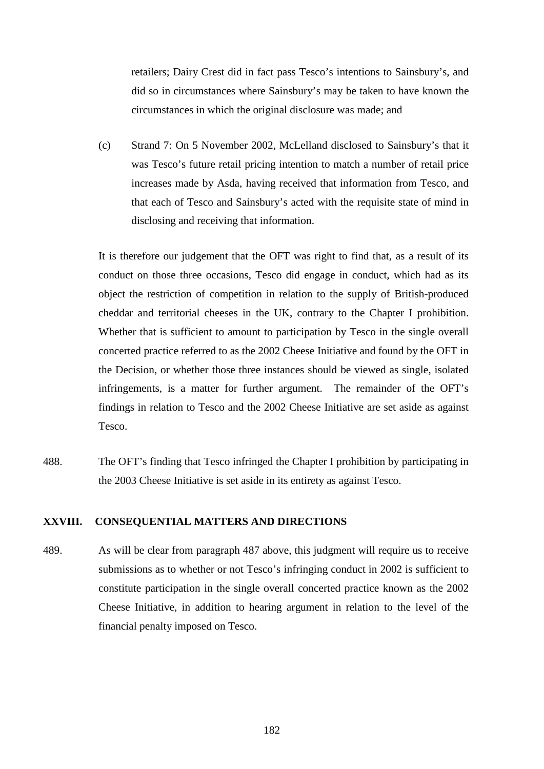retailers; Dairy Crest did in fact pass Tesco's intentions to Sainsbury's, and did so in circumstances where Sainsbury's may be taken to have known the circumstances in which the original disclosure was made; and

(c) Strand 7: On 5 November 2002, McLelland disclosed to Sainsbury's that it was Tesco's future retail pricing intention to match a number of retail price increases made by Asda, having received that information from Tesco, and that each of Tesco and Sainsbury's acted with the requisite state of mind in disclosing and receiving that information.

It is therefore our judgement that the OFT was right to find that, as a result of its conduct on those three occasions, Tesco did engage in conduct, which had as its object the restriction of competition in relation to the supply of British-produced cheddar and territorial cheeses in the UK, contrary to the Chapter I prohibition. Whether that is sufficient to amount to participation by Tesco in the single overall concerted practice referred to as the 2002 Cheese Initiative and found by the OFT in the Decision, or whether those three instances should be viewed as single, isolated infringements, is a matter for further argument. The remainder of the OFT's findings in relation to Tesco and the 2002 Cheese Initiative are set aside as against Tesco.

488. The OFT's finding that Tesco infringed the Chapter I prohibition by participating in the 2003 Cheese Initiative is set aside in its entirety as against Tesco.

#### **XXVIII. CONSEQUENTIAL MATTERS AND DIRECTIONS**

489. As will be clear from paragraph [487](#page-185-0) above, this judgment will require us to receive submissions as to whether or not Tesco's infringing conduct in 2002 is sufficient to constitute participation in the single overall concerted practice known as the 2002 Cheese Initiative, in addition to hearing argument in relation to the level of the financial penalty imposed on Tesco.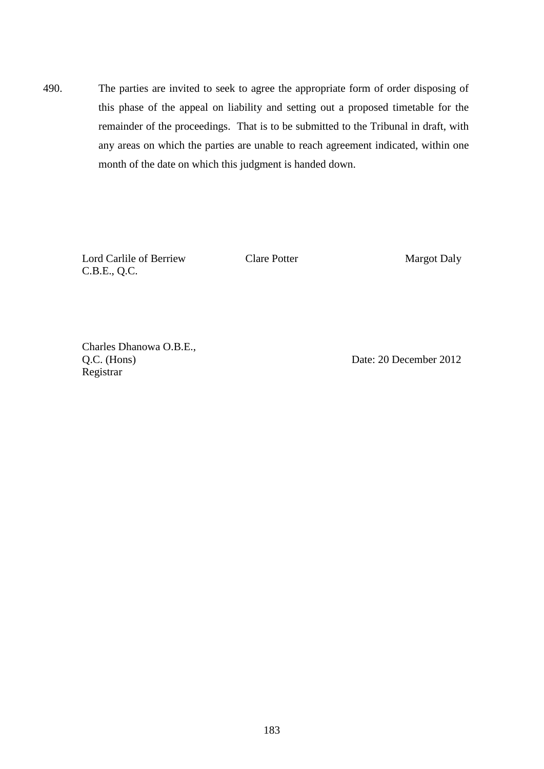490. The parties are invited to seek to agree the appropriate form of order disposing of this phase of the appeal on liability and setting out a proposed timetable for the remainder of the proceedings. That is to be submitted to the Tribunal in draft, with any areas on which the parties are unable to reach agreement indicated, within one month of the date on which this judgment is handed down.

Lord Carlile of Berriew C.B.E., Q.C.

Clare Potter Margot Daly

Charles Dhanowa O.B.E., Q.C. (Hons) Registrar

Date: 20 December 2012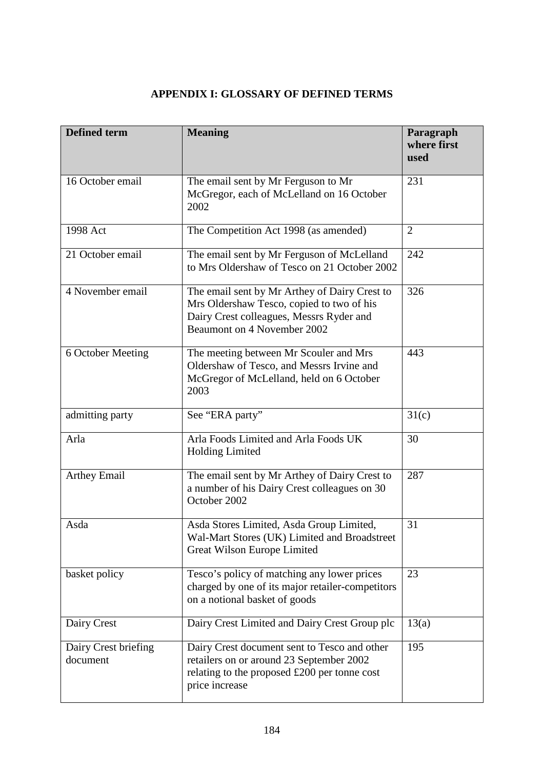## **APPENDIX I: GLOSSARY OF DEFINED TERMS**

| <b>Defined term</b>              | <b>Meaning</b>                                                                                                                                                        | Paragraph<br>where first<br>used |
|----------------------------------|-----------------------------------------------------------------------------------------------------------------------------------------------------------------------|----------------------------------|
| 16 October email                 | The email sent by Mr Ferguson to Mr<br>McGregor, each of McLelland on 16 October<br>2002                                                                              | 231                              |
| 1998 Act                         | The Competition Act 1998 (as amended)                                                                                                                                 | $\overline{2}$                   |
| 21 October email                 | The email sent by Mr Ferguson of McLelland<br>to Mrs Oldershaw of Tesco on 21 October 2002                                                                            | 242                              |
| 4 November email                 | The email sent by Mr Arthey of Dairy Crest to<br>Mrs Oldershaw Tesco, copied to two of his<br>Dairy Crest colleagues, Messrs Ryder and<br>Beaumont on 4 November 2002 | 326                              |
| 6 October Meeting                | The meeting between Mr Scouler and Mrs<br>Oldershaw of Tesco, and Messrs Irvine and<br>McGregor of McLelland, held on 6 October<br>2003                               | 443                              |
| admitting party                  | See "ERA party"                                                                                                                                                       | 31(c)                            |
| Arla                             | Arla Foods Limited and Arla Foods UK<br><b>Holding Limited</b>                                                                                                        | 30                               |
| <b>Arthey Email</b>              | The email sent by Mr Arthey of Dairy Crest to<br>a number of his Dairy Crest colleagues on 30<br>October 2002                                                         | 287                              |
| Asda                             | Asda Stores Limited, Asda Group Limited,<br>Wal-Mart Stores (UK) Limited and Broadstreet<br>Great Wilson Europe Limited                                               | 31                               |
| basket policy                    | Tesco's policy of matching any lower prices<br>charged by one of its major retailer-competitors<br>on a notional basket of goods                                      | 23                               |
| Dairy Crest                      | Dairy Crest Limited and Dairy Crest Group plc                                                                                                                         | 13(a)                            |
| Dairy Crest briefing<br>document | Dairy Crest document sent to Tesco and other<br>retailers on or around 23 September 2002<br>relating to the proposed $£200$ per tonne cost<br>price increase          | 195                              |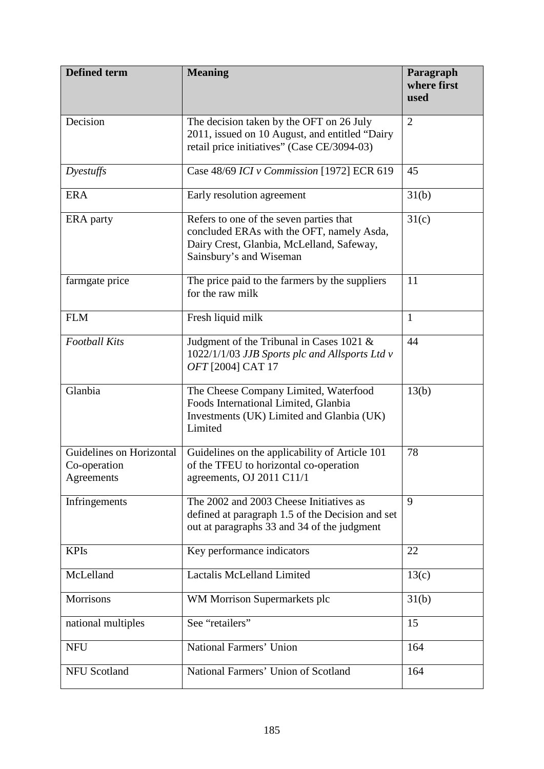| <b>Defined term</b>                                    | <b>Meaning</b>                                                                                                                                               | Paragraph<br>where first<br>used |
|--------------------------------------------------------|--------------------------------------------------------------------------------------------------------------------------------------------------------------|----------------------------------|
| Decision                                               | The decision taken by the OFT on 26 July<br>2011, issued on 10 August, and entitled "Dairy<br>retail price initiatives" (Case CE/3094-03)                    | $\overline{2}$                   |
| Dyestuffs                                              | Case 48/69 ICI v Commission [1972] ECR 619                                                                                                                   | 45                               |
| <b>ERA</b>                                             | Early resolution agreement                                                                                                                                   | 31(b)                            |
| ERA party                                              | Refers to one of the seven parties that<br>concluded ERAs with the OFT, namely Asda,<br>Dairy Crest, Glanbia, McLelland, Safeway,<br>Sainsbury's and Wiseman | 31(c)                            |
| farmgate price                                         | The price paid to the farmers by the suppliers<br>for the raw milk                                                                                           | 11                               |
| <b>FLM</b>                                             | Fresh liquid milk                                                                                                                                            | $\mathbf{1}$                     |
| <b>Football Kits</b>                                   | Judgment of the Tribunal in Cases 1021 $\&$<br>1022/1/1/03 JJB Sports plc and Allsports Ltd v<br>OFT [2004] CAT 17                                           | 44                               |
| Glanbia                                                | The Cheese Company Limited, Waterfood<br>Foods International Limited, Glanbia<br>Investments (UK) Limited and Glanbia (UK)<br>Limited                        | 13(b)                            |
| Guidelines on Horizontal<br>Co-operation<br>Agreements | Guidelines on the applicability of Article 101<br>of the TFEU to horizontal co-operation<br>agreements, OJ 2011 C11/1                                        | 78                               |
| Infringements                                          | The 2002 and 2003 Cheese Initiatives as<br>defined at paragraph 1.5 of the Decision and set<br>out at paragraphs 33 and 34 of the judgment                   | 9                                |
| <b>KPIs</b>                                            | Key performance indicators                                                                                                                                   | 22                               |
| McLelland                                              | <b>Lactalis McLelland Limited</b>                                                                                                                            | 13(c)                            |
| Morrisons                                              | WM Morrison Supermarkets plc                                                                                                                                 | 31(b)                            |
| national multiples                                     | See "retailers"                                                                                                                                              | 15                               |
| <b>NFU</b>                                             | National Farmers' Union                                                                                                                                      | 164                              |
| <b>NFU Scotland</b>                                    | National Farmers' Union of Scotland                                                                                                                          | 164                              |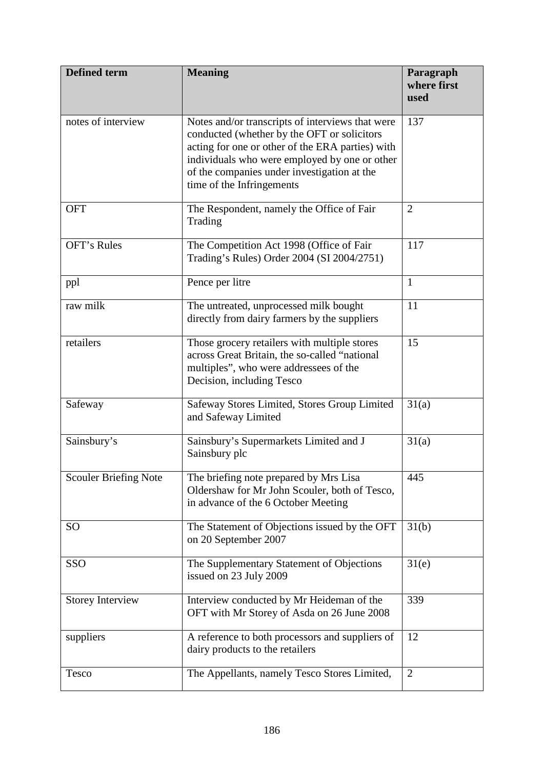| <b>Defined term</b>          | <b>Meaning</b>                                                                                                                                                                                                                                                                   | Paragraph<br>where first<br>used |
|------------------------------|----------------------------------------------------------------------------------------------------------------------------------------------------------------------------------------------------------------------------------------------------------------------------------|----------------------------------|
| notes of interview           | Notes and/or transcripts of interviews that were<br>conducted (whether by the OFT or solicitors<br>acting for one or other of the ERA parties) with<br>individuals who were employed by one or other<br>of the companies under investigation at the<br>time of the Infringements | 137                              |
| <b>OFT</b>                   | The Respondent, namely the Office of Fair<br>Trading                                                                                                                                                                                                                             | $\overline{2}$                   |
| OFT's Rules                  | The Competition Act 1998 (Office of Fair<br>Trading's Rules) Order 2004 (SI 2004/2751)                                                                                                                                                                                           | 117                              |
| ppl                          | Pence per litre                                                                                                                                                                                                                                                                  | $\mathbf{1}$                     |
| raw milk                     | The untreated, unprocessed milk bought<br>directly from dairy farmers by the suppliers                                                                                                                                                                                           | 11                               |
| retailers                    | Those grocery retailers with multiple stores<br>across Great Britain, the so-called "national<br>multiples", who were addressees of the<br>Decision, including Tesco                                                                                                             | 15                               |
| Safeway                      | Safeway Stores Limited, Stores Group Limited<br>and Safeway Limited                                                                                                                                                                                                              | 31(a)                            |
| Sainsbury's                  | Sainsbury's Supermarkets Limited and J<br>Sainsbury plc                                                                                                                                                                                                                          | 31(a)                            |
| <b>Scouler Briefing Note</b> | The briefing note prepared by Mrs Lisa<br>Oldershaw for Mr John Scouler, both of Tesco,<br>in advance of the 6 October Meeting                                                                                                                                                   | 445                              |
| SO                           | The Statement of Objections issued by the OFT<br>on 20 September 2007                                                                                                                                                                                                            | 31(b)                            |
| SSO                          | The Supplementary Statement of Objections<br>issued on 23 July 2009                                                                                                                                                                                                              | 31(e)                            |
| <b>Storey Interview</b>      | Interview conducted by Mr Heideman of the<br>OFT with Mr Storey of Asda on 26 June 2008                                                                                                                                                                                          | 339                              |
| suppliers                    | A reference to both processors and suppliers of<br>dairy products to the retailers                                                                                                                                                                                               | 12                               |
| Tesco                        | The Appellants, namely Tesco Stores Limited,                                                                                                                                                                                                                                     | $\overline{2}$                   |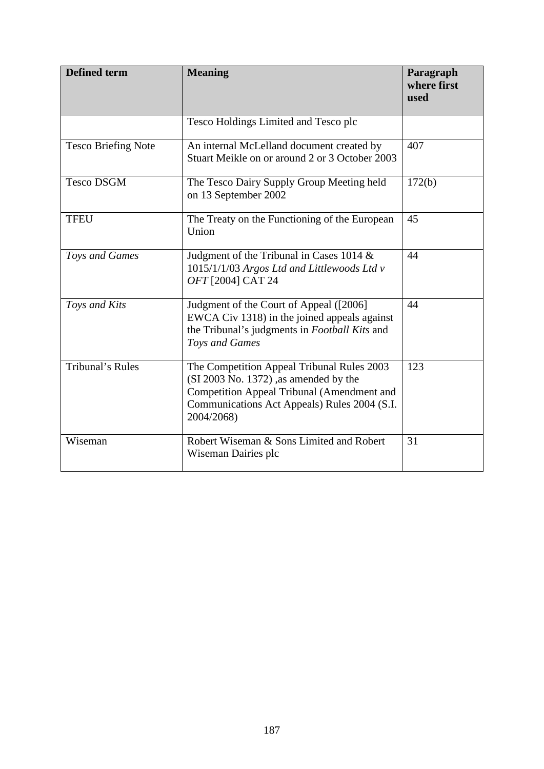| <b>Defined term</b>        | <b>Meaning</b>                                                                                                                                                                                  | Paragraph<br>where first<br>used |
|----------------------------|-------------------------------------------------------------------------------------------------------------------------------------------------------------------------------------------------|----------------------------------|
|                            | Tesco Holdings Limited and Tesco plc                                                                                                                                                            |                                  |
| <b>Tesco Briefing Note</b> | An internal McLelland document created by<br>Stuart Meikle on or around 2 or 3 October 2003                                                                                                     | 407                              |
| <b>Tesco DSGM</b>          | The Tesco Dairy Supply Group Meeting held<br>on 13 September 2002                                                                                                                               | 172(b)                           |
| <b>TFEU</b>                | The Treaty on the Functioning of the European<br>Union                                                                                                                                          | 45                               |
| Toys and Games             | Judgment of the Tribunal in Cases 1014 $\&$<br>1015/1/1/03 Argos Ltd and Littlewoods Ltd v<br>OFT [2004] CAT 24                                                                                 | 44                               |
| Toys and Kits              | Judgment of the Court of Appeal ([2006]<br>EWCA Civ 1318) in the joined appeals against<br>the Tribunal's judgments in Football Kits and<br>Toys and Games                                      | 44                               |
| Tribunal's Rules           | The Competition Appeal Tribunal Rules 2003<br>(SI 2003 No. 1372) ,as amended by the<br>Competition Appeal Tribunal (Amendment and<br>Communications Act Appeals) Rules 2004 (S.I.<br>2004/2068) | 123                              |
| Wiseman                    | Robert Wiseman & Sons Limited and Robert<br>Wiseman Dairies plc                                                                                                                                 | 31                               |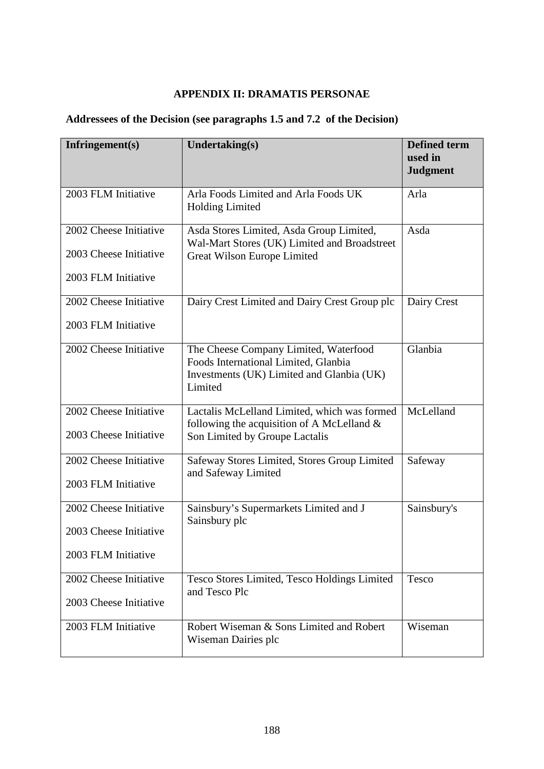## **APPENDIX II: DRAMATIS PERSONAE**

# **Addressees of the Decision (see paragraphs 1.5 and 7.2 of the Decision)**

| Infringement $(s)$                                                      | Undertaking(s)                                                                                                                        | <b>Defined term</b><br>used in<br><b>Judgment</b> |
|-------------------------------------------------------------------------|---------------------------------------------------------------------------------------------------------------------------------------|---------------------------------------------------|
| 2003 FLM Initiative                                                     | Arla Foods Limited and Arla Foods UK<br><b>Holding Limited</b>                                                                        | Arla                                              |
| 2002 Cheese Initiative<br>2003 Cheese Initiative<br>2003 FLM Initiative | Asda Stores Limited, Asda Group Limited,<br>Wal-Mart Stores (UK) Limited and Broadstreet<br>Great Wilson Europe Limited               | Asda                                              |
| 2002 Cheese Initiative<br>2003 FLM Initiative                           | Dairy Crest Limited and Dairy Crest Group plc                                                                                         | Dairy Crest                                       |
| 2002 Cheese Initiative                                                  | The Cheese Company Limited, Waterfood<br>Foods International Limited, Glanbia<br>Investments (UK) Limited and Glanbia (UK)<br>Limited | Glanbia                                           |
| 2002 Cheese Initiative<br>2003 Cheese Initiative                        | Lactalis McLelland Limited, which was formed<br>following the acquisition of A McLelland $\&$<br>Son Limited by Groupe Lactalis       | McLelland                                         |
| 2002 Cheese Initiative<br>2003 FLM Initiative                           | Safeway Stores Limited, Stores Group Limited<br>and Safeway Limited                                                                   | Safeway                                           |
| 2002 Cheese Initiative<br>2003 Cheese Initiative<br>2003 FLM Initiative | Sainsbury's Supermarkets Limited and J<br>Sainsbury plc                                                                               | Sainsbury's                                       |
| 2002 Cheese Initiative<br>2003 Cheese Initiative                        | Tesco Stores Limited, Tesco Holdings Limited<br>and Tesco Plc                                                                         | Tesco                                             |
| 2003 FLM Initiative                                                     | Robert Wiseman & Sons Limited and Robert<br>Wiseman Dairies plc                                                                       | Wiseman                                           |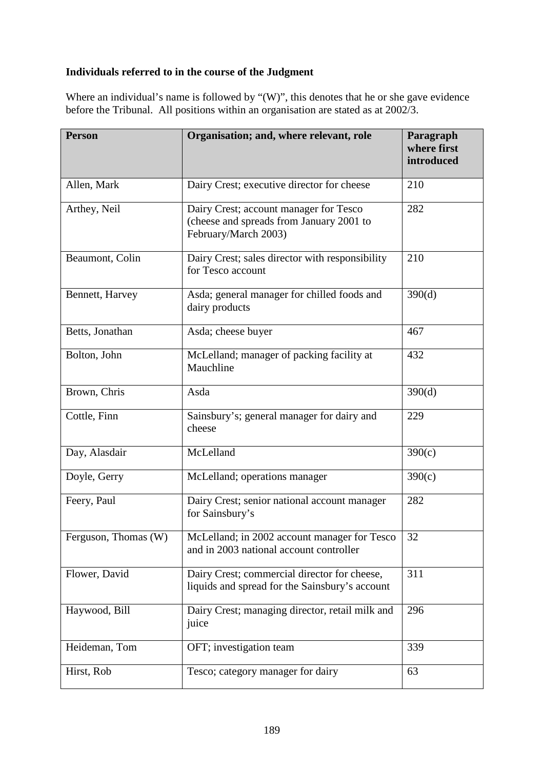### **Individuals referred to in the course of the Judgment**

Where an individual's name is followed by "(W)", this denotes that he or she gave evidence before the Tribunal. All positions within an organisation are stated as at 2002/3.

| <b>Person</b>        | Organisation; and, where relevant, role                                                                    | Paragraph<br>where first<br>introduced |
|----------------------|------------------------------------------------------------------------------------------------------------|----------------------------------------|
| Allen, Mark          | Dairy Crest; executive director for cheese                                                                 | 210                                    |
| Arthey, Neil         | Dairy Crest; account manager for Tesco<br>(cheese and spreads from January 2001 to<br>February/March 2003) | 282                                    |
| Beaumont, Colin      | Dairy Crest; sales director with responsibility<br>for Tesco account                                       | 210                                    |
| Bennett, Harvey      | Asda; general manager for chilled foods and<br>dairy products                                              | 390(d)                                 |
| Betts, Jonathan      | Asda; cheese buyer                                                                                         | 467                                    |
| Bolton, John         | McLelland; manager of packing facility at<br>Mauchline                                                     | 432                                    |
| Brown, Chris         | Asda                                                                                                       | 390(d)                                 |
| Cottle, Finn         | Sainsbury's; general manager for dairy and<br>cheese                                                       | 229                                    |
| Day, Alasdair        | McLelland                                                                                                  | 390(c)                                 |
| Doyle, Gerry         | McLelland; operations manager                                                                              | 390(c)                                 |
| Feery, Paul          | Dairy Crest; senior national account manager<br>for Sainsbury's                                            | 282                                    |
| Ferguson, Thomas (W) | McLelland; in 2002 account manager for Tesco<br>and in 2003 national account controller                    | 32                                     |
| Flower, David        | Dairy Crest; commercial director for cheese,<br>liquids and spread for the Sainsbury's account             | 311                                    |
| Haywood, Bill        | Dairy Crest; managing director, retail milk and<br>juice                                                   | 296                                    |
| Heideman, Tom        | OFT; investigation team                                                                                    | 339                                    |
| Hirst, Rob           | Tesco; category manager for dairy                                                                          | 63                                     |